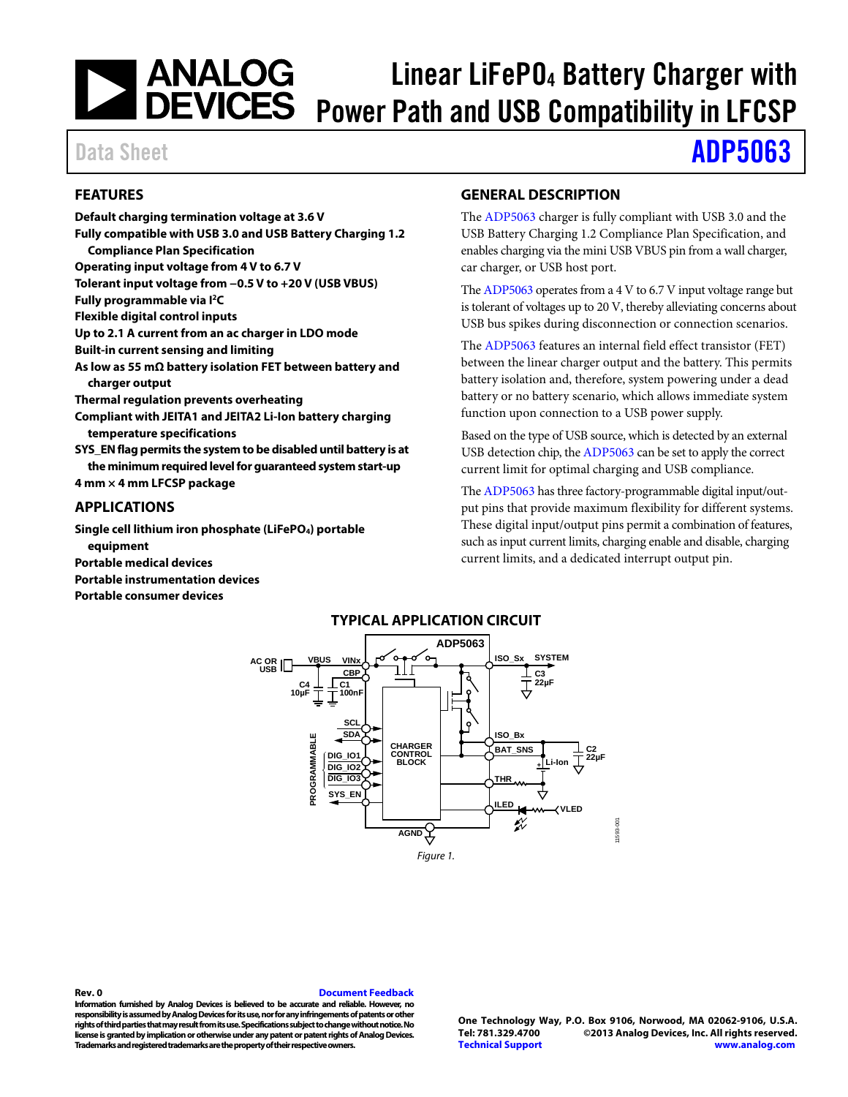# **ANALOG<br>DEVICES** Linear LiFePO4 Battery Charger with Power Path and USB Compatibility in LFCSP

# Data Sheet **[ADP5063](http://www.analog.com/ADP5063?doc=ADP5063.pdf)**

# <span id="page-0-0"></span>**FEATURES**

**Default charging termination voltage at 3.6 V Fully compatible with USB 3.0 and USB Battery Charging 1.2 Compliance Plan Specification Operating input voltage from 4 V to 6.7 V Tolerant input voltage from −0.5 V to +20 V (USB VBUS) Fully programmable via I2C Flexible digital control inputs Up to 2.1 A current from an ac charger in LDO mode Built-in current sensing and limiting As low as 55 mΩ battery isolation FET between battery and charger output Thermal regulation prevents overheating Compliant with JEITA1 and JEITA2 Li-Ion battery charging temperature specifications SYS\_EN flag permits the system to be disabled until battery is at the minimum required level for guaranteed system start-up 4 mm × 4 mm LFCSP package**

## <span id="page-0-1"></span>**APPLICATIONS**

**Single cell lithium iron phosphate (LiFePO4) portable equipment Portable medical devices Portable instrumentation devices**

## <span id="page-0-3"></span>**Portable consumer devices**

# <span id="page-0-2"></span>**GENERAL DESCRIPTION**

The [ADP5063](http://www.analog.com/ADP5063?doc=ADP5063.pdf) charger is fully compliant with USB 3.0 and the USB Battery Charging 1.2 Compliance Plan Specification, and enables charging via the mini USB VBUS pin from a wall charger, car charger, or USB host port.

Th[e ADP5063](http://www.analog.com/ADP5063?doc=ADP5063.pdf) operates from a 4 V to 6.7 V input voltage range but is tolerant of voltages up to 20 V, thereby alleviating concerns about USB bus spikes during disconnection or connection scenarios.

The [ADP5063](http://www.analog.com/ADP5063?doc=ADP5063.pdf) features an internal field effect transistor (FET) between the linear charger output and the battery. This permits battery isolation and, therefore, system powering under a dead battery or no battery scenario, which allows immediate system function upon connection to a USB power supply.

Based on the type of USB source, which is detected by an external USB detection chip, th[e ADP5063](http://www.analog.com/ADP5063?doc=ADP5063.pdf) can be set to apply the correct current limit for optimal charging and USB compliance.

Th[e ADP5063](http://www.analog.com/ADP5063?doc=ADP5063.pdf) has three factory-programmable digital input/output pins that provide maximum flexibility for different systems. These digital input/output pins permit a combination of features, such as input current limits, charging enable and disable, charging current limits, and a dedicated interrupt output pin.



**Rev. 0 [Document Feedback](https://form.analog.com/Form_Pages/feedback/documentfeedback.aspx?doc=%20ADP5063.pdf&product=ADP5063&rev=0)**

**Information furnished by Analog Devices is believed to be accurate and reliable. However, no responsibility is assumed by Analog Devices for its use, nor for any infringements of patents or other rights of third parties that may result from its use. Specifications subject to change without notice. No license is granted by implication or otherwise under any patent or patent rights of Analog Devices. Trademarks and registered trademarks are the property of their respective owners.**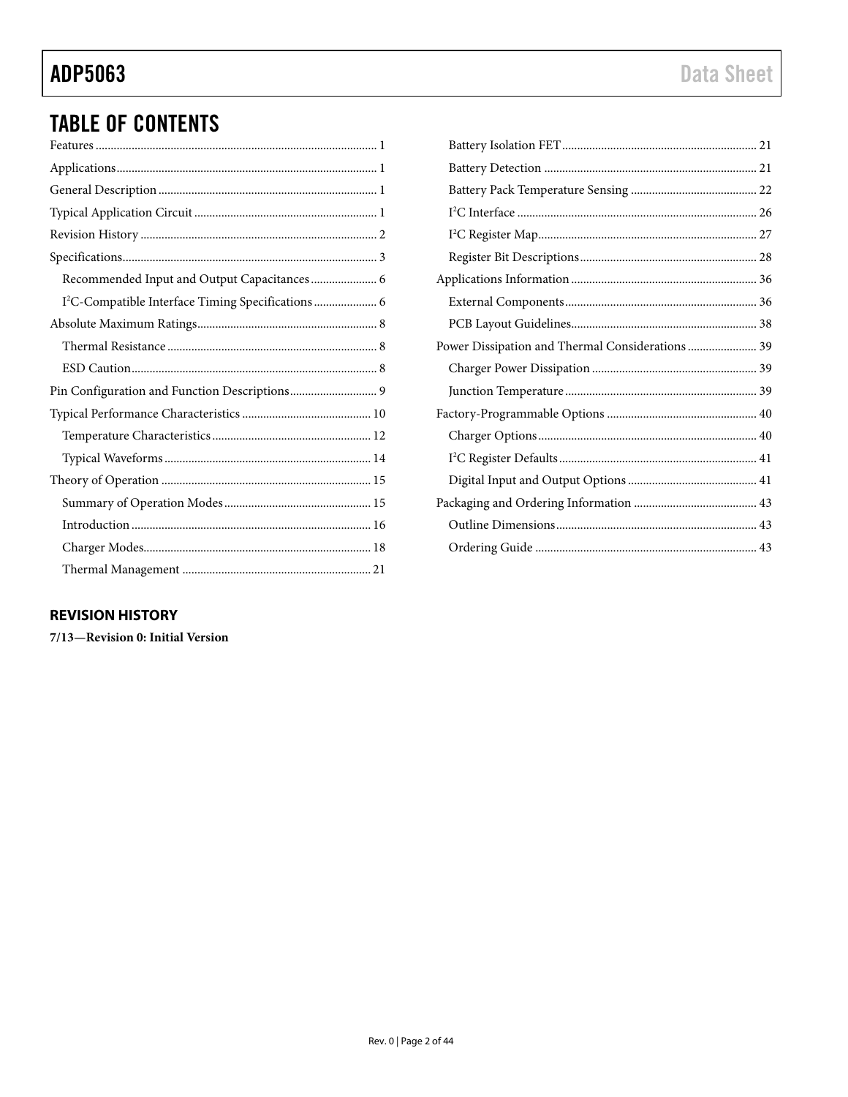# ADP5063

# **TABLE OF CONTENTS**

| Recommended Input and Output Capacitances 6                    |
|----------------------------------------------------------------|
| I <sup>2</sup> C-Compatible Interface Timing Specifications  6 |
|                                                                |
|                                                                |
|                                                                |
| Pin Configuration and Function Descriptions 9                  |
|                                                                |
|                                                                |
|                                                                |
|                                                                |
|                                                                |
|                                                                |
|                                                                |
|                                                                |

| Power Dissipation and Thermal Considerations  39 |
|--------------------------------------------------|
|                                                  |
|                                                  |
|                                                  |
|                                                  |
|                                                  |
|                                                  |
|                                                  |
|                                                  |
|                                                  |

# <span id="page-1-0"></span>**REVISION HISTORY**

7/13-Revision 0: Initial Version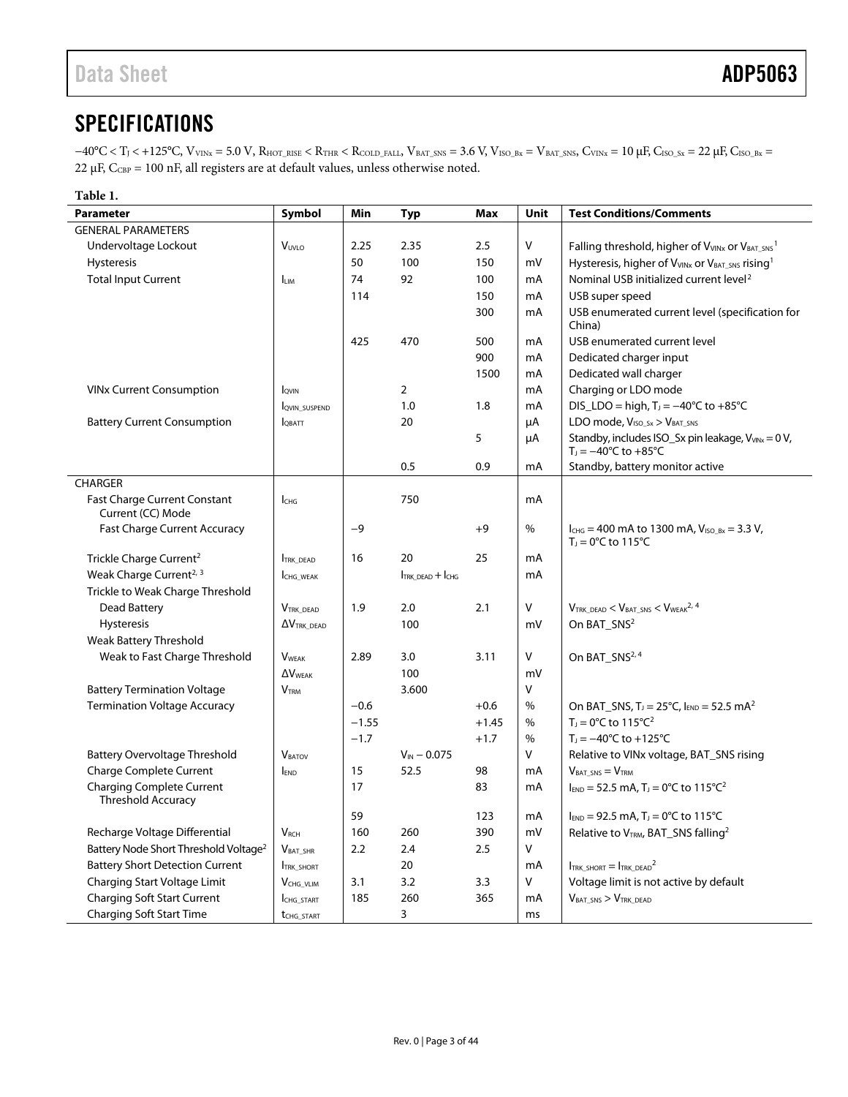# <span id="page-2-0"></span>**SPECIFICATIONS**

 $-40^{\circ}\text{C} < T_{\text{J}} < +125^{\circ}\text{C}, \text{V}_{\text{VINx}} = 5.0 \text{ V}, \text{R}_{\text{HOT\_RISE}} < \text{R}_{\text{THR}} < \text{R}_{\text{COLD\_FALL}}, \text{V}_{\text{BAT\_SNS}} = 3.6 \text{ V}, \text{V}_{\text{ISO\_Bx}} = \text{V}_{\text{BAT\_SNS}}, \text{C}_{\text{VINx}} = 10 \text{ }\mu\text{F}, \text{C}_{\text{ISO\_Sx}} = 22 \text{ }\mu\text{F}, \text{C}_{\text{ISO\_Bx}} = 22 \text{ }\mu\$ 22  $\mu$ F, C<sub>CBP</sub> = 100 nF, all registers are at default values, unless otherwise noted.

| Table 1.                                                      |                          |         |                      |         |      |                                                                                                          |  |  |  |  |
|---------------------------------------------------------------|--------------------------|---------|----------------------|---------|------|----------------------------------------------------------------------------------------------------------|--|--|--|--|
| <b>Parameter</b>                                              | Symbol                   | Min     | <b>Typ</b>           | Max     | Unit | <b>Test Conditions/Comments</b>                                                                          |  |  |  |  |
| <b>GENERAL PARAMETERS</b>                                     |                          |         |                      |         |      |                                                                                                          |  |  |  |  |
| Undervoltage Lockout                                          | V <sub>UVLO</sub>        | 2.25    | 2.35                 | 2.5     | V    | Falling threshold, higher of V <sub>VINx</sub> or V <sub>BAT_SNS</sub> <sup>1</sup>                      |  |  |  |  |
| Hysteresis                                                    |                          | 50      | 100                  | 150     | mV   | Hysteresis, higher of V <sub>VINx</sub> or V <sub>BAT_SNS</sub> rising <sup>1</sup>                      |  |  |  |  |
| <b>Total Input Current</b>                                    | <b>I</b> <sub>LIM</sub>  | 74      | 92                   | 100     | mA   | Nominal USB initialized current level <sup>2</sup>                                                       |  |  |  |  |
|                                                               |                          | 114     |                      | 150     | mA   | USB super speed                                                                                          |  |  |  |  |
|                                                               |                          |         |                      | 300     | mA   | USB enumerated current level (specification for<br>China)                                                |  |  |  |  |
|                                                               |                          | 425     | 470                  | 500     | mA   | USB enumerated current level                                                                             |  |  |  |  |
|                                                               |                          |         |                      | 900     | mA   | Dedicated charger input                                                                                  |  |  |  |  |
|                                                               |                          |         |                      | 1500    | mA   | Dedicated wall charger                                                                                   |  |  |  |  |
| <b>VINx Current Consumption</b>                               | IQVIN                    |         | $\overline{2}$       |         | mA   | Charging or LDO mode                                                                                     |  |  |  |  |
|                                                               | <b>QVIN SUSPEND</b>      |         | 1.0                  | 1.8     | mA   | DIS_LDO = high, $T_1 = -40^{\circ}C$ to $+85^{\circ}C$                                                   |  |  |  |  |
| <b>Battery Current Consumption</b>                            | <b>IOBATT</b>            |         | 20                   |         | μA   | LDO mode, V <sub>ISO_Sx</sub> > V <sub>BAT_SNS</sub>                                                     |  |  |  |  |
|                                                               |                          |         |                      | 5       | μA   | Standby, includes ISO_Sx pin leakage, V <sub>VINx</sub> = 0 V,<br>$T_J = -40^{\circ}C$ to $+85^{\circ}C$ |  |  |  |  |
|                                                               |                          |         | 0.5                  | 0.9     | mA   | Standby, battery monitor active                                                                          |  |  |  |  |
| <b>CHARGER</b>                                                |                          |         |                      |         |      |                                                                                                          |  |  |  |  |
| <b>Fast Charge Current Constant</b><br>Current (CC) Mode      | Існа                     |         | 750                  |         | mA   |                                                                                                          |  |  |  |  |
| <b>Fast Charge Current Accuracy</b>                           |                          | $-9$    |                      | $+9$    | %    | $I_{CHG}$ = 400 mA to 1300 mA, $V_{ISO_Bx}$ = 3.3 V,<br>$TJ = 0°C$ to 115°C                              |  |  |  |  |
| Trickle Charge Current <sup>2</sup>                           | <b>TRK DEAD</b>          | 16      | 20                   | 25      | mA   |                                                                                                          |  |  |  |  |
| Weak Charge Current <sup>2, 3</sup>                           | CHG_WEAK                 |         | $ITRK$ dead $+ ICHG$ |         | mA   |                                                                                                          |  |  |  |  |
| Trickle to Weak Charge Threshold                              |                          |         |                      |         |      |                                                                                                          |  |  |  |  |
| Dead Battery                                                  | <b>VTRK DEAD</b>         | 1.9     | 2.0                  | 2.1     | V    | $V_{\text{TRK}\_\text{DEAD}} < V_{\text{BAT}\_\text{SNS}} < V_{\text{WEAK}}{}^{2,4}$                     |  |  |  |  |
| Hysteresis                                                    | $\Delta V$ TRK DEAD      |         | 100                  |         | mV   | On BAT_SNS <sup>2</sup>                                                                                  |  |  |  |  |
| Weak Battery Threshold                                        |                          |         |                      |         |      |                                                                                                          |  |  |  |  |
| Weak to Fast Charge Threshold                                 | <b>VWFAK</b>             | 2.89    | 3.0                  | 3.11    | V    | On BAT_SNS <sup>2, 4</sup>                                                                               |  |  |  |  |
|                                                               | $\Delta V_{\text{WFAK}}$ |         | 100                  |         | mV   |                                                                                                          |  |  |  |  |
| <b>Battery Termination Voltage</b>                            | <b>V</b> <sub>TRM</sub>  |         | 3.600                |         | V    |                                                                                                          |  |  |  |  |
| <b>Termination Voltage Accuracy</b>                           |                          | $-0.6$  |                      | $+0.6$  | %    | On BAT_SNS, $T_1 = 25^{\circ}C$ , $I_{END} = 52.5$ mA <sup>2</sup>                                       |  |  |  |  |
|                                                               |                          | $-1.55$ |                      | $+1.45$ | %    | $T_1 = 0$ °C to 115°C <sup>2</sup>                                                                       |  |  |  |  |
|                                                               |                          | $-1.7$  |                      | $+1.7$  | %    | $T_1 = -40^{\circ}C$ to $+125^{\circ}C$                                                                  |  |  |  |  |
| <b>Battery Overvoltage Threshold</b>                          | <b>VBATOV</b>            |         | $V_{IN} - 0.075$     |         | V    | Relative to VINx voltage, BAT_SNS rising                                                                 |  |  |  |  |
| <b>Charge Complete Current</b>                                | <b>END</b>               | 15      | 52.5                 | 98      | mA   | $VBAT SNS = VTRM$                                                                                        |  |  |  |  |
| <b>Charging Complete Current</b><br><b>Threshold Accuracy</b> |                          | 17      |                      | 83      | mA   | $I_{END} = 52.5$ mA, T <sub>J</sub> = 0°C to 115°C <sup>2</sup>                                          |  |  |  |  |
|                                                               |                          | 59      |                      | 123     | mA   | $I_{END} = 92.5$ mA, T <sub>J</sub> = 0°C to 115°C                                                       |  |  |  |  |
| Recharge Voltage Differential                                 | <b>V</b> <sub>RCH</sub>  | 160     | 260                  | 390     | mV   | Relative to VTRM, BAT_SNS falling <sup>2</sup>                                                           |  |  |  |  |
| Battery Node Short Threshold Voltage <sup>2</sup>             | $V_{BAT\_SHR}$           | 2.2     | $2.4\,$              | 2.5     | V    |                                                                                                          |  |  |  |  |
| <b>Battery Short Detection Current</b>                        | <b>TRK_SHORT</b>         |         | 20                   |         | mA   | $I_{\text{TRK\_SHORT}} = I_{\text{TRK\_DEAD}}^2$                                                         |  |  |  |  |
| Charging Start Voltage Limit                                  | $V_{CHG\_VLIM}$          | 3.1     | 3.2                  | 3.3     | V    | Voltage limit is not active by default                                                                   |  |  |  |  |
| <b>Charging Soft Start Current</b>                            | CHG_START                | 185     | 260                  | 365     | mA   | $V_{BAT\_SNS} > V_{TRK\_DEAD}$                                                                           |  |  |  |  |
| <b>Charging Soft Start Time</b>                               | t <sub>CHG_START</sub>   |         | 3                    |         | ms   |                                                                                                          |  |  |  |  |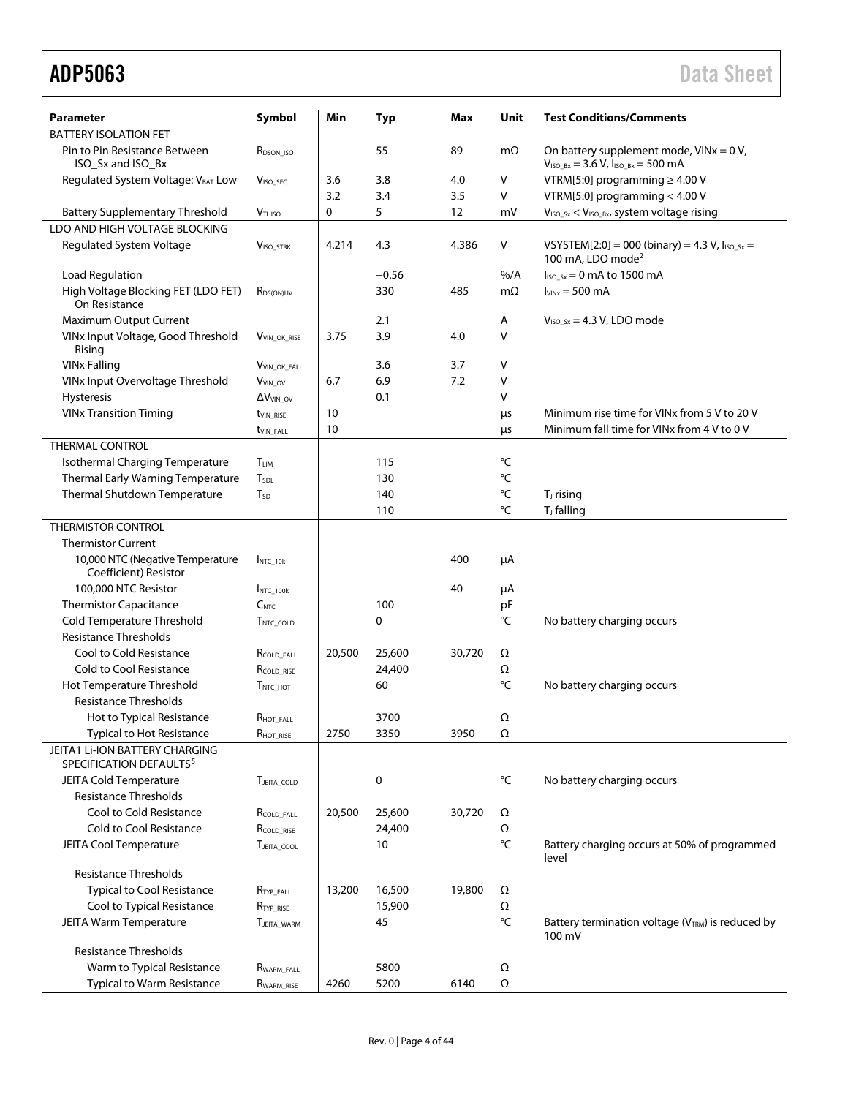| <b>Parameter</b>                                                      | Symbol                   | Min    | <b>Typ</b> | Max    | <b>Unit</b>       | <b>Test Conditions/Comments</b>                                                         |
|-----------------------------------------------------------------------|--------------------------|--------|------------|--------|-------------------|-----------------------------------------------------------------------------------------|
| <b>BATTERY ISOLATION FET</b>                                          |                          |        |            |        |                   |                                                                                         |
| Pin to Pin Resistance Between                                         |                          |        |            |        |                   |                                                                                         |
| ISO_Sx and ISO_Bx                                                     | R <sub>DSON</sub> ISO    |        | 55         | 89     | $m\Omega$         | On battery supplement mode, $VINx = 0 V$ ,<br>$V_{ISO_Bx} = 3.6 V, I_{ISO_Bx} = 500 mA$ |
| Regulated System Voltage: VBAT Low                                    | V <sub>ISO</sub> SFC     | 3.6    | 3.8        | 4.0    | V                 | VTRM[5:0] programming $\geq 4.00$ V                                                     |
|                                                                       |                          | 3.2    | 3.4        | 3.5    | v                 | VTRM[5:0] programming < 4.00 V                                                          |
| <b>Battery Supplementary Threshold</b>                                | <b>VTHISO</b>            | 0      | 5          | 12     | mV                | $V_{ISO_5x} < V_{ISO_5x}$ , system voltage rising                                       |
| LDO AND HIGH VOLTAGE BLOCKING                                         |                          |        |            |        |                   |                                                                                         |
| <b>Regulated System Voltage</b>                                       | <b>VISO STRK</b>         | 4.214  | 4.3        | 4.386  | ٧                 | VSYSTEM[2:0] = 000 (binary) = 4.3 V, $I_{ISO_5x}$ =<br>100 mA, LDO mode <sup>2</sup>    |
| <b>Load Regulation</b>                                                |                          |        | $-0.56$    |        | $%$ /A            | $I_{ISO Sx} = 0$ mA to 1500 mA                                                          |
| High Voltage Blocking FET (LDO FET)<br>On Resistance                  | R <sub>DS(ON)HV</sub>    |        | 330        | 485    | mΩ                | $I_{VINx} = 500 \text{ mA}$                                                             |
| Maximum Output Current                                                |                          |        | 2.1        |        | А                 | $V_{ISO Sx} = 4.3 V, LDO mode$                                                          |
| VINx Input Voltage, Good Threshold<br>Rising                          | VVIN OK RISE             | 3.75   | 3.9        | 4.0    | ٧                 |                                                                                         |
| <b>VINx Falling</b>                                                   | VVIN OK FALL             |        | 3.6        | 3.7    | V                 |                                                                                         |
| VINx Input Overvoltage Threshold                                      | V <sub>VIN_OV</sub>      | 6.7    | 6.9        | 7.2    | ٧                 |                                                                                         |
| Hysteresis                                                            | $\Delta V_{VIN}$ ov      |        | 0.1        |        | V                 |                                                                                         |
| <b>VINx Transition Timing</b>                                         | tvin RISE                | 10     |            |        | μs                | Minimum rise time for VINx from 5 V to 20 V                                             |
|                                                                       |                          | 10     |            |        |                   | Minimum fall time for VINx from 4 V to 0 V                                              |
| <b>THERMAL CONTROL</b>                                                | t <sub>VIN_FALL</sub>    |        |            |        | μs                |                                                                                         |
|                                                                       |                          |        |            |        |                   |                                                                                         |
| Isothermal Charging Temperature                                       | T <sub>LIM</sub>         |        | 115        |        | °C                |                                                                                         |
| Thermal Early Warning Temperature                                     | <b>T</b> <sub>SDL</sub>  |        | 130        |        | $^{\circ}{\sf C}$ |                                                                                         |
| Thermal Shutdown Temperature                                          | T <sub>SD</sub>          |        | 140        |        | °C                | T <sub>J</sub> rising                                                                   |
|                                                                       |                          |        | 110        |        | °C                | T <sub>J</sub> falling                                                                  |
| <b>THERMISTOR CONTROL</b>                                             |                          |        |            |        |                   |                                                                                         |
| <b>Thermistor Current</b>                                             |                          |        |            |        |                   |                                                                                         |
| 10,000 NTC (Negative Temperature<br>Coefficient) Resistor             | INTC 10k                 |        |            | 400    | μA                |                                                                                         |
| 100,000 NTC Resistor                                                  | $INTC_100k$              |        |            | 40     | μA                |                                                                                         |
| <b>Thermistor Capacitance</b>                                         | C <sub>NTC</sub>         |        | 100        |        | pF                |                                                                                         |
| Cold Temperature Threshold                                            | TNTC COLD                |        | 0          |        | °C                | No battery charging occurs                                                              |
| <b>Resistance Thresholds</b>                                          |                          |        |            |        |                   |                                                                                         |
| Cool to Cold Resistance                                               | RCOLD FALL               | 20,500 | 25,600     | 30,720 | Ω                 |                                                                                         |
| Cold to Cool Resistance                                               | RCOLD RISE               |        | 24,400     |        | Ω                 |                                                                                         |
| Hot Temperature Threshold                                             | TNTC HOT                 |        | 60         |        | °C                | No battery charging occurs                                                              |
| <b>Resistance Thresholds</b>                                          |                          |        |            |        |                   |                                                                                         |
| <b>Hot to Typical Resistance</b>                                      | RHOT FALL                |        | 3700       |        | Ω                 |                                                                                         |
| <b>Typical to Hot Resistance</b>                                      | $R$ <sub>HOT_RISE</sub>  | 2750   | 3350       | 3950   | Ω                 |                                                                                         |
| JEITA1 Li-ION BATTERY CHARGING<br>SPECIFICATION DEFAULTS <sup>5</sup> |                          |        |            |        |                   |                                                                                         |
| JEITA Cold Temperature<br><b>Resistance Thresholds</b>                | TJEITA COLD              |        | 0          |        | °C                | No battery charging occurs                                                              |
| Cool to Cold Resistance                                               |                          | 20,500 | 25,600     | 30,720 | Ω                 |                                                                                         |
| Cold to Cool Resistance                                               | RCOLD FALL<br>RCOLD RISE |        | 24,400     |        | Ω                 |                                                                                         |
|                                                                       |                          |        |            |        | $^{\circ}{\sf C}$ |                                                                                         |
| JEITA Cool Temperature                                                | TJEITA COOL              |        | 10         |        |                   | Battery charging occurs at 50% of programmed<br>level                                   |
| <b>Resistance Thresholds</b>                                          |                          |        |            |        |                   |                                                                                         |
| <b>Typical to Cool Resistance</b>                                     | RTYP FALL                | 13,200 | 16,500     | 19,800 | Ω                 |                                                                                         |
| Cool to Typical Resistance                                            | R <sub>TYP</sub> RISE    |        | 15,900     |        | Ω                 |                                                                                         |
| JEITA Warm Temperature                                                | TJEITA WARM              |        | 45         |        | °C                | Battery termination voltage (V <sub>TRM</sub> ) is reduced by<br>100 mV                 |
| <b>Resistance Thresholds</b>                                          |                          |        |            |        |                   |                                                                                         |
| Warm to Typical Resistance                                            | RWARM FALL               |        | 5800       |        | Ω                 |                                                                                         |
| Typical to Warm Resistance                                            | RWARM_RISE               | 4260   | 5200       | 6140   | Ω                 |                                                                                         |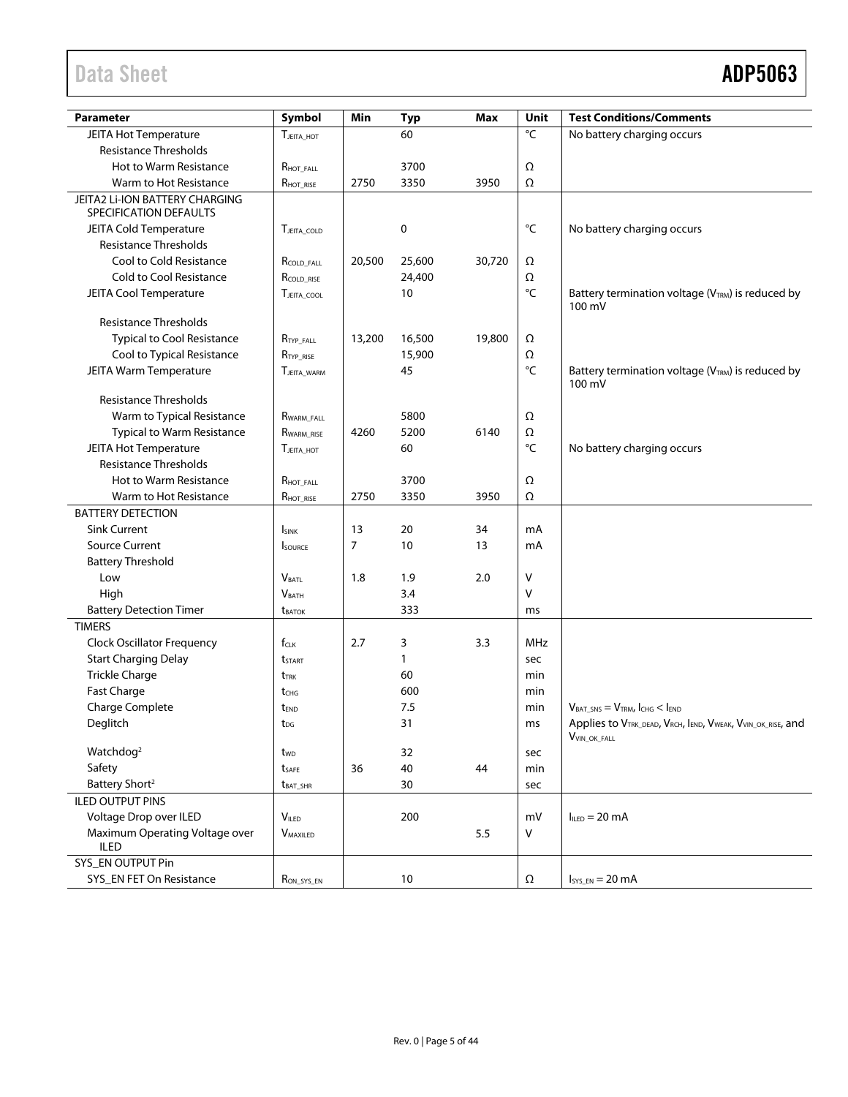# Data Sheet **ADP5063**

| <b>Parameter</b>                                                  | Symbol                   | Min    | <b>Typ</b> | Max    | Unit              | <b>Test Conditions/Comments</b>                                         |
|-------------------------------------------------------------------|--------------------------|--------|------------|--------|-------------------|-------------------------------------------------------------------------|
| <b>JEITA Hot Temperature</b>                                      | TJEITA HOT               |        | 60         |        | $\overline{C}$    | No battery charging occurs                                              |
| <b>Resistance Thresholds</b>                                      |                          |        |            |        |                   |                                                                         |
| <b>Hot to Warm Resistance</b>                                     | RHOT FALL                |        | 3700       |        | Ω                 |                                                                         |
| Warm to Hot Resistance                                            | RHOT_RISE                | 2750   | 3350       | 3950   | Ω                 |                                                                         |
| <b>JEITA2 Li-ION BATTERY CHARGING</b>                             |                          |        |            |        |                   |                                                                         |
| SPECIFICATION DEFAULTS                                            |                          |        |            |        |                   |                                                                         |
| <b>JEITA Cold Temperature</b>                                     | TJEITA COLD              |        | 0          |        | °C                | No battery charging occurs                                              |
| <b>Resistance Thresholds</b>                                      |                          |        |            |        |                   |                                                                         |
| Cool to Cold Resistance                                           | RCOLD FALL               | 20,500 | 25,600     | 30,720 | Ω                 |                                                                         |
| Cold to Cool Resistance                                           | RCOLD_RISE               |        | 24,400     |        | Ω                 |                                                                         |
| <b>JEITA Cool Temperature</b>                                     | TJEITA COOL              |        | 10         |        | $^{\circ}{\sf C}$ | Battery termination voltage (V <sub>TRM</sub> ) is reduced by<br>100 mV |
| <b>Resistance Thresholds</b>                                      |                          |        |            |        |                   |                                                                         |
| <b>Typical to Cool Resistance</b>                                 | RTYP FALL                | 13,200 | 16,500     | 19,800 | Ω                 |                                                                         |
| Cool to Typical Resistance                                        | RTYP RISE                |        | 15,900     |        | Ω                 |                                                                         |
| JEITA Warm Temperature                                            | <b>TJEITA WARM</b>       |        | 45         |        | $^{\circ}{\sf C}$ | Battery termination voltage (V <sub>TRM</sub> ) is reduced by           |
| <b>Resistance Thresholds</b>                                      |                          |        |            |        |                   | 100 mV                                                                  |
|                                                                   |                          |        | 5800       |        |                   |                                                                         |
| Warm to Typical Resistance                                        | RWARM FALL<br>RWARM RISE | 4260   | 5200       | 6140   | Ω<br>Ω            |                                                                         |
| <b>Typical to Warm Resistance</b><br><b>JEITA Hot Temperature</b> | <b>TJEITA HOT</b>        |        | 60         |        | °C                |                                                                         |
| <b>Resistance Thresholds</b>                                      |                          |        |            |        |                   | No battery charging occurs                                              |
| Hot to Warm Resistance                                            |                          |        | 3700       |        | Ω                 |                                                                         |
| Warm to Hot Resistance                                            | $R_{\text{HOT\_FALL}}$   | 2750   | 3350       | 3950   | Ω                 |                                                                         |
| <b>BATTERY DETECTION</b>                                          | RHOT_RISE                |        |            |        |                   |                                                                         |
| <b>Sink Current</b>                                               | <b>I</b> SINK            | 13     | 20         | 34     | mA                |                                                                         |
| <b>Source Current</b>                                             | <b>SOURCE</b>            | 7      | 10         | 13     | mA                |                                                                         |
| <b>Battery Threshold</b>                                          |                          |        |            |        |                   |                                                                         |
| Low                                                               | <b>VBATL</b>             | 1.8    | 1.9        | 2.0    | V                 |                                                                         |
| High                                                              | V <sub>BATH</sub>        |        | 3.4        |        | V                 |                                                                         |
| <b>Battery Detection Timer</b>                                    | <b>t</b> BATOK           |        | 333        |        | ms                |                                                                         |
| <b>TIMERS</b>                                                     |                          |        |            |        |                   |                                                                         |
| <b>Clock Oscillator Frequency</b>                                 | $f_{CLK}$                | 2.7    | 3          | 3.3    | <b>MHz</b>        |                                                                         |
| <b>Start Charging Delay</b>                                       | <b>t</b> start           |        | 1          |        | sec               |                                                                         |
| <b>Trickle Charge</b>                                             | t <sub>trk</sub>         |        | 60         |        | min               |                                                                         |
| Fast Charge                                                       | t <sub>CHG</sub>         |        | 600        |        | min               |                                                                         |
| Charge Complete                                                   | t <sub>END</sub>         |        | 7.5        |        | min               | $V_{BAT SNS} = V_{TRM}$ , ICHG < IEND                                   |
| Deglitch                                                          | t <sub>DG</sub>          |        | 31         |        | ms                | Applies to VTRK_DEAD, VRCH, IEND, VWEAK, VVIN_OK_RISE, and              |
|                                                                   |                          |        |            |        |                   | $V_{\text{VIN\_OK\_FALL}}$                                              |
| Watchdog <sup>2</sup>                                             | t <sub>wp</sub>          |        | 32         |        | sec               |                                                                         |
| Safety                                                            | tsafe                    | 36     | 40         | 44     | min               |                                                                         |
| Battery Short <sup>2</sup>                                        | $t_{BAT\_SHR}$           |        | 30         |        | sec               |                                                                         |
| <b>ILED OUTPUT PINS</b>                                           |                          |        |            |        |                   |                                                                         |
| Voltage Drop over ILED                                            | VILED                    |        | 200        |        | mV                | $I_{\text{HFD}} = 20 \text{ mA}$                                        |
| Maximum Operating Voltage over                                    | <b>VMAXILED</b>          |        |            | 5.5    | V                 |                                                                         |
| <b>ILED</b>                                                       |                          |        |            |        |                   |                                                                         |
| SYS_EN OUTPUT Pin                                                 |                          |        |            |        |                   |                                                                         |
| SYS_EN FET On Resistance                                          | $R_{ON\_SYS\_EN}$        |        | 10         |        | Ω                 | $I_{SYS\_EN} = 20 mA$                                                   |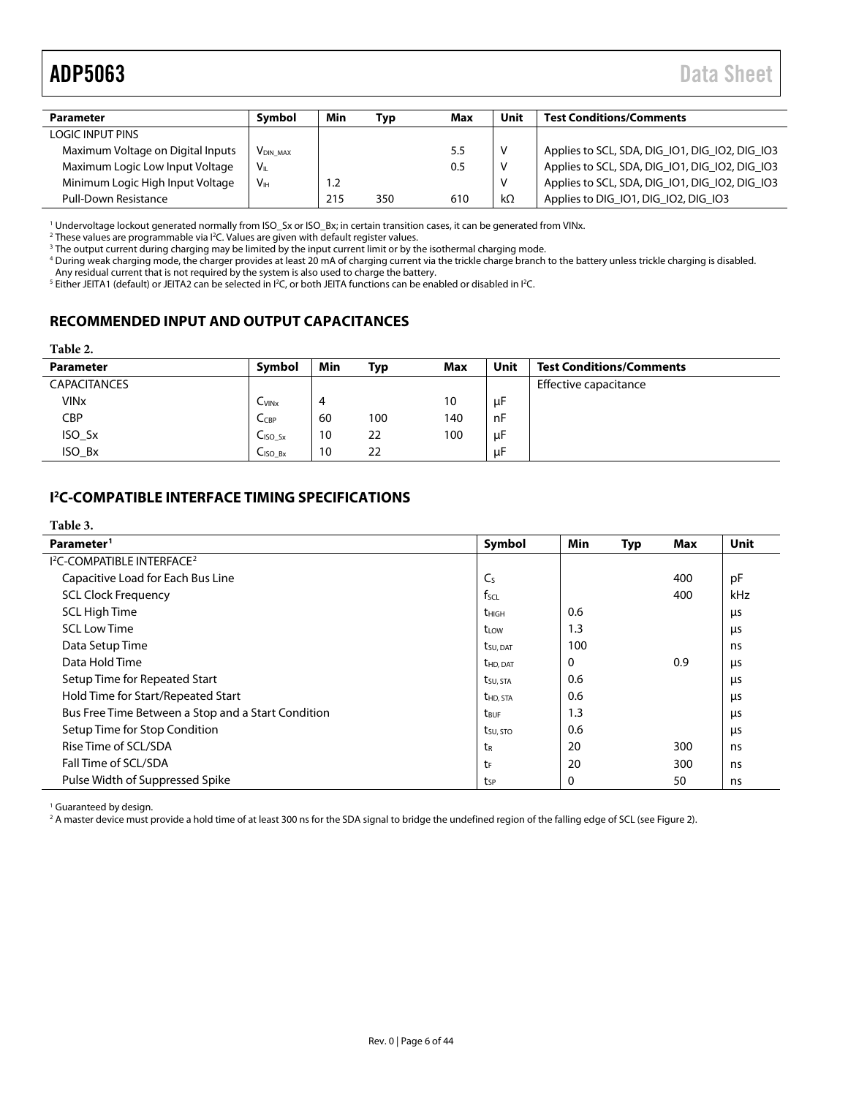# <span id="page-5-3"></span>ADP5063 Data Sheet

| Symbol<br><b>Parameter</b>        |                            | Min | Typ | Max     | Unit      | <b>Test Conditions/Comments</b>                |
|-----------------------------------|----------------------------|-----|-----|---------|-----------|------------------------------------------------|
| LOGIC INPUT PINS                  |                            |     |     |         |           |                                                |
| Maximum Voltage on Digital Inputs | <b>V<sub>DIN MAX</sub></b> |     |     | $5.5\,$ | V         | Applies to SCL, SDA, DIG_IO1, DIG_IO2, DIG_IO3 |
| Maximum Logic Low Input Voltage   | Vı                         |     |     | 0.5     | V         | Applies to SCL, SDA, DIG_IO1, DIG_IO2, DIG_IO3 |
| Minimum Logic High Input Voltage  | V <sub>IH</sub>            | 1.2 |     |         | V         | Applies to SCL, SDA, DIG_IO1, DIG_IO2, DIG_IO3 |
| <b>Pull-Down Resistance</b>       |                            | 215 | 350 | 610     | $k\Omega$ | Applies to DIG_IO1, DIG_IO2, DIG_IO3           |

<span id="page-5-2"></span><sup>1</sup> Undervoltage lockout generated normally from ISO\_Sx or ISO\_Bx; in certain transition cases, it can be generated from VINx.

 $2$  These values are programmable via  $P$ C. Values are given with default register values.

<sup>3</sup> The output current during charging may be limited by the input current limit or by the isothermal charging mode.

<sup>4</sup> During weak charging mode, the charger provides at least 20 mA of charging current via the trickle charge branch to the battery unless trickle charging is disabled. Any residual current that is not required by the system is also used to charge the battery.

 $^5$  Either JEITA1 (default) or JEITA2 can be selected in I<sup>2</sup>C, or both JEITA functions can be enabled or disabled in I<sup>2</sup>C.

# <span id="page-5-0"></span>**RECOMMENDED INPUT AND OUTPUT CAPACITANCES**

### **Table 2.**

| <b>Parameter</b>       | Symbol                          | Min | Typ | Max | Unit | <b>Test Conditions/Comments</b> |
|------------------------|---------------------------------|-----|-----|-----|------|---------------------------------|
| <b>CAPACITANCES</b>    |                                 |     |     |     |      | Effective capacitance           |
| <b>VIN<sub>x</sub></b> | C <sub>V</sub>                  | 4   |     | 10  | μF   |                                 |
| <b>CBP</b>             | $C_{CBP}$                       | 60  | 100 | 140 | nF   |                                 |
| ISO_Sx                 | $CISO$ sx                       | 10  | 22  | 100 | μF   |                                 |
| ISO Bx                 | C <sub>ISO</sub> B <sub>x</sub> | 10  | 22  |     | μF   |                                 |

# <span id="page-5-1"></span>**I 2 C-COMPATIBLE INTERFACE TIMING SPECIFICATIONS**

| Table 3.                                               |                       |          |     |     |      |
|--------------------------------------------------------|-----------------------|----------|-----|-----|------|
| Parameter <sup>1</sup>                                 | Symbol                | Min      | Typ | Max | Unit |
| <b>I<sup>2</sup>C-COMPATIBLE INTERFACE<sup>2</sup></b> |                       |          |     |     |      |
| Capacitive Load for Each Bus Line                      | C <sub>S</sub>        |          |     | 400 | pF   |
| <b>SCL Clock Frequency</b>                             | $f_{\text{SCL}}$      |          |     | 400 | kHz  |
| <b>SCL High Time</b>                                   | <b>t</b> HIGH         | 0.6      |     |     | μs   |
| <b>SCL Low Time</b>                                    | t <sub>LOW</sub>      | 1.3      |     |     | μs   |
| Data Setup Time                                        | t <sub>su</sub> , dat | 100      |     |     | ns   |
| Data Hold Time                                         | <b>t</b> HD. DAT      | 0        |     | 0.9 | μs   |
| Setup Time for Repeated Start                          | tsu, sta              | 0.6      |     |     | μs   |
| Hold Time for Start/Repeated Start                     | t <sub>HD</sub> , STA | 0.6      |     |     | μs   |
| Bus Free Time Between a Stop and a Start Condition     | t <sub>BUF</sub>      | 1.3      |     |     | μs   |
| Setup Time for Stop Condition                          | $t_{\text{SU, STO}}$  | 0.6      |     |     | μs   |
| Rise Time of SCL/SDA                                   | t <sub>R</sub>        | 20       |     | 300 | ns   |
| Fall Time of SCL/SDA                                   | tF                    | 20       |     | 300 | ns   |
| Pulse Width of Suppressed Spike                        | tsp                   | $\Omega$ |     | 50  | ns   |

<sup>1</sup> Guaranteed by design.

<sup>2</sup> A master device must provide a hold time of at least 300 ns for the SDA signal to bridge the undefined region of the falling edge of SCL (se[e Figure 2\)](#page-6-0).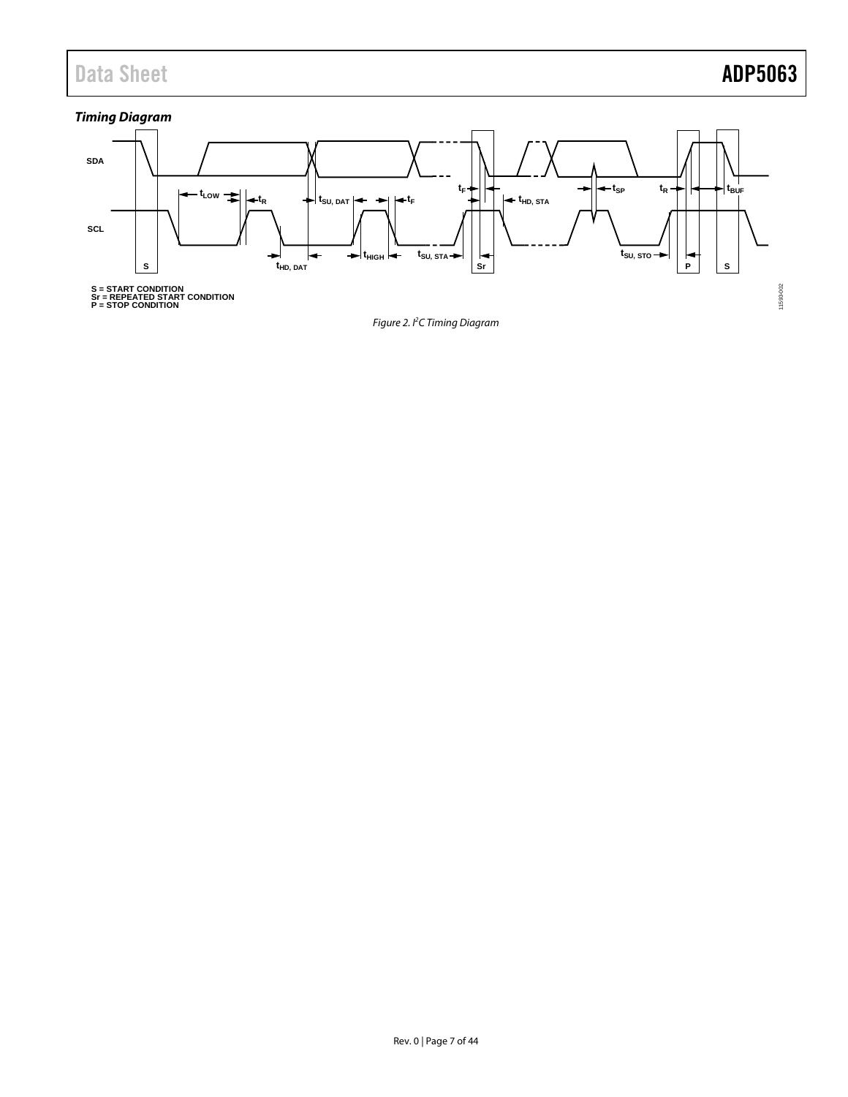# Data Sheet **ADP5063**

# *Timing Diagram*

<span id="page-6-0"></span>

*Figure 2. I 2 C Timing Diagram*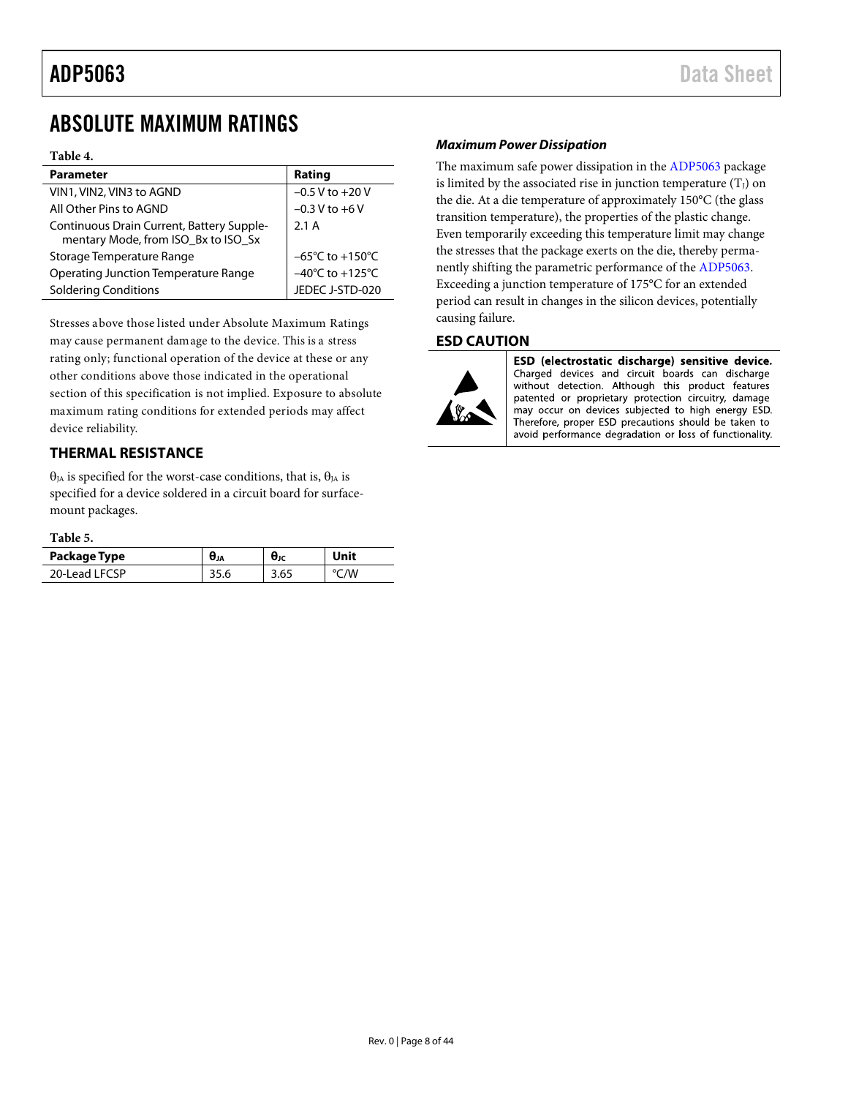# <span id="page-7-0"></span>ABSOLUTE MAXIMUM RATINGS

### **Table 4.**

| <b>Parameter</b>                                                                 | Rating                              |
|----------------------------------------------------------------------------------|-------------------------------------|
| VIN1, VIN2, VIN3 to AGND                                                         | $-0.5 V$ to $+20 V$                 |
| All Other Pins to AGND                                                           | $-0.3 V$ to $+6 V$                  |
| Continuous Drain Current, Battery Supple-<br>mentary Mode, from ISO_Bx to ISO_Sx | 2.1A                                |
| Storage Temperature Range                                                        | $-65^{\circ}$ C to $+150^{\circ}$ C |
| Operating Junction Temperature Range                                             | $-40^{\circ}$ C to $+125^{\circ}$ C |
| <b>Soldering Conditions</b>                                                      | JEDEC J-STD-020                     |

Stresses above those listed under Absolute Maximum Ratings may cause permanent damage to the device. This is a stress rating only; functional operation of the device at these or any other conditions above those indicated in the operational section of this specification is not implied. Exposure to absolute maximum rating conditions for extended periods may affect device reliability.

# <span id="page-7-1"></span>**THERMAL RESISTANCE**

θ<sub>JA</sub> is specified for the worst-case conditions, that is, θ<sub>JA</sub> is specified for a device soldered in a circuit board for surfacemount packages.

### <span id="page-7-3"></span>**Table 5.**

| Package Type  | UJA   | θк | Unit |
|---------------|-------|----|------|
| 20-Lead LFCSP | ں.ر د |    | /W   |

### *Maximum Power Dissipation*

The maximum safe power dissipation in th[e ADP5063](http://www.analog.com/ADP5063?doc=ADP5063.pdf) package is limited by the associated rise in junction temperature  $(T_J)$  on the die. At a die temperature of approximately 150°C (the glass transition temperature), the properties of the plastic change. Even temporarily exceeding this temperature limit may change the stresses that the package exerts on the die, thereby permanently shifting the parametric performance of the [ADP5063.](http://www.analog.com/ADP5063?doc=ADP5063.pdf) Exceeding a junction temperature of 175°C for an extended period can result in changes in the silicon devices, potentially causing failure.

### <span id="page-7-2"></span>**ESD CAUTION**



ESD (electrostatic discharge) sensitive device. Charged devices and circuit boards can discharge without detection. Although this product features patented or proprietary protection circuitry, damage may occur on devices subjected to high energy ESD. Therefore, proper ESD precautions should be taken to avoid performance degradation or loss of functionality.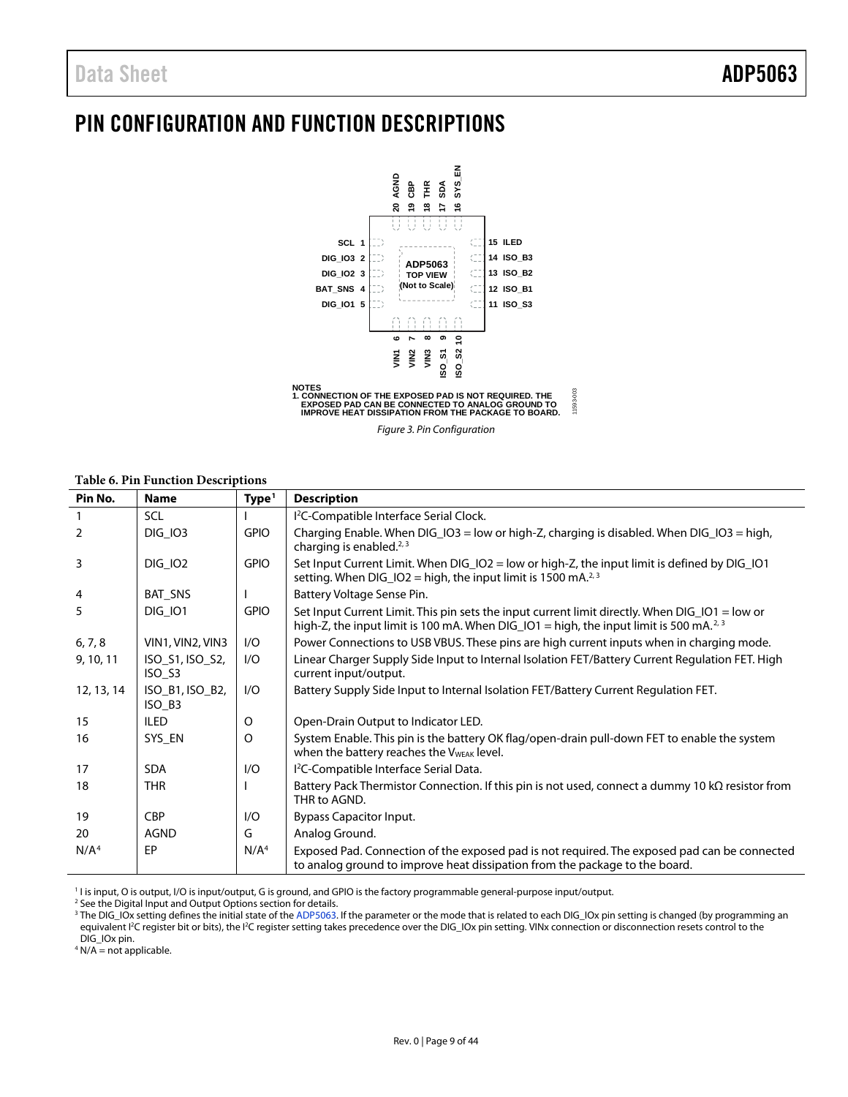# <span id="page-8-1"></span><span id="page-8-0"></span>PIN CONFIGURATION AND FUNCTION DESCRIPTIONS



*Figure 3. Pin Configuration*

### **Table 6. Pin Function Descriptions**

| Pin No.          | <b>Name</b>               | Type <sup>1</sup> | <b>Description</b>                                                                                                                                                                                   |
|------------------|---------------------------|-------------------|------------------------------------------------------------------------------------------------------------------------------------------------------------------------------------------------------|
|                  | <b>SCL</b>                |                   | I <sup>2</sup> C-Compatible Interface Serial Clock.                                                                                                                                                  |
| 2                | <b>DIG_IO3</b>            | <b>GPIO</b>       | Charging Enable. When DIG_IO3 = low or high-Z, charging is disabled. When DIG_IO3 = high,<br>charging is enabled. $2,3$                                                                              |
| 3                | <b>DIG_IO2</b>            | <b>GPIO</b>       | Set Input Current Limit. When DIG_IO2 = low or high-Z, the input limit is defined by DIG_IO1<br>setting. When $DIG_1O2 = high$ , the input limit is 1500 mA. <sup>2, 3</sup>                         |
| 4                | BAT_SNS                   |                   | Battery Voltage Sense Pin.                                                                                                                                                                           |
| 5                | <b>DIG 101</b>            | <b>GPIO</b>       | Set Input Current Limit. This pin sets the input current limit directly. When DIG_IO1 = low or<br>high-Z, the input limit is 100 mA. When DIG_IO1 = high, the input limit is 500 mA. <sup>2, 3</sup> |
| 6, 7, 8          | VIN1, VIN2, VIN3          | I/O               | Power Connections to USB VBUS. These pins are high current inputs when in charging mode.                                                                                                             |
| 9, 10, 11        | ISO_S1, ISO_S2,<br>ISO_S3 | I/O               | Linear Charger Supply Side Input to Internal Isolation FET/Battery Current Regulation FET. High<br>current input/output.                                                                             |
| 12, 13, 14       | ISO_B1, ISO_B2,<br>ISO_B3 | I/O               | Battery Supply Side Input to Internal Isolation FET/Battery Current Regulation FET.                                                                                                                  |
| 15               | <b>ILED</b>               | $\circ$           | Open-Drain Output to Indicator LED.                                                                                                                                                                  |
| 16               | SYS_EN                    | $\circ$           | System Enable. This pin is the battery OK flag/open-drain pull-down FET to enable the system<br>when the battery reaches the V <sub>WEAK</sub> level.                                                |
| 17               | <b>SDA</b>                | 1/O               | I <sup>2</sup> C-Compatible Interface Serial Data.                                                                                                                                                   |
| 18               | <b>THR</b>                |                   | Battery Pack Thermistor Connection. If this pin is not used, connect a dummy 10 k $\Omega$ resistor from<br>THR to AGND.                                                                             |
| 19               | <b>CBP</b>                | I/O               | <b>Bypass Capacitor Input.</b>                                                                                                                                                                       |
| 20               | <b>AGND</b>               | G                 | Analog Ground.                                                                                                                                                                                       |
| N/A <sup>4</sup> | EP                        | N/A <sup>4</sup>  | Exposed Pad. Connection of the exposed pad is not required. The exposed pad can be connected<br>to analog ground to improve heat dissipation from the package to the board.                          |

<sup>1</sup> I is input, O is output, I/O is input/output, G is ground, and GPIO is the factory programmable general-purpose input/output.

<sup>2</sup> See th[e Digital Input and Output](#page-40-1) Options section for details.

<sup>3</sup> The DIG\_IOx setting defines the initial state of th[e ADP5063.](http://www.analog.com/ADP5063?doc=ADP5063.pdf) If the parameter or the mode that is related to each DIG\_IOx pin setting is changed (by programming an equivalent I<sup>2</sup>C register bit or bits), the I<sup>2</sup>C register setting takes precedence over the DIG\_IOx pin setting. VINx connection or disconnection resets control to the DIG\_IOx pin.

 $4$  N/A = not applicable.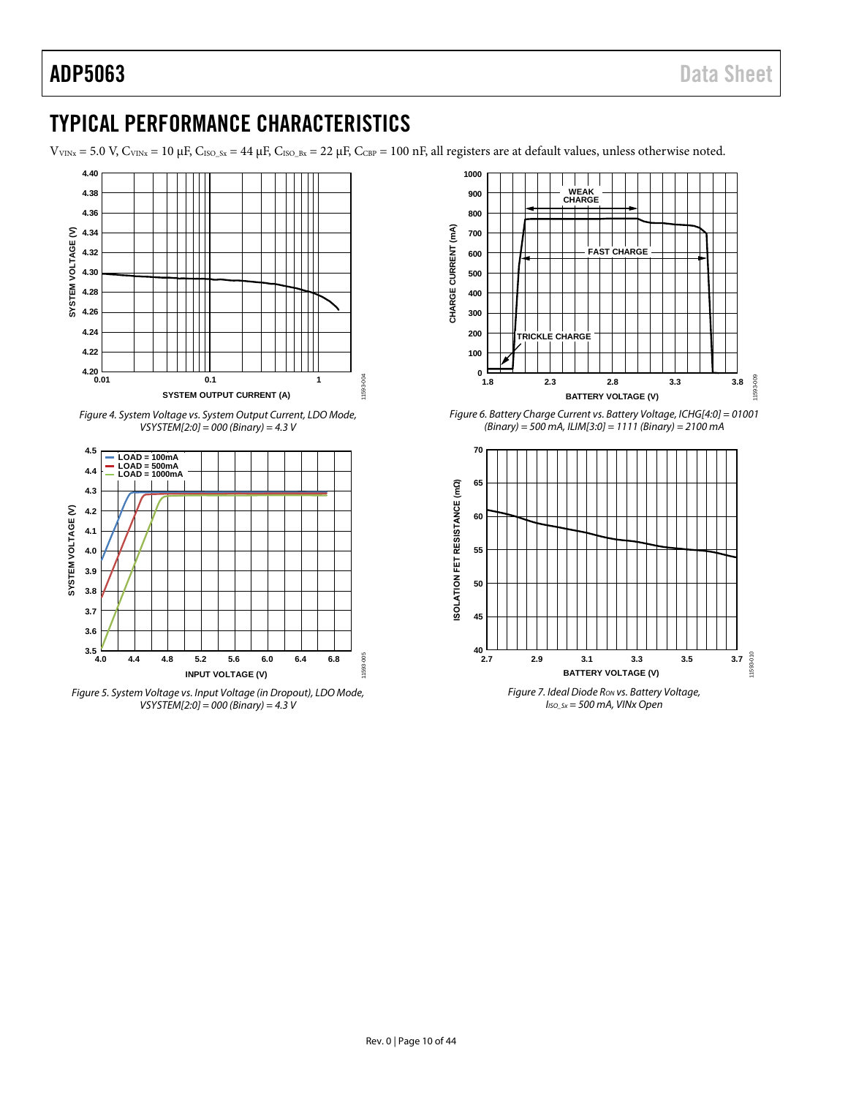# <span id="page-9-0"></span>TYPICAL PERFORMANCE CHARACTERISTICS

 $V_{VINx}$  = 5.0 V,  $C_{VINx}$  = 10  $\mu$ F,  $C_{ISO_Sx}$  = 44  $\mu$ F,  $C_{ISO_Sx}$  = 22  $\mu$ F,  $C_{CBP}$  = 100 nF, all registers are at default values, unless otherwise noted.

11593-004



*Figure 4. System Voltage vs. System Output Current, LDO Mode, VSYSTEM[2:0] = 000 (Binary) = 4.3 V*



*Figure 5. System Voltage vs. Input Voltage (in Dropout), LDO Mode, VSYSTEM[2:0] = 000 (Binary) = 4.3 V*



*Figure 6. Battery Charge Current vs. Battery Voltage, ICHG[4:0] = 01001 (Binary) = 500 mA, ILIM[3:0] = 1111 (Binary) = 2100 mA*



*IISO\_Sx = 500 mA, VINx Open*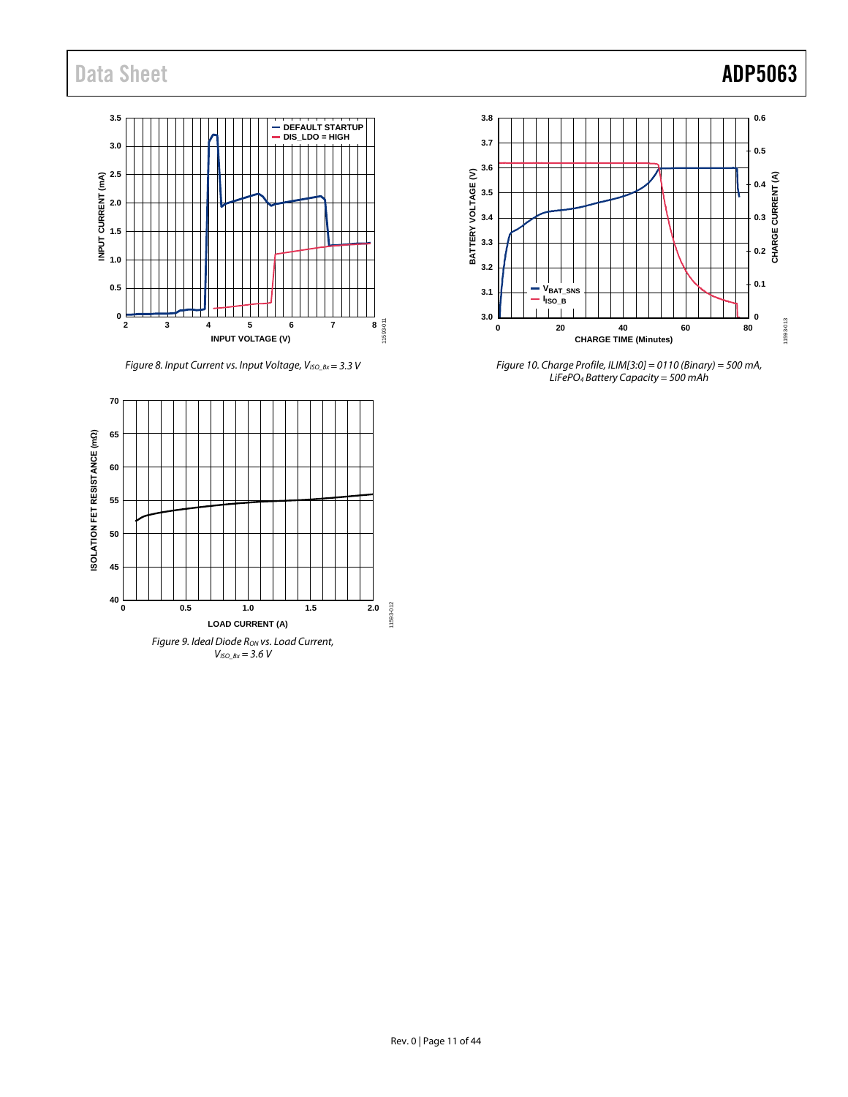# Data Sheet **ADP5063**

# $8 - 11593 - 011$ **0** <sup>1</sup> **0.5 1.0 1.5 2.0 2.5 3.0 3.5 2 3 4 5 6 7 8 INPUT CURRENT (mA) INPUT VOLTAGE (V) DEFAULT STARTUP DIS\_LDO = HIGH**

*Figure 8. Input Current vs. Input Voltage, V<sub>ISO\_Bx</sub> = 3.3 V* 

<span id="page-10-0"></span>



*Figure 10. Charge Profile, ILIM[3:0] = 0110 (Binary) = 500 mA, LiFePO4 Battery Capacity = 500 mAh*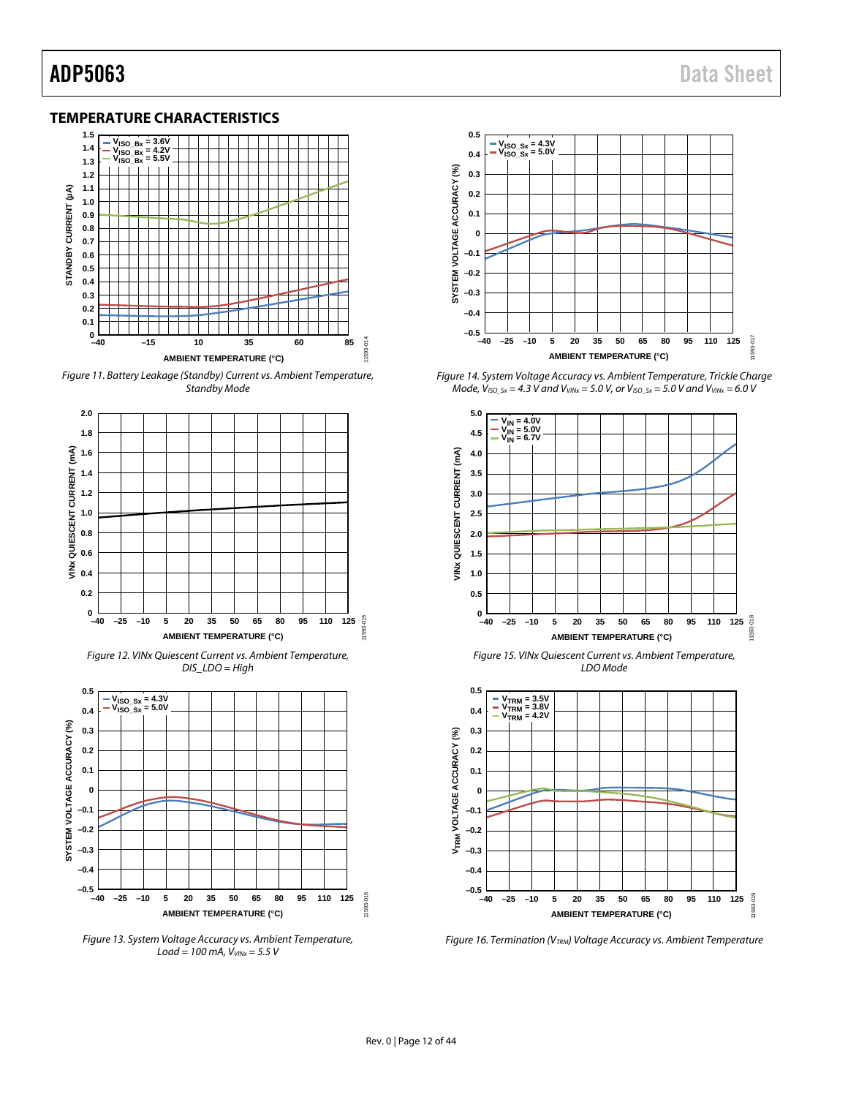## <span id="page-11-0"></span>**TEMPERATURE CHARACTERISTICS**



*Figure 11. Battery Leakage (Standby) Current vs. Ambient Temperature, Standby Mode*





*Figure 13. System Voltage Accuracy vs. Ambient Temperature, Load* = 100 mA,  $V_{VINX}$  = 5.5 V

**AMBIENT TEMPERATURE (°C)**



*Figure 14. System Voltage Accuracy vs. Ambient Temperature, Trickle Charge Mode, VISO\_Sx = 4.3 V and VVINx = 5.0 V, or VISO\_Sx = 5.0 V and VVINx = 6.0 V*



*Figure 15. VINx Quiescent Current vs. Ambient Temperature, LDO Mode*



*Figure 16. Termination (VTRM) Voltage Accuracy vs. Ambient Temperature*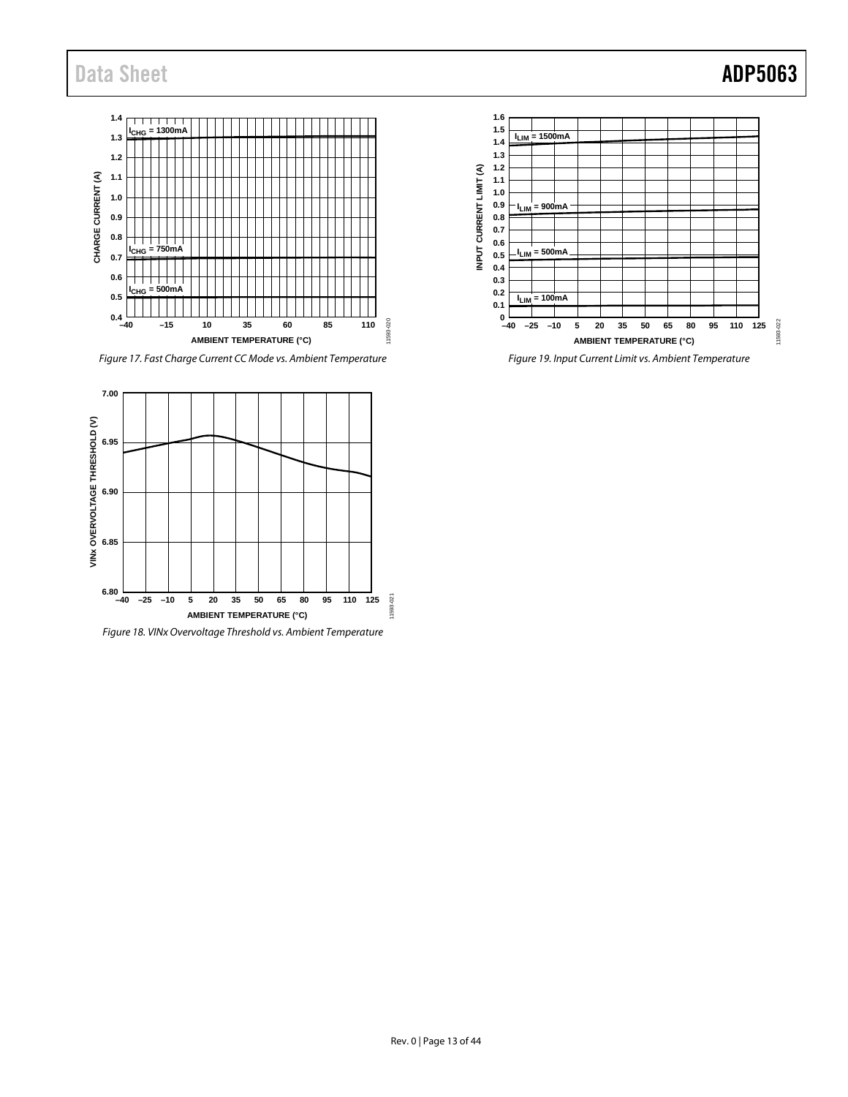

*Figure 17. Fast Charge Current CC Mode vs. Ambient Temperature*



*Figure 18. VINx Overvoltage Threshold vs. Ambient Temperature*



*Figure 19. Input Current Limit vs. Ambient Temperature*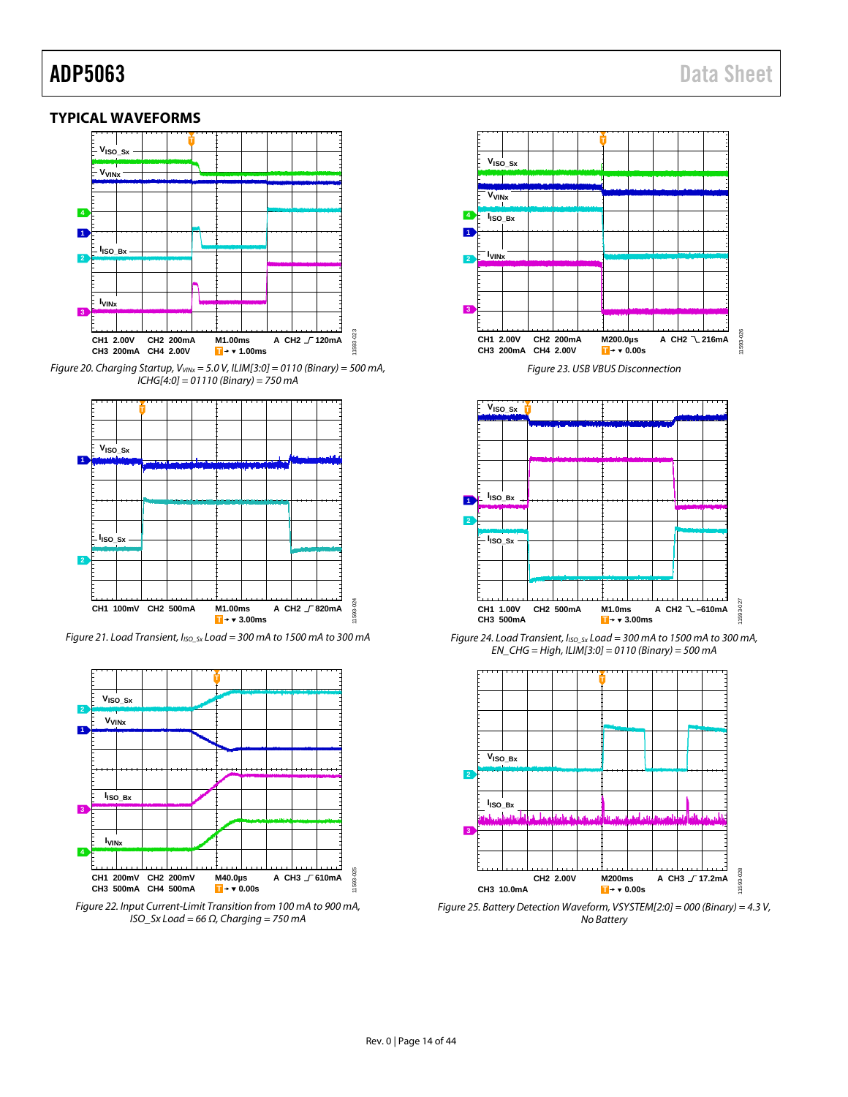## <span id="page-13-0"></span>**TYPICAL WAVEFORMS**



*Figure 20. Charging Startup, VVINx = 5.0 V, ILIM[3:0] = 0110 (Binary) = 500 mA, ICHG[4:0] = 01110 (Binary) = 750 mA*



*Figure 21. Load Transient, IISO\_Sx Load = 300 mA to 1500 mA to 300 mA*



*Figure 22. Input Current-Limit Transition from 100 mA to 900 mA, ISO\_Sx Load = 66 Ω, Charging = 750 mA*



*Figure 23. USB VBUS Disconnection*



*Figure 24. Load Transient, IISO\_Sx Load = 300 mA to 1500 mA to 300 mA, EN\_CHG = High, ILIM[3:0] = 0110 (Binary) = 500 mA*



*Figure 25. Battery Detection Waveform, VSYSTEM[2:0] = 000 (Binary) = 4.3 V, No Battery*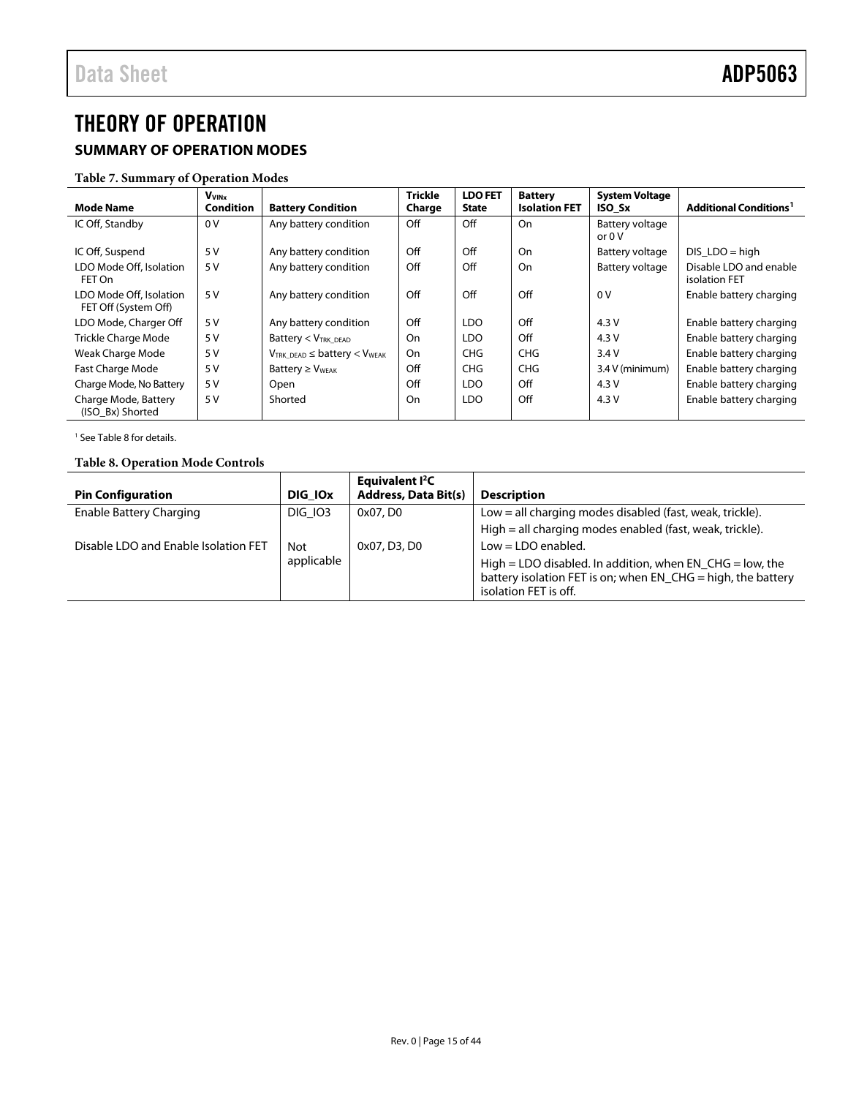# <span id="page-14-3"></span><span id="page-14-0"></span>THEORY OF OPERATION

# <span id="page-14-1"></span>**SUMMARY OF OPERATION MODES**

## **Table 7. Summary of Operation Modes**

| <b>Mode Name</b>                                | <b>VVINX</b><br><b>Condition</b> | <b>Battery Condition</b>               | <b>Trickle</b><br>Charge | <b>LDO FET</b><br><b>State</b> | <b>Battery</b><br><b>Isolation FET</b> | <b>System Voltage</b><br>ISO Sx | <b>Additional Conditions<sup>1</sup></b> |
|-------------------------------------------------|----------------------------------|----------------------------------------|--------------------------|--------------------------------|----------------------------------------|---------------------------------|------------------------------------------|
| IC Off, Standby                                 | 0 <sup>V</sup>                   | Any battery condition                  | Off                      | Off                            | On                                     | Battery voltage                 |                                          |
|                                                 |                                  |                                        |                          |                                |                                        | or $0V$                         |                                          |
| IC Off, Suspend                                 | 5V                               | Any battery condition                  | Off                      | Off                            | On                                     | Battery voltage                 | $DIS$ LDO = high                         |
| LDO Mode Off, Isolation<br>FET On               | 5 V                              | Any battery condition                  | Off                      | Off                            | On                                     | Battery voltage                 | Disable LDO and enable<br>isolation FET  |
| LDO Mode Off, Isolation<br>FET Off (System Off) | 5 V                              | Any battery condition                  | Off                      | Off                            | Off                                    | 0V                              | Enable battery charging                  |
| LDO Mode, Charger Off                           | 5 V                              | Any battery condition                  | Off                      | LDO                            | Off                                    | 4.3V                            | Enable battery charging                  |
| <b>Trickle Charge Mode</b>                      | 5 V                              | Battery $<$ $V_{TRK DEAD}$             | On                       | LDO                            | Off                                    | 4.3V                            | Enable battery charging                  |
| Weak Charge Mode                                | 5 V                              | $V_{TRK DEAD} \leq battery < V_{WEAK}$ | On                       | CHG                            | CHG                                    | 3.4V                            | Enable battery charging                  |
| Fast Charge Mode                                | 5 V                              | Battery $\geq$ V <sub>WEAK</sub>       | Off                      | <b>CHG</b>                     | CHG                                    | 3.4 V (minimum)                 | Enable battery charging                  |
| Charge Mode, No Battery                         | 5V                               | Open                                   | Off                      | LDO                            | Off                                    | 4.3V                            | Enable battery charging                  |
| Charge Mode, Battery<br>(ISO Bx) Shorted        | 5 V                              | Shorted                                | On                       | <b>LDO</b>                     | Off                                    | 4.3V                            | Enable battery charging                  |

<sup>1</sup> Se[e Table 8](#page-14-2) for details.

# <span id="page-14-2"></span>**Table 8. Operation Mode Controls**

|                                      |                     | Equivalent <sup>2</sup> C   |                                                              |
|--------------------------------------|---------------------|-----------------------------|--------------------------------------------------------------|
| <b>Pin Configuration</b>             | DIG IO <sub>x</sub> | <b>Address, Data Bit(s)</b> | <b>Description</b>                                           |
| Enable Battery Charging              | <b>DIG 103</b>      | 0x07, D0                    | Low $=$ all charging modes disabled (fast, weak, trickle).   |
|                                      |                     |                             | High = all charging modes enabled (fast, weak, trickle).     |
| Disable LDO and Enable Isolation FET | Not                 | 0x07, D3, D0                | $Low = LDO$ enabled.                                         |
|                                      | applicable          |                             | High = LDO disabled. In addition, when EN $CHG = low$ , the  |
|                                      |                     |                             | battery isolation FET is on; when EN_CHG = high, the battery |
|                                      |                     |                             | isolation FET is off.                                        |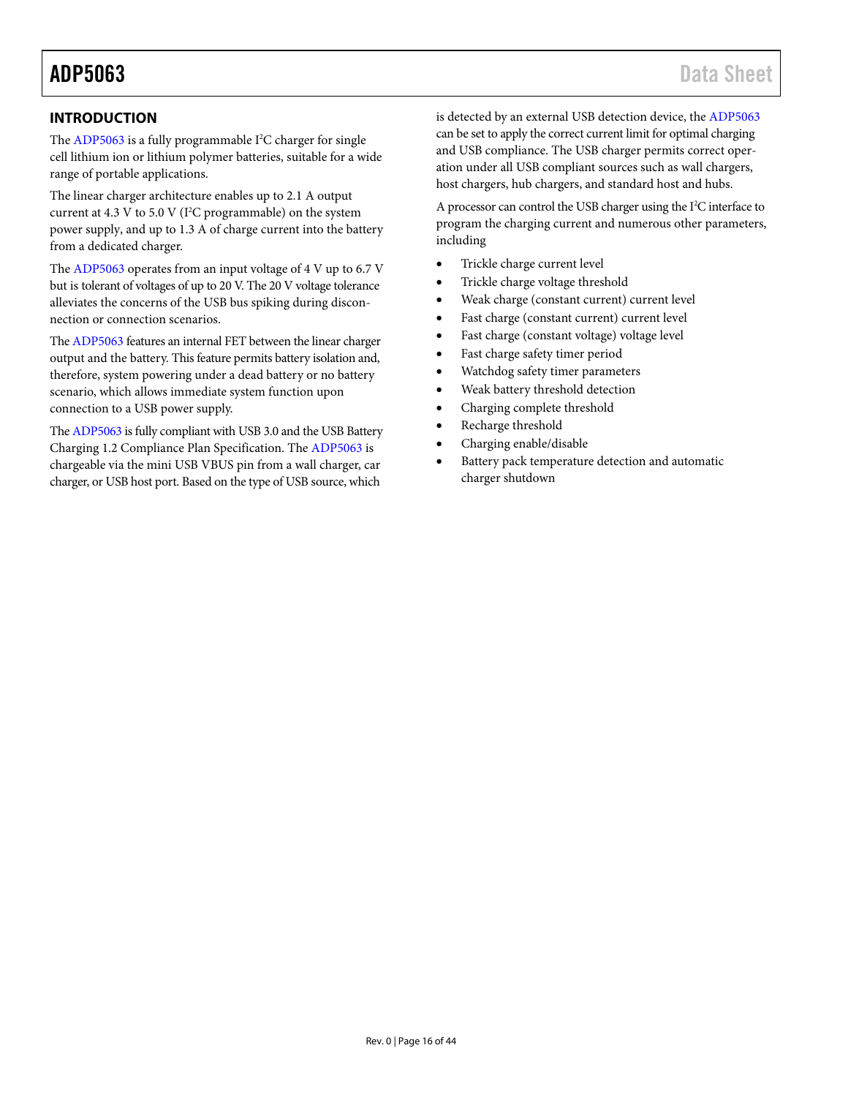# <span id="page-15-0"></span>**INTRODUCTION**

The [ADP5063](http://www.analog.com/ADP5063?doc=ADP5063.pdf) is a fully programmable I<sup>2</sup>C charger for single cell lithium ion or lithium polymer batteries, suitable for a wide range of portable applications.

The linear charger architecture enables up to 2.1 A output current at  $4.3$  V to  $5.0$  V (I<sup>2</sup>C programmable) on the system power supply, and up to 1.3 A of charge current into the battery from a dedicated charger.

The [ADP5063](http://www.analog.com/ADP5063?doc=ADP5063.pdf) operates from an input voltage of 4 V up to 6.7 V but is tolerant of voltages of up to 20 V. The 20 V voltage tolerance alleviates the concerns of the USB bus spiking during disconnection or connection scenarios.

Th[e ADP5063](http://www.analog.com/ADP5063?doc=ADP5063.pdf) features an internal FET between the linear charger output and the battery. This feature permits battery isolation and, therefore, system powering under a dead battery or no battery scenario, which allows immediate system function upon connection to a USB power supply.

Th[e ADP5063](http://www.analog.com/ADP5063?doc=ADP5063.pdf) is fully compliant with USB 3.0 and the USB Battery Charging 1.2 Compliance Plan Specification. The [ADP5063](http://www.analog.com/ADP5063?doc=ADP5063.pdf) is chargeable via the mini USB VBUS pin from a wall charger, car charger, or USB host port. Based on the type of USB source, which

is detected by an external USB detection device, the [ADP5063](http://www.analog.com/ADP5063?doc=ADP5063.pdf) can be set to apply the correct current limit for optimal charging and USB compliance. The USB charger permits correct operation under all USB compliant sources such as wall chargers, host chargers, hub chargers, and standard host and hubs.

A processor can control the USB charger using the I<sup>2</sup>C interface to program the charging current and numerous other parameters, including

- Trickle charge current level
- Trickle charge voltage threshold
- Weak charge (constant current) current level
- Fast charge (constant current) current level
- Fast charge (constant voltage) voltage level
- Fast charge safety timer period
- Watchdog safety timer parameters
- Weak battery threshold detection
- Charging complete threshold
- Recharge threshold
- Charging enable/disable
- Battery pack temperature detection and automatic charger shutdown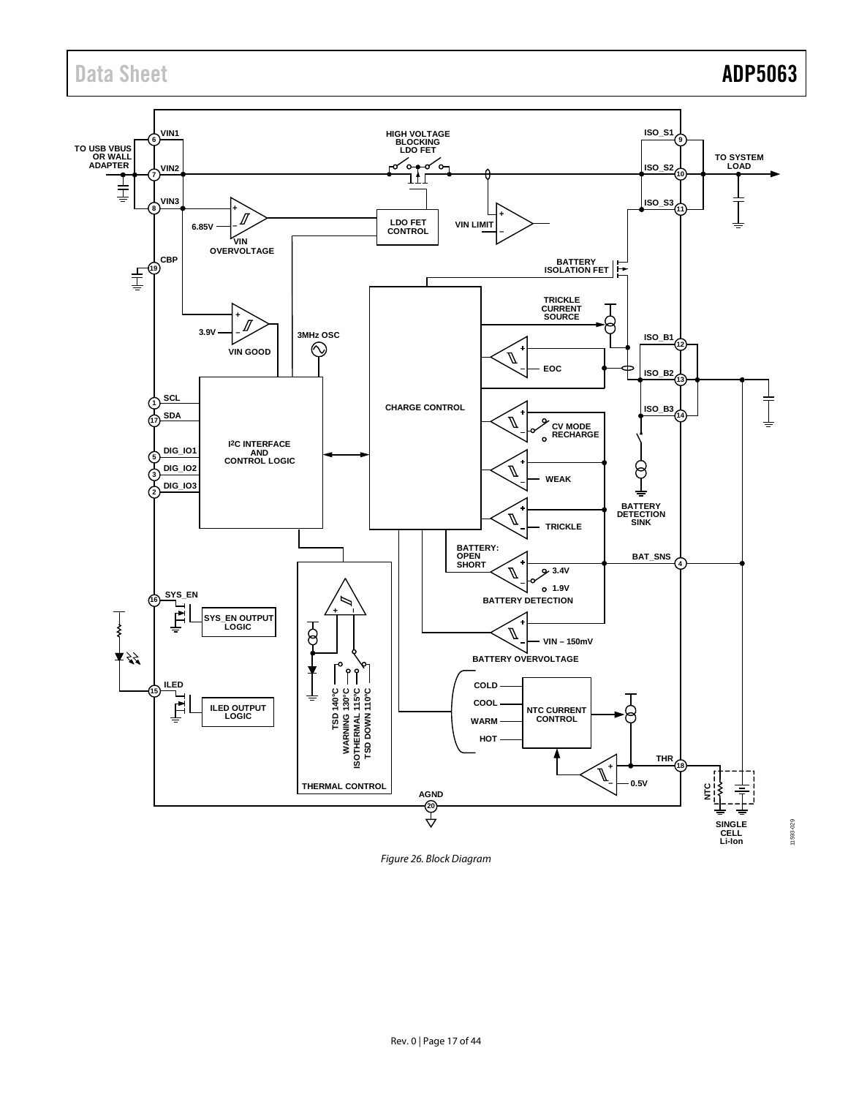# Data Sheet **ADP5063**



*Figure 26. Block Diagram*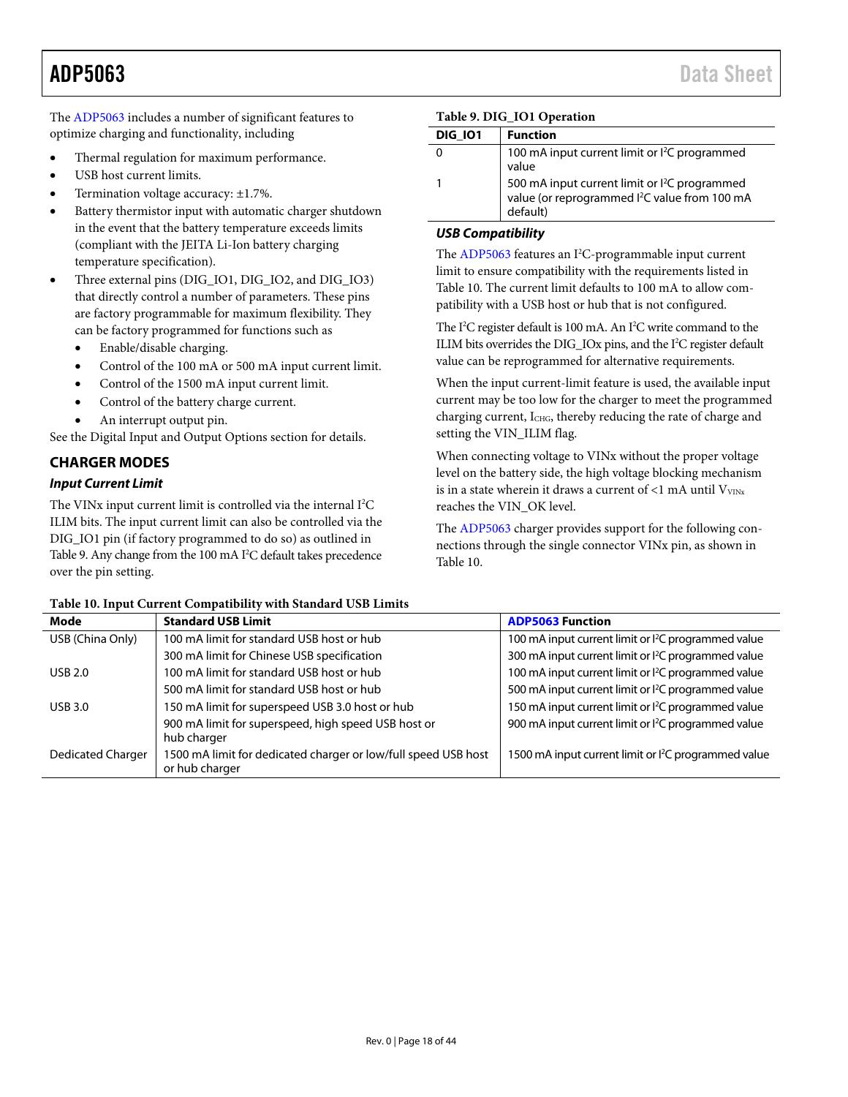The [ADP5063](http://www.analog.com/ADP5063?doc=ADP5063.pdf) includes a number of significant features to optimize charging and functionality, including

- Thermal regulation for maximum performance.
- USB host current limits.
- Termination voltage accuracy: ±1.7%.
- Battery thermistor input with automatic charger shutdown in the event that the battery temperature exceeds limits (compliant with the JEITA Li-Ion battery charging temperature specification).
- Three external pins (DIG\_IO1, DIG\_IO2, and DIG\_IO3) that directly control a number of parameters. These pins are factory programmable for maximum flexibility. They can be factory programmed for functions such as
	- Enable/disable charging.
	- Control of the 100 mA or 500 mA input current limit.
	- Control of the 1500 mA input current limit.
	- Control of the battery charge current.
	- An interrupt output pin.

See the [Digital Input and Output](#page-40-1) Options section for details.

## <span id="page-17-0"></span>**CHARGER MODES**

### *Input Current Limit*

The VINx input current limit is controlled via the internal I<sup>2</sup>C ILIM bits. The input current limit can also be controlled via the DIG\_IO1 pin (if factory programmed to do so) as outlined in [Table 9.](#page-17-1) Any change from the 100 mA I 2 C default takes precedence over the pin setting.

### <span id="page-17-1"></span>**Table 9. DIG\_IO1 Operation**

| <b>DIG 101</b> | <b>Function</b>                                                                                                                    |
|----------------|------------------------------------------------------------------------------------------------------------------------------------|
| 0              | 100 mA input current limit or <sup>2</sup> C programmed<br>value                                                                   |
|                | 500 mA input current limit or I <sup>2</sup> C programmed<br>value (or reprogrammed I <sup>2</sup> C value from 100 mA<br>default) |

### *USB Compatibility*

The [ADP5063](http://www.analog.com/ADP5063?doc=ADP5063.pdf) features an I<sup>2</sup>C-programmable input current limit to ensure compatibility with the requirements listed in [Table 10.](#page-17-2) The current limit defaults to 100 mA to allow compatibility with a USB host or hub that is not configured.

The I<sup>2</sup>C register default is 100 mA. An I<sup>2</sup>C write command to the ILIM bits overrides the DIG\_IOx pins, and the I 2 C register default value can be reprogrammed for alternative requirements.

When the input current-limit feature is used, the available input current may be too low for the charger to meet the programmed charging current, ICHG, thereby reducing the rate of charge and setting the VIN\_ILIM flag.

When connecting voltage to VINx without the proper voltage level on the battery side, the high voltage blocking mechanism is in a state wherein it draws a current of  $<$ 1 mA until  $V<sub>VINx</sub>$ reaches the VIN\_OK level.

The [ADP5063](http://www.analog.com/ADP5063?doc=ADP5063.pdf) charger provides support for the following connections through the single connector VINx pin, as shown in [Table 10.](#page-17-2)

| Mode              | <b>Standard USB Limit</b>                                                        | <b>ADP5063 Function</b>                                         |
|-------------------|----------------------------------------------------------------------------------|-----------------------------------------------------------------|
| USB (China Only)  | 100 mA limit for standard USB host or hub                                        | 100 mA input current limit or <sup>2</sup> C programmed value   |
|                   | 300 mA limit for Chinese USB specification                                       | 300 mA input current limit or l <sup>2</sup> C programmed value |
| <b>USB 2.0</b>    | 100 mA limit for standard USB host or hub                                        | 100 mA input current limit or <sup>2</sup> C programmed value   |
|                   | 500 mA limit for standard USB host or hub                                        | 500 mA input current limit or <sup>2</sup> C programmed value   |
| <b>USB 3.0</b>    | 150 mA limit for superspeed USB 3.0 host or hub                                  | 150 mA input current limit or <sup>2</sup> C programmed value   |
|                   | 900 mA limit for superspeed, high speed USB host or<br>hub charger               | 900 mA input current limit or <sup>2</sup> C programmed value   |
| Dedicated Charger | 1500 mA limit for dedicated charger or low/full speed USB host<br>or hub charger | 1500 mA input current limit or <sup>2</sup> C programmed value  |

### <span id="page-17-2"></span>**Table 10. Input Current Compatibility with Standard USB Limits**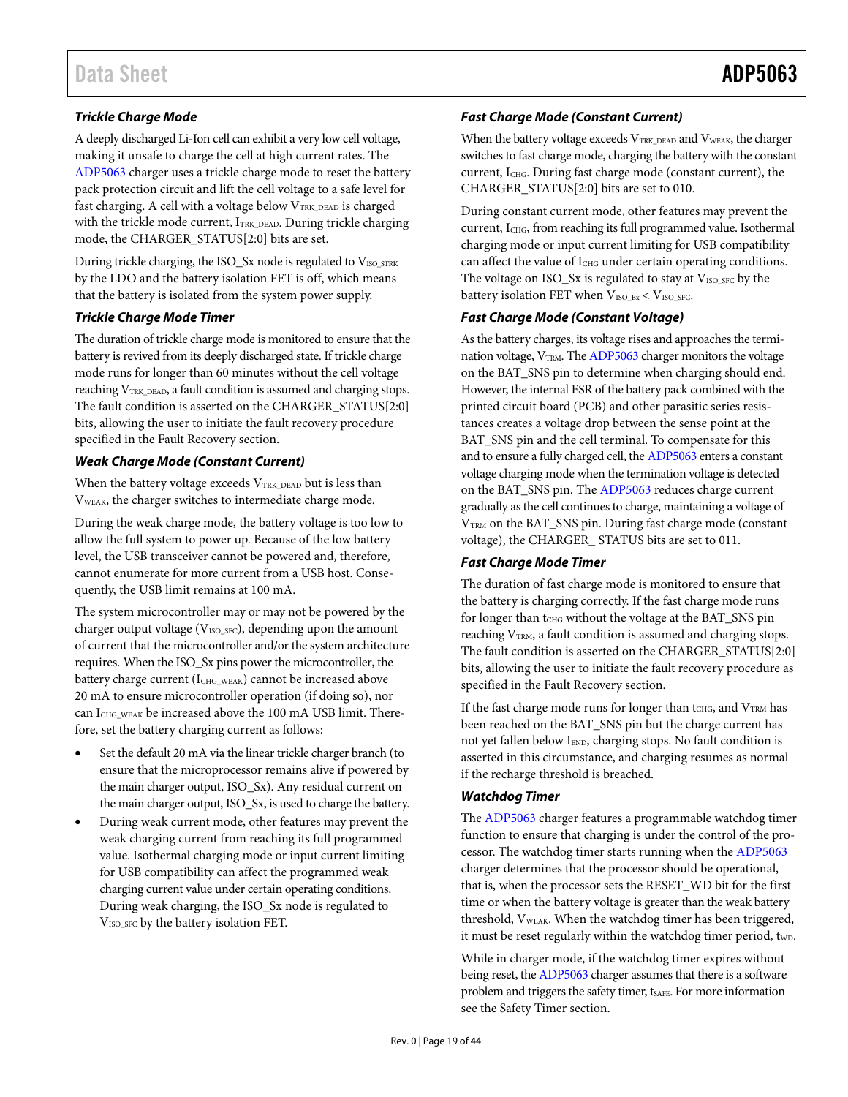# *Trickle Charge Mode*

A deeply discharged Li-Ion cell can exhibit a very low cell voltage, making it unsafe to charge the cell at high current rates. The [ADP5063](http://www.analog.com/ADP5063?doc=ADP5063.pdf) charger uses a trickle charge mode to reset the battery pack protection circuit and lift the cell voltage to a safe level for fast charging. A cell with a voltage below VTRK\_DEAD is charged with the trickle mode current, ITRK\_DEAD. During trickle charging mode, the CHARGER\_STATUS[2:0] bits are set.

During trickle charging, the ISO\_Sx node is regulated to VISO\_STRK by the LDO and the battery isolation FET is off, which means that the battery is isolated from the system power supply.

### *Trickle Charge Mode Timer*

The duration of trickle charge mode is monitored to ensure that the battery is revived from its deeply discharged state. If trickle charge mode runs for longer than 60 minutes without the cell voltage reaching V<sub>TRK\_DEAD</sub>, a fault condition is assumed and charging stops. The fault condition is asserted on the CHARGER\_STATUS[2:0] bits, allowing the user to initiate the fault recovery procedure specified in the [Fault Recovery](#page-20-3) section.

## *Weak Charge Mode (Constant Current)*

When the battery voltage exceeds  $V_{\rm TRK\_DEAD}$  but is less than VWEAK, the charger switches to intermediate charge mode.

During the weak charge mode, the battery voltage is too low to allow the full system to power up. Because of the low battery level, the USB transceiver cannot be powered and, therefore, cannot enumerate for more current from a USB host. Consequently, the USB limit remains at 100 mA.

The system microcontroller may or may not be powered by the charger output voltage ( $V_{\text{ISO\_SFC}}$ ), depending upon the amount of current that the microcontroller and/or the system architecture requires. When the ISO\_Sx pins power the microcontroller, the battery charge current (ICHG\_WEAK) cannot be increased above 20 mA to ensure microcontroller operation (if doing so), nor can I<sub>CHG</sub> weak be increased above the 100 mA USB limit. Therefore, set the battery charging current as follows:

- Set the default 20 mA via the linear trickle charger branch (to ensure that the microprocessor remains alive if powered by the main charger output, ISO\_Sx). Any residual current on the main charger output, ISO\_Sx, is used to charge the battery.
- During weak current mode, other features may prevent the weak charging current from reaching its full programmed value. Isothermal charging mode or input current limiting for USB compatibility can affect the programmed weak charging current value under certain operating conditions. During weak charging, the ISO\_Sx node is regulated to VISO\_SFC by the battery isolation FET.

# *Fast Charge Mode (Constant Current)*

When the battery voltage exceeds V<sub>TRK\_DEAD</sub> and V<sub>WEAK</sub>, the charger switches to fast charge mode, charging the battery with the constant current, ICHG. During fast charge mode (constant current), the CHARGER\_STATUS[2:0] bits are set to 010.

During constant current mode, other features may prevent the current, ICHG, from reaching its full programmed value. Isothermal charging mode or input current limiting for USB compatibility can affect the value of I<sub>CHG</sub> under certain operating conditions. The voltage on  $ISO\_Sx$  is regulated to stay at  $V_{ISO\_SFC}$  by the battery isolation FET when  $V_{ISO_B}$  <  $V_{ISO_SFC}$ .

## *Fast Charge Mode (Constant Voltage)*

As the battery charges, its voltage rises and approaches the termination voltage,  $V_{TRM}$ . Th[e ADP5063](http://www.analog.com/ADP5063?doc=ADP5063.pdf) charger monitors the voltage on the BAT\_SNS pin to determine when charging should end. However, the internal ESR of the battery pack combined with the printed circuit board (PCB) and other parasitic series resistances creates a voltage drop between the sense point at the BAT\_SNS pin and the cell terminal. To compensate for this and to ensure a fully charged cell, th[e ADP5063](http://www.analog.com/ADP5063?doc=ADP5063.pdf) enters a constant voltage charging mode when the termination voltage is detected on the BAT\_SNS pin. Th[e ADP5063](http://www.analog.com/ADP5063?doc=ADP5063.pdf) reduces charge current gradually as the cell continues to charge, maintaining a voltage of V<sub>TRM</sub> on the BAT\_SNS pin. During fast charge mode (constant voltage), the CHARGER\_ STATUS bits are set to 011.

# *Fast Charge Mode Timer*

The duration of fast charge mode is monitored to ensure that the battery is charging correctly. If the fast charge mode runs for longer than tCHG without the voltage at the BAT\_SNS pin reaching V<sub>TRM</sub>, a fault condition is assumed and charging stops. The fault condition is asserted on the CHARGER\_STATUS[2:0] bits, allowing the user to initiate the fault recovery procedure as specified in the [Fault Recovery](#page-20-3) section.

If the fast charge mode runs for longer than tCHG, and  $V_{\text{TRM}}$  has been reached on the BAT\_SNS pin but the charge current has not yet fallen below IEND, charging stops. No fault condition is asserted in this circumstance, and charging resumes as normal if the recharge threshold is breached.

# <span id="page-18-0"></span>*Watchdog Timer*

The [ADP5063](http://www.analog.com/ADP5063?doc=ADP5063.pdf) charger features a programmable watchdog timer function to ensure that charging is under the control of the processor. The watchdog timer starts running when the [ADP5063](http://www.analog.com/ADP5063?doc=ADP5063.pdf) charger determines that the processor should be operational, that is, when the processor sets the RESET\_WD bit for the first time or when the battery voltage is greater than the weak battery threshold, V<sub>WEAK</sub>. When the watchdog timer has been triggered, it must be reset regularly within the watchdog timer period, twp.

While in charger mode, if the watchdog timer expires without being reset, th[e ADP5063](http://www.analog.com/ADP5063?doc=ADP5063.pdf) charger assumes that there is a software problem and triggers the safety timer, tsaFE. For more information see the [Safety Timer](#page-19-0) section.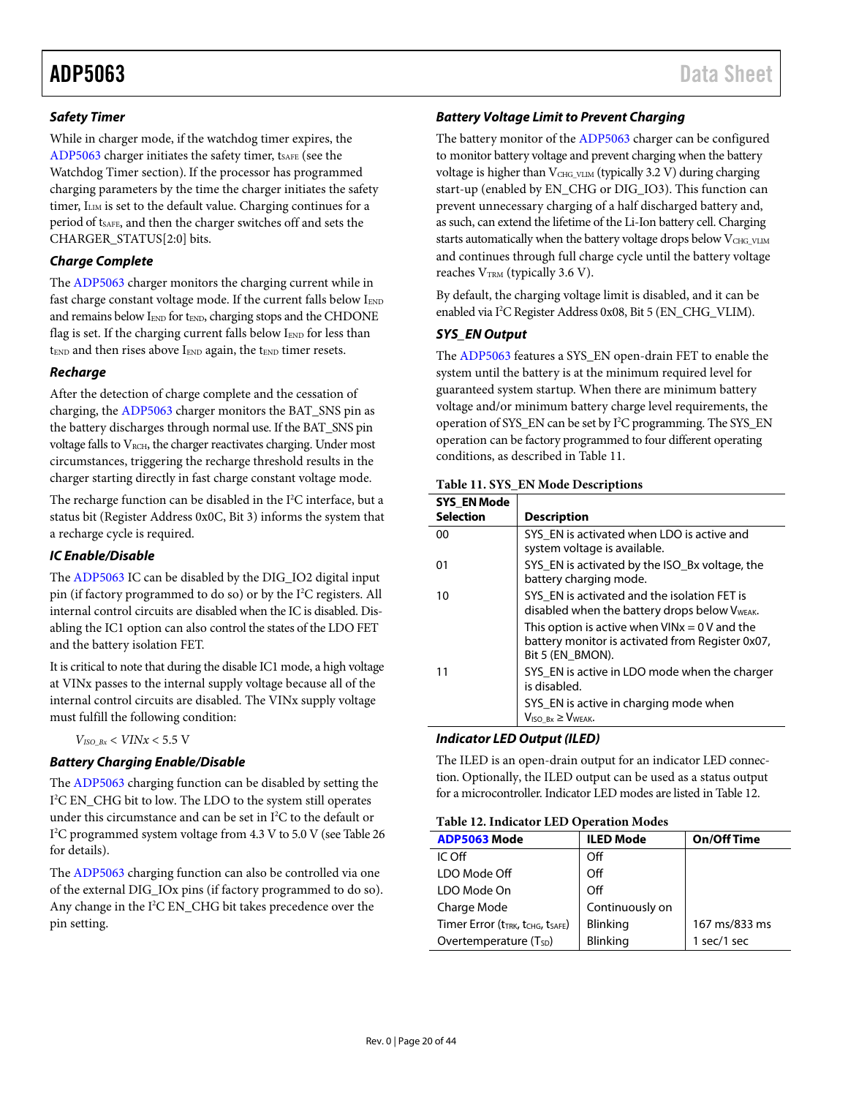## <span id="page-19-0"></span>*Safety Timer*

While in charger mode, if the watchdog timer expires, the [ADP5063](http://www.analog.com/ADP5063?doc=ADP5063.pdf) charger initiates the safety timer, t<sub>SAFE</sub> (see the [Watchdog Timer](#page-18-0) section). If the processor has programmed charging parameters by the time the charger initiates the safety timer, ILIM is set to the default value. Charging continues for a period of t<sub>SAFE</sub>, and then the charger switches off and sets the CHARGER\_STATUS[2:0] bits.

# *Charge Complete*

The [ADP5063](http://www.analog.com/ADP5063?doc=ADP5063.pdf) charger monitors the charging current while in fast charge constant voltage mode. If the current falls below  $I_{END}$ and remains below IEND for tEND, charging stops and the CHDONE flag is set. If the charging current falls below IEND for less than  $t_{END}$  and then rises above  $I_{END}$  again, the  $t_{END}$  timer resets.

## *Recharge*

After the detection of charge complete and the cessation of charging, th[e ADP5063](http://www.analog.com/ADP5063?doc=ADP5063.pdf) charger monitors the BAT\_SNS pin as the battery discharges through normal use. If the BAT\_SNS pin voltage falls to  $V_{RCH}$ , the charger reactivates charging. Under most circumstances, triggering the recharge threshold results in the charger starting directly in fast charge constant voltage mode.

The recharge function can be disabled in the I 2 C interface, but a status bit (Register Address 0x0C, Bit 3) informs the system that a recharge cycle is required.

## *IC Enable/Disable*

The [ADP5063](http://www.analog.com/ADP5063?doc=ADP5063.pdf) IC can be disabled by the DIG\_IO2 digital input pin (if factory programmed to do so) or by the I 2 C registers. All internal control circuits are disabled when the IC is disabled. Disabling the IC1 option can also control the states of the LDO FET and the battery isolation FET.

It is critical to note that during the disable IC1 mode, a high voltage at VINx passes to the internal supply voltage because all of the internal control circuits are disabled. The VINx supply voltage must fulfill the following condition:

 $V_{ISO\;Bx}$  <  $VINx$  < 5.5 V

# *Battery Charging Enable/Disable*

The [ADP5063](http://www.analog.com/ADP5063?doc=ADP5063.pdf) charging function can be disabled by setting the I 2 C EN\_CHG bit to low. The LDO to the system still operates under this circumstance and can be set in  $I^2C$  to the default or I 2 C programmed system voltage from 4.3 V to 5.0 V (se[e Table 26](#page-31-0) for details).

The [ADP5063](http://www.analog.com/ADP5063?doc=ADP5063.pdf) charging function can also be controlled via one of the external DIG\_IOx pins (if factory programmed to do so). Any change in the I<sup>2</sup>C EN\_CHG bit takes precedence over the pin setting.

## *Battery Voltage Limit to Prevent Charging*

The battery monitor of the [ADP5063](http://www.analog.com/ADP5063?doc=ADP5063.pdf) charger can be configured to monitor battery voltage and prevent charging when the battery voltage is higher than VCHG\_VLIM (typically 3.2 V) during charging start-up (enabled by EN\_CHG or DIG\_IO3). This function can prevent unnecessary charging of a half discharged battery and, as such, can extend the lifetime of the Li-Ion battery cell. Charging starts automatically when the battery voltage drops below VCHG\_VLIM and continues through full charge cycle until the battery voltage reaches  $V<sub>TRM</sub>$  (typically 3.6 V).

By default, the charging voltage limit is disabled, and it can be enabled via I 2 C Register Address 0x08, Bit 5 (EN\_CHG\_VLIM).

## *SYS\_EN Output*

The [ADP5063](http://www.analog.com/ADP5063?doc=ADP5063.pdf) features a SYS\_EN open-drain FET to enable the system until the battery is at the minimum required level for guaranteed system startup. When there are minimum battery voltage and/or minimum battery charge level requirements, the operation of SYS\_EN can be set by I2 C programming. The SYS\_EN operation can be factory programmed to four different operating conditions, as described in [Table 11.](#page-19-1)

### <span id="page-19-1"></span>**Table 11. SYS\_EN Mode Descriptions**

| <b>SYS EN Mode</b> |                                                                                                                         |
|--------------------|-------------------------------------------------------------------------------------------------------------------------|
| <b>Selection</b>   | <b>Description</b>                                                                                                      |
| 00                 | SYS EN is activated when LDO is active and<br>system voltage is available.                                              |
| 01                 | SYS EN is activated by the ISO Bx voltage, the<br>battery charging mode.                                                |
| 10                 | SYS EN is activated and the isolation FET is<br>disabled when the battery drops below V <sub>WEAK</sub> .               |
|                    | This option is active when $VINx = 0$ V and the<br>battery monitor is activated from Register 0x07,<br>Bit 5 (EN BMON). |
|                    | SYS_EN is active in LDO mode when the charger<br>is disabled.                                                           |
|                    | SYS EN is active in charging mode when<br>$V_{\text{ISO Bx}} \geq V_{\text{WEAK}}$                                      |

### *Indicator LED Output (ILED)*

The ILED is an open-drain output for an indicator LED connection. Optionally, the ILED output can be used as a status output for a microcontroller. Indicator LED modes are listed i[n Table 12.](#page-19-2)

### <span id="page-19-2"></span>**Table 12. Indicator LED Operation Modes**

| <b>ADP5063 Mode</b>             | <b>ILED Mode</b> | <b>On/Off Time</b> |
|---------------------------------|------------------|--------------------|
| IC Off                          | Off              |                    |
| LDO Mode Off                    | Off              |                    |
| LDO Mode On                     | Off              |                    |
| Charge Mode                     | Continuously on  |                    |
| Timer Error (tTRK, tCHG, tSAFE) | Blinking         | 167 ms/833 ms      |
| Overtemperature $(T_{SD})$      | <b>Blinking</b>  | 1 sec/1 sec        |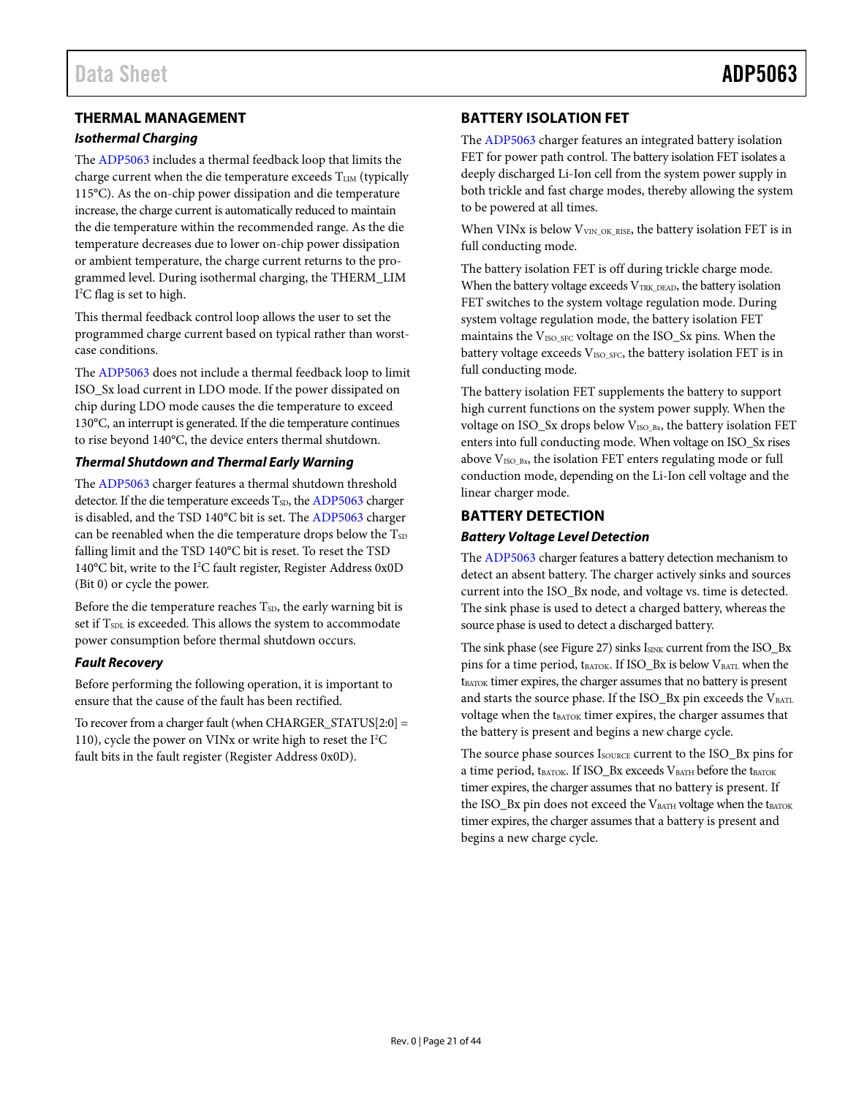# <span id="page-20-0"></span>**THERMAL MANAGEMENT**

### *Isothermal Charging*

The [ADP5063](http://www.analog.com/ADP5063?doc=ADP5063.pdf) includes a thermal feedback loop that limits the charge current when the die temperature exceeds TLIM (typically 115°C). As the on-chip power dissipation and die temperature increase, the charge current is automatically reduced to maintain the die temperature within the recommended range. As the die temperature decreases due to lower on-chip power dissipation or ambient temperature, the charge current returns to the programmed level. During isothermal charging, the THERM\_LIM I 2 C flag is set to high.

This thermal feedback control loop allows the user to set the programmed charge current based on typical rather than worstcase conditions.

The [ADP5063](http://www.analog.com/ADP5063?doc=ADP5063.pdf) does not include a thermal feedback loop to limit ISO\_Sx load current in LDO mode. If the power dissipated on chip during LDO mode causes the die temperature to exceed 130°C, an interrupt is generated. If the die temperature continues to rise beyond 140°C, the device enters thermal shutdown.

## *Thermal Shutdown and Thermal Early Warning*

The [ADP5063](http://www.analog.com/ADP5063?doc=ADP5063.pdf) charger features a thermal shutdown threshold detector. If the die temperature exceeds  $T_{SD}$ , th[e ADP5063](http://www.analog.com/ADP5063?doc=ADP5063.pdf) charger is disabled, and the TSD 140°C bit is set. Th[e ADP5063](http://www.analog.com/ADP5063?doc=ADP5063.pdf) charger can be reenabled when the die temperature drops below the  $T_{SD}$ falling limit and the TSD 140°C bit is reset. To reset the TSD 140°C bit, write to the I<sup>2</sup>C fault register, Register Address 0x0D (Bit 0) or cycle the power.

Before the die temperature reaches  $T_{SD}$ , the early warning bit is set if T<sub>SDL</sub> is exceeded. This allows the system to accommodate power consumption before thermal shutdown occurs.

### <span id="page-20-3"></span>*Fault Recovery*

Before performing the following operation, it is important to ensure that the cause of the fault has been rectified.

To recover from a charger fault (when CHARGER\_STATUS[2:0] = 110), cycle the power on VINx or write high to reset the I<sup>2</sup>C fault bits in the fault register (Register Address 0x0D).

# <span id="page-20-1"></span>**BATTERY ISOLATION FET**

The [ADP5063](http://www.analog.com/ADP5063?doc=ADP5063.pdf) charger features an integrated battery isolation FET for power path control. The battery isolation FET isolates a deeply discharged Li-Ion cell from the system power supply in both trickle and fast charge modes, thereby allowing the system to be powered at all times.

When VINx is below  $V<sub>VIN_OK_RISE</sub>$ , the battery isolation FET is in full conducting mode.

The battery isolation FET is off during trickle charge mode. When the battery voltage exceeds  $V_{TRK_DEAD}$ , the battery isolation FET switches to the system voltage regulation mode. During system voltage regulation mode, the battery isolation FET maintains the V<sub>ISO\_SFC</sub> voltage on the ISO\_Sx pins. When the battery voltage exceeds V<sub>ISO\_SFC</sub>, the battery isolation FET is in full conducting mode.

The battery isolation FET supplements the battery to support high current functions on the system power supply. When the voltage on ISO\_Sx drops below V<sub>ISO\_Bx</sub>, the battery isolation FET enters into full conducting mode. When voltage on ISO\_Sx rises above  $V_{ISO-Bx}$ , the isolation FET enters regulating mode or full conduction mode, depending on the Li-Ion cell voltage and the linear charger mode.

# <span id="page-20-2"></span>**BATTERY DETECTION**

## *Battery Voltage Level Detection*

The [ADP5063](http://www.analog.com/ADP5063?doc=ADP5063.pdf) charger features a battery detection mechanism to detect an absent battery. The charger actively sinks and sources current into the ISO\_Bx node, and voltage vs. time is detected. The sink phase is used to detect a charged battery, whereas the source phase is used to detect a discharged battery.

The sink phase (se[e Figure 27\)](#page-21-1) sinks I<sub>SINK</sub> current from the ISO\_Bx pins for a time period,  $t_{\text{BATOR}}$ . If ISO\_Bx is below  $V_{\text{BATL}}$  when the tBATOK timer expires, the charger assumes that no battery is present and starts the source phase. If the ISO\_Bx pin exceeds the  $V_{\text{BATL}}$ voltage when the tBATOK timer expires, the charger assumes that the battery is present and begins a new charge cycle.

The source phase sources Isource current to the ISO\_Bx pins for a time period,  $t_{BATOK}$ . If ISO\_Bx exceeds  $V_{BATH}$  before the  $t_{BATOK}$ timer expires, the charger assumes that no battery is present. If the ISO\_Bx pin does not exceed the  $V_{\text{BATH}}$  voltage when the  $t_{\text{BATOK}}$ timer expires, the charger assumes that a battery is present and begins a new charge cycle.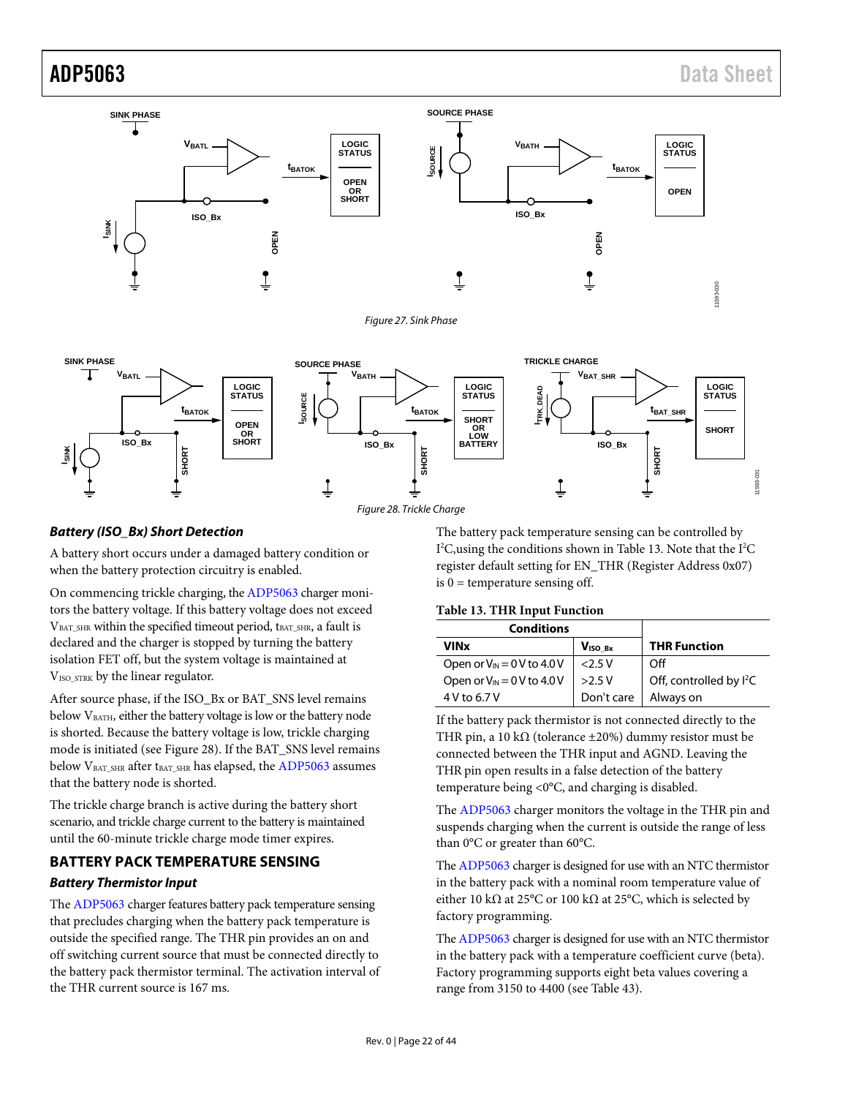

*Figure 28. Trickle Charge*

### <span id="page-21-2"></span>*Battery (ISO\_Bx) Short Detection*

<span id="page-21-1"></span>**ISINK**

A battery short occurs under a damaged battery condition or when the battery protection circuitry is enabled.

On commencing trickle charging, th[e ADP5063](http://www.analog.com/ADP5063?doc=ADP5063.pdf) charger monitors the battery voltage. If this battery voltage does not exceed VBAT SHR within the specified timeout period, tBAT SHR, a fault is declared and the charger is stopped by turning the battery isolation FET off, but the system voltage is maintained at V<sub>ISO</sub> STRK by the linear regulator.

After source phase, if the ISO\_Bx or BAT\_SNS level remains below V<sub>BATH</sub>, either the battery voltage is low or the battery node is shorted. Because the battery voltage is low, trickle charging mode is initiated (see [Figure 28\)](#page-21-2). If the BAT\_SNS level remains below V<sub>BAT\_SHR</sub> after t<sub>BAT\_SHR</sub> has elapsed, the [ADP5063](http://www.analog.com/ADP5062) assumes that the battery node is shorted.

The trickle charge branch is active during the battery short scenario, and trickle charge current to the battery is maintained until the 60-minute trickle charge mode timer expires.

# <span id="page-21-0"></span>**BATTERY PACK TEMPERATURE SENSING** *Battery Thermistor Input*

The [ADP5063](http://www.analog.com/ADP5063?doc=ADP5063.pdf) charger features battery pack temperature sensing that precludes charging when the battery pack temperature is outside the specified range. The THR pin provides an on and off switching current source that must be connected directly to the battery pack thermistor terminal. The activation interval of the THR current source is 167 ms.

The battery pack temperature sensing can be controlled by I<sup>2</sup>C, using the conditions shown i[n Table 13.](#page-21-3) Note that the I<sup>2</sup>C register default setting for EN\_THR (Register Address 0x07) is  $0 =$  temperature sensing off.

### <span id="page-21-3"></span>**Table 13. THR Input Function**

| <b>Conditions</b>               |                     |                                     |
|---------------------------------|---------------------|-------------------------------------|
| VINx                            | V <sub>ISO Bx</sub> | <b>THR Function</b>                 |
| Open or $V_{IN} = 0 V$ to 4.0 V | 2.5V                | Off                                 |
| Open or $V_{IN} = 0 V$ to 4.0 V | >2.5V               | Off, controlled by I <sup>2</sup> C |
| $4V$ to 6.7 V                   | Don't care          | Always on                           |

If the battery pack thermistor is not connected directly to the THR pin, a 10 k $\Omega$  (tolerance ±20%) dummy resistor must be connected between the THR input and AGND. Leaving the THR pin open results in a false detection of the battery temperature being <0°C, and charging is disabled.

The [ADP5063](http://www.analog.com/ADP5063?doc=ADP5063.pdf) charger monitors the voltage in the THR pin and suspends charging when the current is outside the range of less than 0°C or greater than 60°C.

Th[e ADP5063](http://www.analog.com/ADP5063?doc=ADP5063.pdf) charger is designed for use with an NTC thermistor in the battery pack with a nominal room temperature value of either 10 kΩ at 25°C or 100 kΩ at 25°C, which is selected by factory programming.

Th[e ADP5063](http://www.analog.com/ADP5063?doc=ADP5063.pdf) charger is designed for use with an NTC thermistor in the battery pack with a temperature coefficient curve (beta). Factory programming supports eight beta values covering a range from 3150 to 4400 (see [Table 43\)](#page-39-2).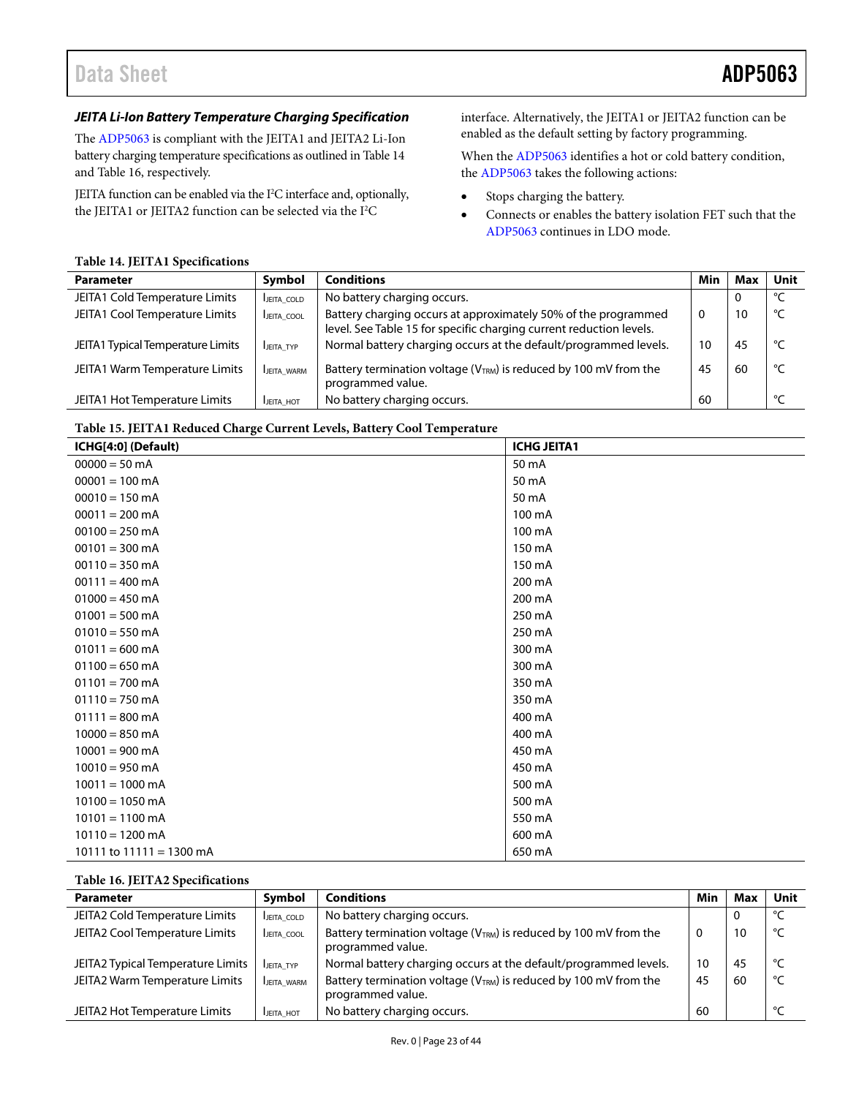# Data Sheet **ADP5063**

# *JEITA Li-Ion Battery Temperature Charging Specification*

The [ADP5063](http://www.analog.com/ADP5063?doc=ADP5063.pdf) is compliant with the JEITA1 and JEITA2 Li-Ion battery charging temperature specifications as outlined i[n Table 14](#page-22-0) an[d Table 16,](#page-22-1) respectively.

JEITA function can be enabled via the I<sup>2</sup>C interface and, optionally, the JEITA1 or JEITA2 function can be selected via the I 2 C

interface. Alternatively, the JEITA1 or JEITA2 function can be enabled as the default setting by factory programming.

When th[e ADP5063](http://www.analog.com/ADP5063?doc=ADP5063.pdf) identifies a hot or cold battery condition, the [ADP5063](http://www.analog.com/ADP5063?doc=ADP5063.pdf) takes the following actions:

- Stops charging the battery.
- Connects or enables the battery isolation FET such that the [ADP5063](http://www.analog.com/ADP5063?doc=ADP5063.pdf) continues in LDO mode.

### <span id="page-22-0"></span>**Table 14. JEITA1 Specifications**

| <b>Parameter</b>                  | Symbol     | <b>Conditions</b>                                                                                                                     | Min      | Max | Unit |
|-----------------------------------|------------|---------------------------------------------------------------------------------------------------------------------------------------|----------|-----|------|
| JEITA1 Cold Temperature Limits    | JEITA_COLD | No battery charging occurs.                                                                                                           |          | 0   | ℃    |
| JEITA1 Cool Temperature Limits    | JEITA COOL | Battery charging occurs at approximately 50% of the programmed<br>level. See Table 15 for specific charging current reduction levels. | $\Omega$ | 10  | ℃    |
| JEITA1 Typical Temperature Limits | JEITA TYP  | Normal battery charging occurs at the default/programmed levels.                                                                      | 10       | 45  | °C   |
| JEITA1 Warm Temperature Limits    | JEITA WARM | Battery termination voltage (VTRM) is reduced by 100 mV from the<br>programmed value.                                                 | 45       | 60  | °⊂   |
| JEITA1 Hot Temperature Limits     | JEITA HOT  | No battery charging occurs.                                                                                                           | 60       |     | ℃    |

### <span id="page-22-2"></span>**Table 15. JEITA1 Reduced Charge Current Levels, Battery Cool Temperature**

| л.<br>ICHG[4:0] (Default)  | <b>ICHG JEITA1</b> |
|----------------------------|--------------------|
| $00000 = 50$ mA            | 50 mA              |
| $00001 = 100$ mA           | 50 mA              |
| $00010 = 150$ mA           | 50 mA              |
| $00011 = 200$ mA           | 100 mA             |
| $00100 = 250$ mA           | 100 mA             |
| $00101 = 300 \text{ mA}$   | 150 mA             |
| $00110 = 350 \text{ mA}$   | 150 mA             |
| $00111 = 400$ mA           | 200 mA             |
| $01000 = 450$ mA           | 200 mA             |
| $01001 = 500$ mA           | 250 mA             |
| $01010 = 550$ mA           | 250 mA             |
| $01011 = 600$ mA           | 300 mA             |
| $01100 = 650$ mA           | 300 mA             |
| $01101 = 700$ mA           | 350 mA             |
| $01110 = 750$ mA           | 350 mA             |
| $01111 = 800$ mA           | 400 mA             |
| $10000 = 850$ mA           | 400 mA             |
| $10001 = 900$ mA           | 450 mA             |
| $10010 = 950$ mA           | 450 mA             |
| $10011 = 1000$ mA          | 500 mA             |
| $10100 = 1050$ mA          | 500 mA             |
| $10101 = 1100$ mA          | 550 mA             |
| $10110 = 1200$ mA          | 600 mA             |
| 10111 to $11111 = 1300$ mA | 650 mA             |

### <span id="page-22-1"></span>**Table 16. JEITA2 Specifications**

| <b>Parameter</b>                  | Symbol           | <b>Conditions</b>                                                                            | Min | Max | Unit |
|-----------------------------------|------------------|----------------------------------------------------------------------------------------------|-----|-----|------|
| JEITA2 Cold Temperature Limits    | JEITA COLD       | No battery charging occurs.                                                                  |     |     | ℃    |
| JEITA2 Cool Temperature Limits    | JEITA COOL       | Battery termination voltage ( $V_{TRM}$ ) is reduced by 100 mV from the<br>programmed value. | 0   | 10  | ℃    |
| JEITA2 Typical Temperature Limits | JEITA TYP        | Normal battery charging occurs at the default/programmed levels.                             | 10  | 45  | °C   |
| JEITA2 Warm Temperature Limits    | JEITA WARM       | Battery termination voltage (VTRM) is reduced by 100 mV from the<br>programmed value.        | 45  | 60  | ℃    |
| JEITA2 Hot Temperature Limits     | <b>JEITA HOT</b> | No battery charging occurs.                                                                  | 60  |     | ۰    |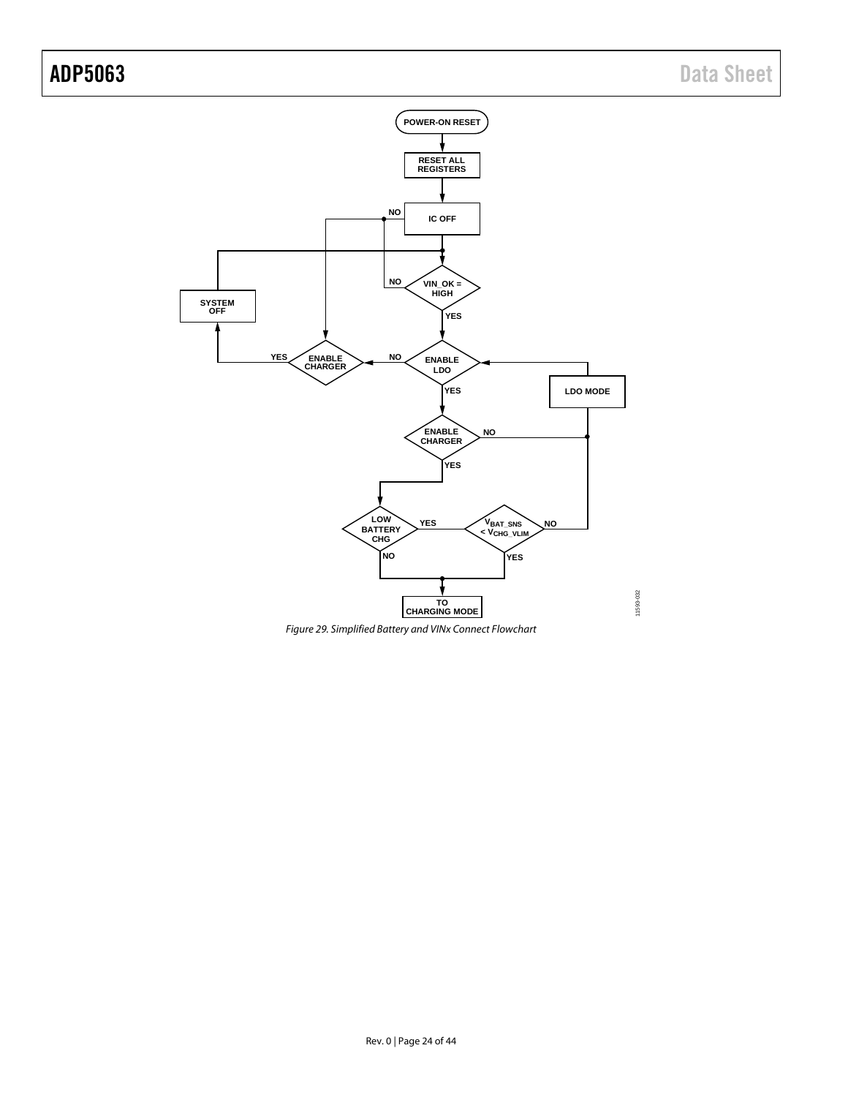

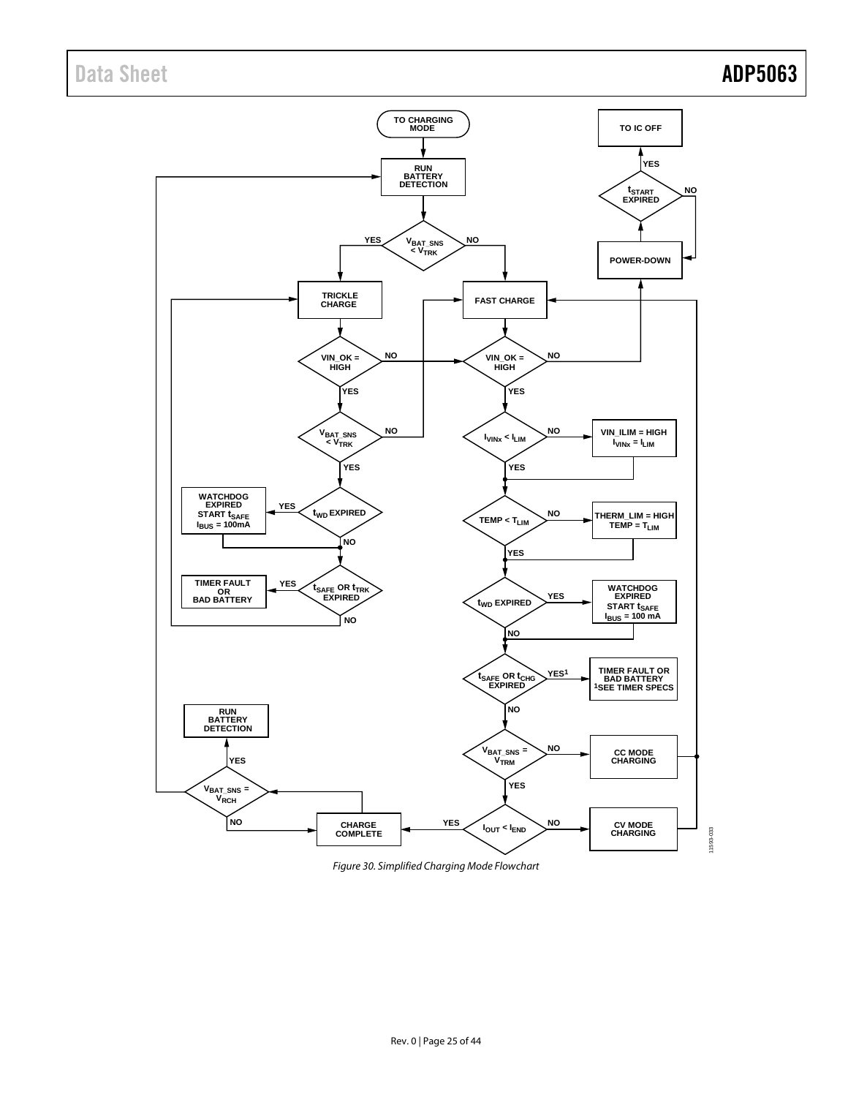

*Figure 30. Simplified Charging Mode Flowchart*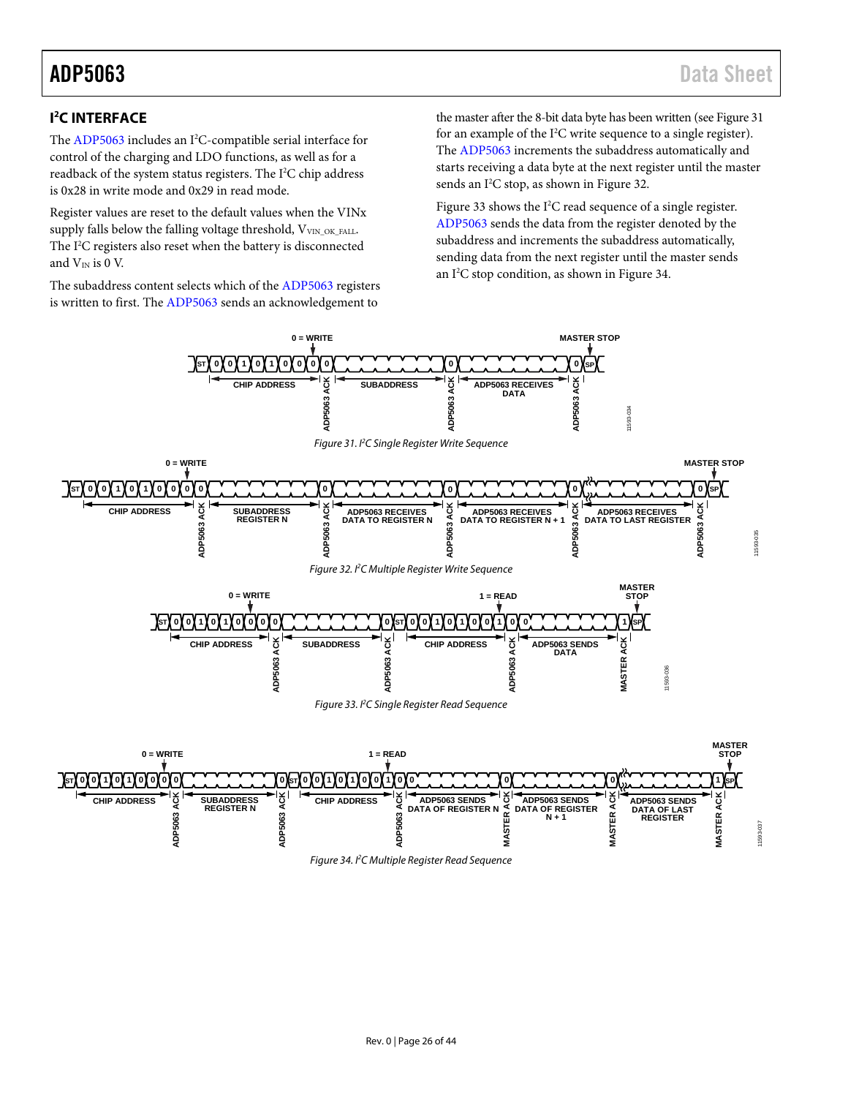# <span id="page-25-0"></span>**I 2 C INTERFACE**

The [ADP5063](http://www.analog.com/ADP5063?doc=ADP5063.pdf) includes an I<sup>2</sup>C-compatible serial interface for control of the charging and LDO functions, as well as for a readback of the system status registers. The  $I<sup>2</sup>C$  chip address is 0x28 in write mode and 0x29 in read mode.

Register values are reset to the default values when the VINx supply falls below the falling voltage threshold, VVIN\_OK\_FALL. The I 2 C registers also reset when the battery is disconnected and  $V_{IN}$  is 0 V.

The subaddress content selects which of th[e ADP5063](http://www.analog.com/ADP5063?doc=ADP5063.pdf) registers is written to first. Th[e ADP5063](http://www.analog.com/ADP5063?doc=ADP5063.pdf) sends an acknowledgement to

the master after the 8-bit data byte has been written (se[e Figure 31](#page-25-1) for an example of the I<sup>2</sup>C write sequence to a single register). The [ADP5063](http://www.analog.com/ADP5063?doc=ADP5063.pdf) increments the subaddress automatically and starts receiving a data byte at the next register until the master sends an I<sup>2</sup>C stop, as shown i[n Figure 32.](#page-25-2)

[Figure 33](#page-25-3) shows the  $I^2C$  read sequence of a single register. [ADP5063](http://www.analog.com/ADP5063?doc=ADP5063.pdf) sends the data from the register denoted by the subaddress and increments the subaddress automatically, sending data from the next register until the master sends an I<sup>2</sup>C stop condition, as shown in [Figure 34.](#page-25-4)

<span id="page-25-4"></span><span id="page-25-3"></span><span id="page-25-2"></span><span id="page-25-1"></span>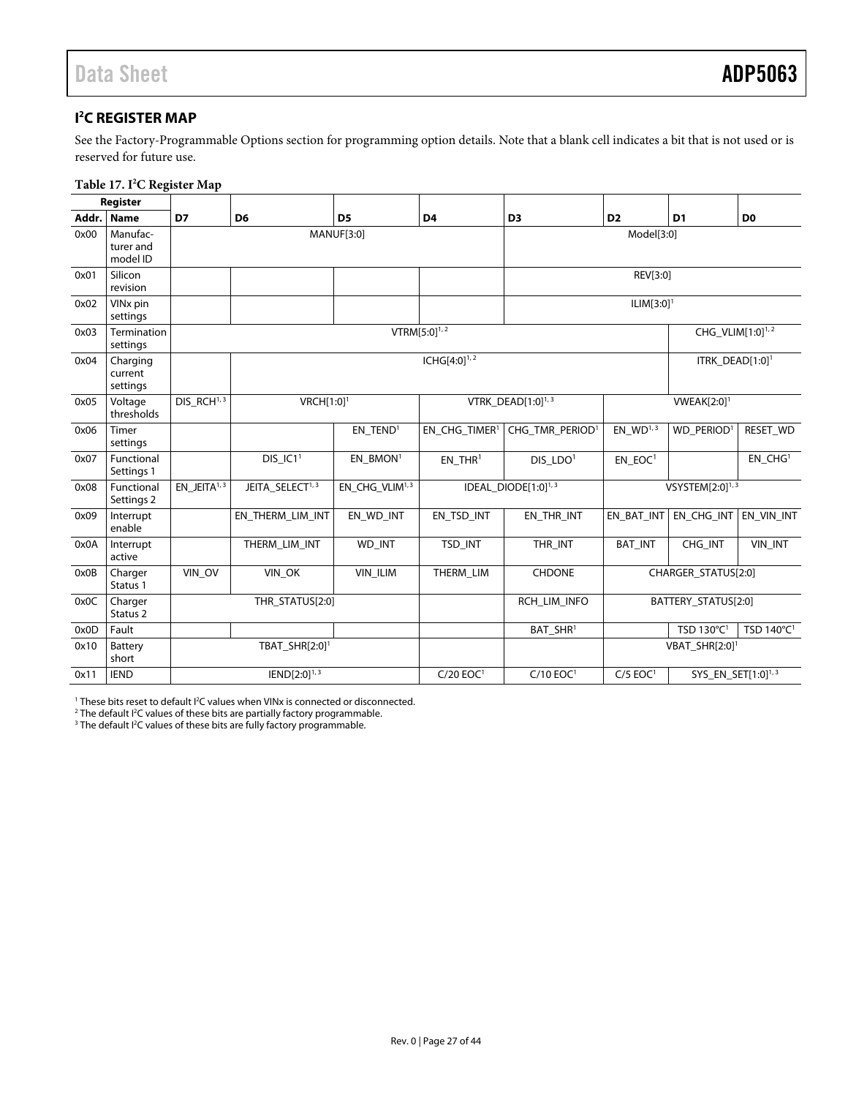# <span id="page-26-1"></span><span id="page-26-0"></span>**I 2 C REGISTER MAP**

See the [Factory-Programmable Options s](#page-39-0)ection for programming option details. Note that a blank cell indicates a bit that is not used or is reserved for future use.

### **Table 17. I2 C Register Map**

|       | Register                          |                                     |                                   |                            |                           |                                 |                          |                                |                        |
|-------|-----------------------------------|-------------------------------------|-----------------------------------|----------------------------|---------------------------|---------------------------------|--------------------------|--------------------------------|------------------------|
| Addr. | <b>Name</b>                       | D7                                  | D <sub>6</sub>                    | D <sub>5</sub>             | D <sub>4</sub>            | D <sub>3</sub>                  | D <sub>2</sub>           | D <sub>1</sub>                 | D <sub>0</sub>         |
| 0x00  | Manufac-<br>turer and<br>model ID |                                     |                                   | <b>MANUF[3:0]</b>          |                           | Model[3:0]                      |                          |                                |                        |
| 0x01  | Silicon<br>revision               |                                     |                                   | REV[3:0]                   |                           |                                 |                          |                                |                        |
| 0x02  | VIN <sub>x</sub> pin<br>settings  |                                     |                                   |                            |                           |                                 | $ILIM[3:0]$ <sup>1</sup> |                                |                        |
| 0x03  | Termination<br>settings           |                                     |                                   |                            | VTRM $[5:0]^{1,2}$        |                                 |                          | CHG_VLIM[1:0] <sup>1,2</sup>   |                        |
| 0x04  | Charging<br>current<br>settings   |                                     |                                   |                            | $ICHG[4:0]^{1,2}$         |                                 |                          | ITRK_DEAD[1:0] <sup>1</sup>    |                        |
| 0x05  | Voltage<br>thresholds             | $DIS$ <sub>-RCH<sup>1,3</sup></sub> | VRCH[1:0] <sup>1</sup>            |                            |                           | VTRK_DEAD[1:0] <sup>1,3</sup>   |                          | <b>VWEAK[2:0]</b> <sup>1</sup> |                        |
| 0x06  | Timer<br>settings                 |                                     |                                   | EN TEND <sup>1</sup>       | EN CHG TIMER <sup>1</sup> | CHG TMR PERIOD <sup>1</sup>     | EN $WD^{1,3}$            | WD PERIOD <sup>1</sup>         | RESET_WD               |
| 0x07  | Functional<br>Settings 1          |                                     | $DIS$ <sub>-IC1<sup>1</sup></sub> | EN BMON <sup>1</sup>       | $EN$ THR <sup>1</sup>     | DIS LDO <sup>1</sup>            | EN EOC <sup>1</sup>      |                                | EN CHG <sup>1</sup>    |
| 0x08  | Functional<br>Settings 2          | $EN$ _JEITA $1,3$                   | JEITA_SELECT <sup>1, 3</sup>      | EN_CHG_VLIM <sup>1,3</sup> |                           | IDEAL_DIODE[1:0] <sup>1,3</sup> |                          | VSYSTEM[2:0] $^{1,3}$          |                        |
| 0x09  | Interrupt<br>enable               |                                     | EN_THERM_LIM_INT                  | EN WD INT                  | EN_TSD_INT                | EN THR INT                      | EN_BAT_INT               | EN_CHG_INT                     | EN VIN INT             |
| 0x0A  | Interrupt<br>active               |                                     | THERM_LIM_INT                     | WD_INT                     | TSD_INT                   | THR_INT                         | <b>BAT_INT</b>           | CHG_INT                        | VIN_INT                |
| 0x0B  | Charger<br>Status 1               | VIN_OV                              | VIN_OK<br>VIN_ILIM                |                            | THERM_LIM                 | <b>CHDONE</b>                   |                          | CHARGER_STATUS[2:0]            |                        |
| 0x0C  | Charger<br>Status <sub>2</sub>    |                                     | THR_STATUS[2:0]                   |                            |                           | RCH LIM INFO                    |                          | BATTERY_STATUS[2:0]            |                        |
| 0x0D  | Fault                             |                                     |                                   |                            |                           | BAT_SHR <sup>1</sup>            |                          | TSD 130°C <sup>1</sup>         | TSD 140°C <sup>1</sup> |
| 0x10  | Battery<br>short                  |                                     | TBAT_SHR[2:0] <sup>1</sup>        |                            |                           |                                 |                          | $VBAT\_SHR[2:0]$ <sup>1</sup>  |                        |
| 0x11  | <b>IEND</b>                       |                                     | $IEND[2:0]^{1,3}$                 |                            |                           | $C/10$ EOC <sup>1</sup>         | $C/5$ EOC <sup>1</sup>   | SYS_EN_SET[1:0] <sup>1,3</sup> |                        |

<sup>1</sup> These bits reset to default I<sup>2</sup>C values when VINx is connected or disconnected.<br><sup>2</sup> The default I<sup>2</sup>C values of these bits are partially factory programmable

<sup>2</sup> The default I<sup>2</sup>C values of these bits are partially factory programmable.<br><sup>3</sup> The default I<sup>2</sup>C values of these bits are fully factory programmable.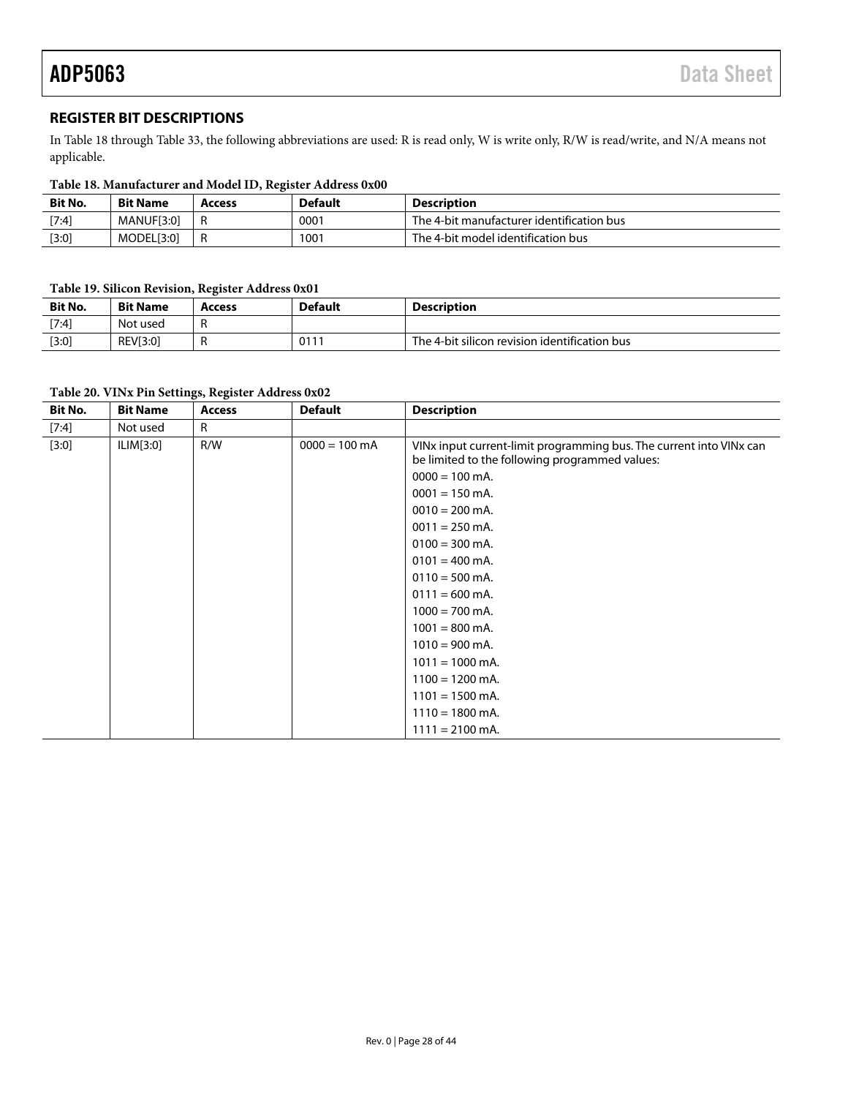# <span id="page-27-0"></span>**REGISTER BIT DESCRIPTIONS**

I[n Table 18](#page-27-1) through [Table 33,](#page-34-0) the following abbreviations are used: R is read only, W is write only, R/W is read/write, and N/A means not applicable.

<span id="page-27-1"></span>

| <b>Bit No.</b> | <b>Bit Name</b>   | <b>Access</b> | <b>Default</b> | <b>Description</b>                        |
|----------------|-------------------|---------------|----------------|-------------------------------------------|
| [7:4]          | <b>MANUF[3:0]</b> |               | 0001           | The 4-bit manufacturer identification bus |
| $[3:0]$        | MODEL[3:0]        | R             | 1001           | The 4-bit model identification bus        |

### **Table 19. Silicon Revision, Register Address 0x01**

| <b>Bit No.</b> | <b>Bit Name</b> | <b>Access</b> | <b>Default</b> | Description                                   |
|----------------|-----------------|---------------|----------------|-----------------------------------------------|
| $[7:4]$        | Not used        |               |                |                                               |
| [3:0]          | REV[3:0]        |               | 011            | The 4-bit silicon revision identification bus |

### **Table 20. VINx Pin Settings, Register Address 0x02**

| Bit No. | <b>Bit Name</b> | <b>Access</b> | <b>Default</b>  | <b>Description</b>                                                                                                    |
|---------|-----------------|---------------|-----------------|-----------------------------------------------------------------------------------------------------------------------|
| $[7:4]$ | Not used        | R             |                 |                                                                                                                       |
| [3:0]   | ILIM[3:0]       | R/W           | $0000 = 100$ mA | VINx input current-limit programming bus. The current into VINx can<br>be limited to the following programmed values: |
|         |                 |               |                 | $0000 = 100$ mA.                                                                                                      |
|         |                 |               |                 | $0001 = 150$ mA.                                                                                                      |
|         |                 |               |                 | $0010 = 200$ mA.                                                                                                      |
|         |                 |               |                 | $0011 = 250$ mA.                                                                                                      |
|         |                 |               |                 | $0100 = 300$ mA.                                                                                                      |
|         |                 |               |                 | $0101 = 400$ mA.                                                                                                      |
|         |                 |               |                 | $0110 = 500$ mA.                                                                                                      |
|         |                 |               |                 | $0111 = 600$ mA.                                                                                                      |
|         |                 |               |                 | $1000 = 700$ mA.                                                                                                      |
|         |                 |               |                 | $1001 = 800$ mA.                                                                                                      |
|         |                 |               |                 | $1010 = 900$ mA.                                                                                                      |
|         |                 |               |                 | $1011 = 1000$ mA.                                                                                                     |
|         |                 |               |                 | $1100 = 1200$ mA.                                                                                                     |
|         |                 |               |                 | $1101 = 1500$ mA.                                                                                                     |
|         |                 |               |                 | $1110 = 1800$ mA.                                                                                                     |
|         |                 |               |                 | $1111 = 2100$ mA.                                                                                                     |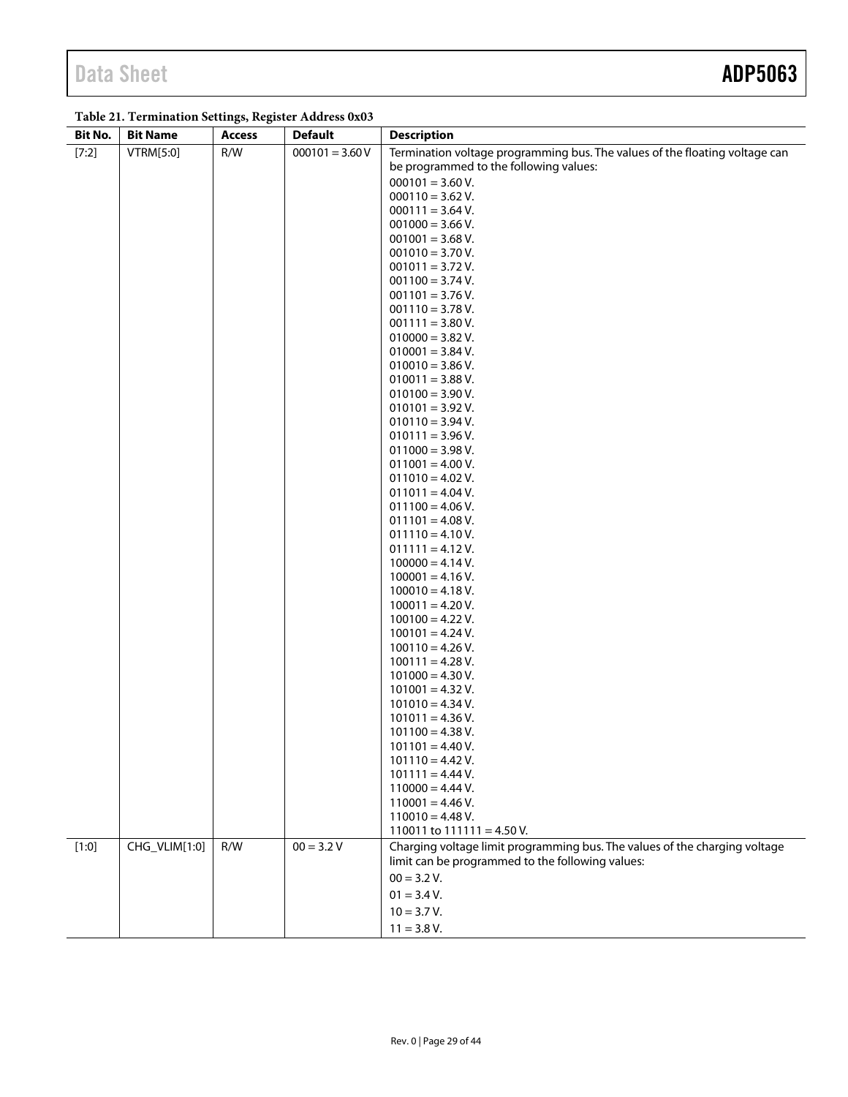# **Table 21. Termination Settings, Register Address 0x03**

| Bit No. | <b>Bit Name</b> | <b>Access</b> | <b>Default</b>    | <b>Description</b>                                                          |
|---------|-----------------|---------------|-------------------|-----------------------------------------------------------------------------|
| [7:2]   | VTRM[5:0]       | R/W           | $000101 = 3.60 V$ | Termination voltage programming bus. The values of the floating voltage can |
|         |                 |               |                   | be programmed to the following values:                                      |
|         |                 |               |                   | $000101 = 3.60 V.$                                                          |
|         |                 |               |                   | $000110 = 3.62$ V.                                                          |
|         |                 |               |                   | $000111 = 3.64$ V.                                                          |
|         |                 |               |                   | $001000 = 3.66$ V.                                                          |
|         |                 |               |                   | $001001 = 3.68$ V.                                                          |
|         |                 |               |                   | $001010 = 3.70 V.$                                                          |
|         |                 |               |                   | $001011 = 3.72$ V.                                                          |
|         |                 |               |                   | $001100 = 3.74$ V.                                                          |
|         |                 |               |                   | $001101 = 3.76 V.$                                                          |
|         |                 |               |                   | $001110 = 3.78$ V.                                                          |
|         |                 |               |                   | $001111 = 3.80 V.$                                                          |
|         |                 |               |                   | $010000 = 3.82$ V.                                                          |
|         |                 |               |                   | $010001 = 3.84$ V.                                                          |
|         |                 |               |                   | $010010 = 3.86 V.$                                                          |
|         |                 |               |                   | $010011 = 3.88$ V.                                                          |
|         |                 |               |                   | $010100 = 3.90 V.$                                                          |
|         |                 |               |                   | $010101 = 3.92$ V.                                                          |
|         |                 |               |                   | $010110 = 3.94$ V.                                                          |
|         |                 |               |                   | $010111 = 3.96 V.$                                                          |
|         |                 |               |                   | $011000 = 3.98 V.$                                                          |
|         |                 |               |                   | $011001 = 4.00 V.$                                                          |
|         |                 |               |                   | $011010 = 4.02$ V.                                                          |
|         |                 |               |                   | $011011 = 4.04 V.$                                                          |
|         |                 |               |                   | $011100 = 4.06 V.$                                                          |
|         |                 |               |                   | $011101 = 4.08 V.$                                                          |
|         |                 |               |                   | $011110 = 4.10 V.$                                                          |
|         |                 |               |                   | $011111 = 4.12 V.$                                                          |
|         |                 |               |                   | $100000 = 4.14 V.$                                                          |
|         |                 |               |                   | $100001 = 4.16 V.$<br>$100010 = 4.18 V.$                                    |
|         |                 |               |                   | $100011 = 4.20 V.$                                                          |
|         |                 |               |                   | $100100 = 4.22$ V.                                                          |
|         |                 |               |                   | $100101 = 4.24 V.$                                                          |
|         |                 |               |                   | $100110 = 4.26 V.$                                                          |
|         |                 |               |                   | $100111 = 4.28 V.$                                                          |
|         |                 |               |                   | $101000 = 4.30 V.$                                                          |
|         |                 |               |                   | $101001 = 4.32 V.$                                                          |
|         |                 |               |                   | $101010 = 4.34$ V.                                                          |
|         |                 |               |                   | $101011 = 4.36 V.$                                                          |
|         |                 |               |                   | $101100 = 4.38 V.$                                                          |
|         |                 |               |                   | $101101 = 4.40 V.$                                                          |
|         |                 |               |                   | $101110 = 4.42$ V.                                                          |
|         |                 |               |                   | $101111 = 4.44$ V.                                                          |
|         |                 |               |                   | $110000 = 4.44$ V.                                                          |
|         |                 |               |                   | $110001 = 4.46 V.$                                                          |
|         |                 |               |                   | $110010 = 4.48$ V.                                                          |
|         |                 |               |                   | 110011 to $111111 = 4.50$ V.                                                |
| [1:0]   | CHG_VLIM[1:0]   | R/W           | $00 = 3.2 V$      | Charging voltage limit programming bus. The values of the charging voltage  |
|         |                 |               |                   | limit can be programmed to the following values:                            |
|         |                 |               |                   | $00 = 3.2 V.$                                                               |
|         |                 |               |                   | $01 = 3.4 V.$                                                               |
|         |                 |               |                   | $10 = 3.7 V.$                                                               |
|         |                 |               |                   | $11 = 3.8 V.$                                                               |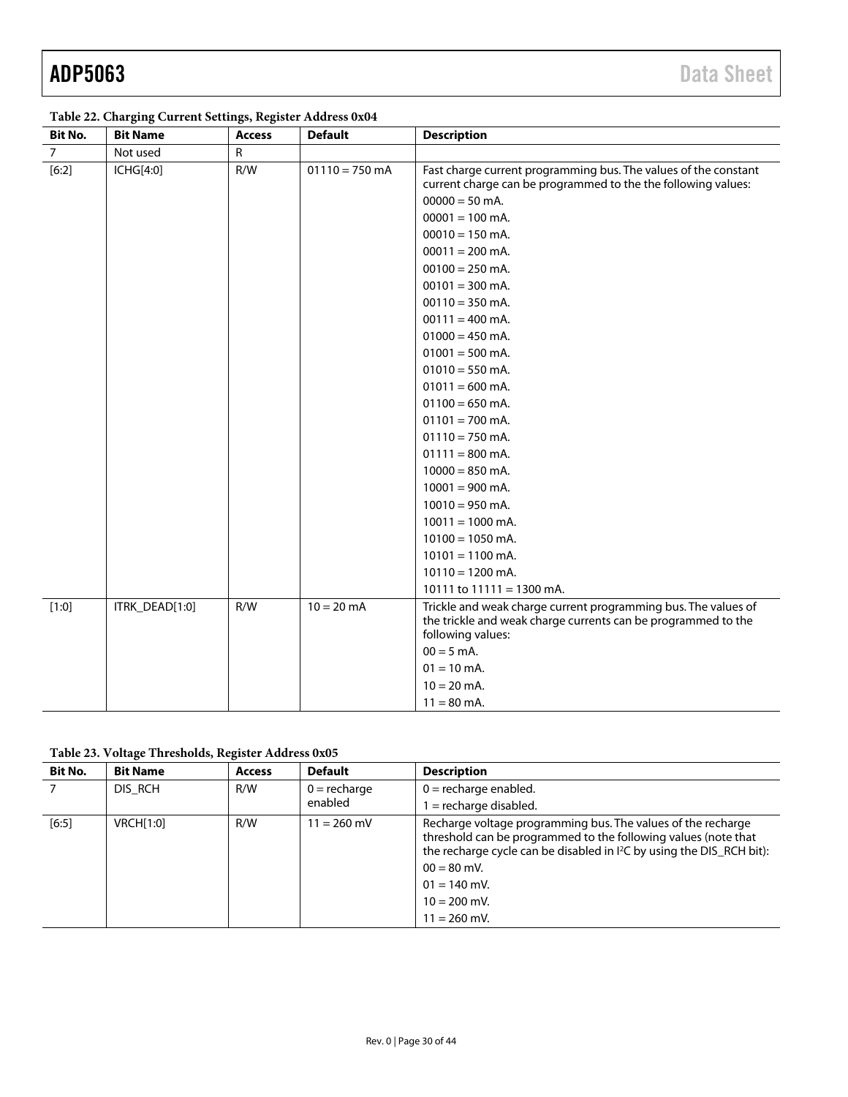| <b>Bit No.</b> | <b>Bit Name</b> | <b>Access</b> | <b>Default</b>   | <b>Description</b>                                                                                                                                                                                                                                                                                                                                                                                                                                                                                                                                                                                                                                                    |
|----------------|-----------------|---------------|------------------|-----------------------------------------------------------------------------------------------------------------------------------------------------------------------------------------------------------------------------------------------------------------------------------------------------------------------------------------------------------------------------------------------------------------------------------------------------------------------------------------------------------------------------------------------------------------------------------------------------------------------------------------------------------------------|
| $\overline{7}$ | Not used        | $\mathsf{R}$  |                  |                                                                                                                                                                                                                                                                                                                                                                                                                                                                                                                                                                                                                                                                       |
| $[6:2]$        | ICHG[4:0]       | R/W           | $01110 = 750$ mA | Fast charge current programming bus. The values of the constant<br>current charge can be programmed to the the following values:<br>$00000 = 50$ mA.<br>$00001 = 100$ mA.<br>$00010 = 150$ mA.<br>$00011 = 200$ mA.<br>$00100 = 250$ mA.<br>$00101 = 300$ mA.<br>$00110 = 350$ mA.<br>$00111 = 400$ mA.<br>$01000 = 450$ mA.<br>$01001 = 500$ mA.<br>$01010 = 550$ mA.<br>$01011 = 600$ mA.<br>$01100 = 650$ mA.<br>$01101 = 700$ mA.<br>$01110 = 750$ mA.<br>$01111 = 800$ mA.<br>$10000 = 850$ mA.<br>$10001 = 900$ mA.<br>$10010 = 950$ mA.<br>$10011 = 1000$ mA.<br>$10100 = 1050$ mA.<br>$10101 = 1100$ mA.<br>$10110 = 1200$ mA.<br>10111 to $11111 = 1300$ mA. |
| [1:0]          | ITRK_DEAD[1:0]  | R/W           | $10 = 20$ mA     | Trickle and weak charge current programming bus. The values of<br>the trickle and weak charge currents can be programmed to the<br>following values:<br>$00 = 5$ mA.<br>$01 = 10$ mA.<br>$10 = 20$ mA.<br>$11 = 80$ mA.                                                                                                                                                                                                                                                                                                                                                                                                                                               |

**Table 22. Charging Current Settings, Register Address 0x04**

**Table 23. Voltage Thresholds, Register Address 0x05**

| Bit No.        | <b>Bit Name</b>  | <b>Access</b> | <b>Default</b> | <b>Description</b>                                                                                                                                                                                                                                                                         |
|----------------|------------------|---------------|----------------|--------------------------------------------------------------------------------------------------------------------------------------------------------------------------------------------------------------------------------------------------------------------------------------------|
| $\overline{7}$ | DIS RCH          | R/W           | $0 =$ recharge | $0 =$ recharge enabled.                                                                                                                                                                                                                                                                    |
|                |                  |               | enabled        | $=$ recharge disabled.                                                                                                                                                                                                                                                                     |
| [6:5]          | <b>VRCH[1:0]</b> | R/W           | $11 = 260$ mV  | Recharge voltage programming bus. The values of the recharge<br>threshold can be programmed to the following values (note that<br>the recharge cycle can be disabled in 1 <sup>2</sup> C by using the DIS_RCH bit):<br>$00 = 80$ mV.<br>$01 = 140$ mV.<br>$10 = 200$ mV.<br>$11 = 260$ mV. |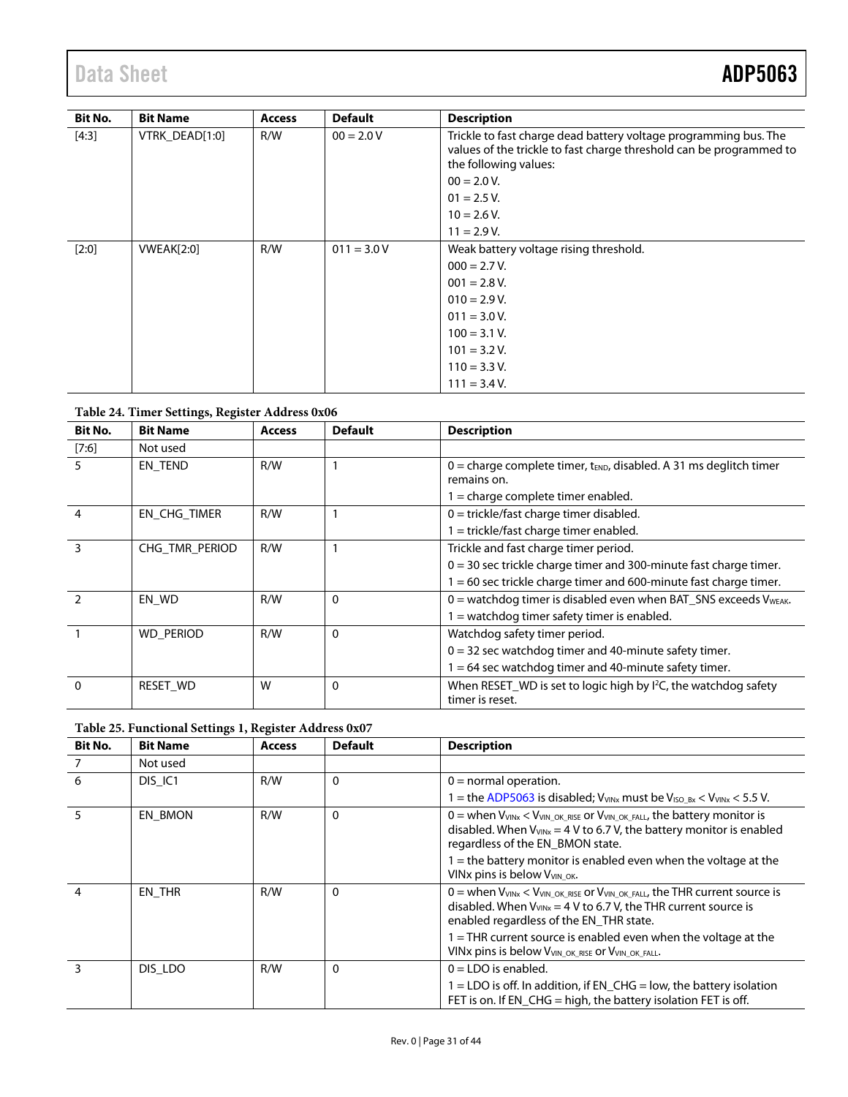# Data Sheet **ADP5063**

| Bit No. | <b>Bit Name</b>   | <b>Access</b> | <b>Default</b> | <b>Description</b>                                                                                                                                               |
|---------|-------------------|---------------|----------------|------------------------------------------------------------------------------------------------------------------------------------------------------------------|
| [4:3]   | VTRK_DEAD[1:0]    | R/W           | $00 = 2.0 V$   | Trickle to fast charge dead battery voltage programming bus. The<br>values of the trickle to fast charge threshold can be programmed to<br>the following values: |
|         |                   |               |                | $00 = 2.0 V.$                                                                                                                                                    |
|         |                   |               |                | $01 = 2.5 V.$                                                                                                                                                    |
|         |                   |               |                | $10 = 2.6 V.$                                                                                                                                                    |
|         |                   |               |                | $11 = 2.9 V.$                                                                                                                                                    |
| [2:0]   | <b>VWEAK[2:0]</b> | R/W           | $011 = 3.0 V$  | Weak battery voltage rising threshold.                                                                                                                           |
|         |                   |               |                | $000 = 2.7 V.$                                                                                                                                                   |
|         |                   |               |                | $001 = 2.8 V.$                                                                                                                                                   |
|         |                   |               |                | $010 = 2.9 V.$                                                                                                                                                   |
|         |                   |               |                | $011 = 3.0 V.$                                                                                                                                                   |
|         |                   |               |                | $100 = 3.1 V.$                                                                                                                                                   |
|         |                   |               |                | $101 = 3.2 V.$                                                                                                                                                   |
|         |                   |               |                | $110 = 3.3$ V.                                                                                                                                                   |
|         |                   |               |                | $111 = 3.4 V.$                                                                                                                                                   |

## **Table 24. Timer Settings, Register Address 0x06**

| Bit No.        | <b>Bit Name</b>  | <b>Access</b> | <b>Default</b> | <b>Description</b>                                                                             |
|----------------|------------------|---------------|----------------|------------------------------------------------------------------------------------------------|
| $[7:6]$        | Not used         |               |                |                                                                                                |
| 5.             | EN TEND          | R/W           |                | 0 = charge complete timer, $t_{END}$ , disabled. A 31 ms deglitch timer<br>remains on.         |
|                |                  |               |                | $1 =$ charge complete timer enabled.                                                           |
| 4              | EN CHG TIMER     | R/W           |                | $0 =$ trickle/fast charge timer disabled.                                                      |
|                |                  |               |                | 1 = trickle/fast charge timer enabled.                                                         |
| $\overline{3}$ | CHG TMR PERIOD   | R/W           |                | Trickle and fast charge timer period.                                                          |
|                |                  |               |                | $0 = 30$ sec trickle charge timer and 300-minute fast charge timer.                            |
|                |                  |               |                | $1 = 60$ sec trickle charge timer and 600-minute fast charge timer.                            |
|                | EN WD            | R/W           | 0              | $0 =$ watchdog timer is disabled even when BAT SNS exceeds V <sub>WEAK</sub> .                 |
|                |                  |               |                | $1 =$ watchdog timer safety timer is enabled.                                                  |
|                | <b>WD PERIOD</b> | R/W           | 0              | Watchdog safety timer period.                                                                  |
|                |                  |               |                | $0 = 32$ sec watchdog timer and 40-minute safety timer.                                        |
|                |                  |               |                | $1 = 64$ sec watchdog timer and 40-minute safety timer.                                        |
| $\mathbf{0}$   | <b>RESET WD</b>  | W             | $\mathbf 0$    | When RESET_WD is set to logic high by I <sup>2</sup> C, the watchdog safety<br>timer is reset. |

| Bit No.        | <b>Bit Name</b> | <b>Access</b> | <b>Default</b> | <b>Description</b>                                                                                                                                                                                               |
|----------------|-----------------|---------------|----------------|------------------------------------------------------------------------------------------------------------------------------------------------------------------------------------------------------------------|
|                | Not used        |               |                |                                                                                                                                                                                                                  |
| 6              | DIS IC1         | R/W           | $\Omega$       | $0 =$ normal operation.                                                                                                                                                                                          |
|                |                 |               |                | 1 = the ADP5063 is disabled; $V_{VINx}$ must be $V_{ISO Bx}$ < $V_{VINx}$ < 5.5 V.                                                                                                                               |
| 5              | EN BMON         | R/W           | 0              | $0 =$ when $V_{VINX}$ < $V_{VIN}$ ok RISE Or $V_{VIN}$ ok FALL, the battery monitor is<br>disabled. When $V_{VINx} = 4 V$ to 6.7 V, the battery monitor is enabled<br>regardless of the EN_BMON state.           |
|                |                 |               |                | $1 =$ the battery monitor is enabled even when the voltage at the<br>VINx pins is below V <sub>VIN_OK</sub> .                                                                                                    |
| $\overline{4}$ | EN THR          | R/W           | $\Omega$       | $0 =$ when $V_{VINX}$ < $V_{VIN\_OK\_RISE}$ or $V_{VIN\_OK\_FALL}$ , the THR current source is<br>disabled. When $V_{VINx}$ = 4 V to 6.7 V, the THR current source is<br>enabled regardless of the EN_THR state. |
|                |                 |               |                | $1 =$ THR current source is enabled even when the voltage at the<br>VINx pins is below VVIN_OK_RISE Or VVIN_OK_FALL.                                                                                             |
| 3              | DIS LDO         | R/W           | $\mathbf{0}$   | $0 = LDO$ is enabled.                                                                                                                                                                                            |
|                |                 |               |                | $1 = LDO$ is off. In addition, if $EN\_CHG = low$ , the battery isolation<br>FET is on. If EN_CHG = high, the battery isolation FET is off.                                                                      |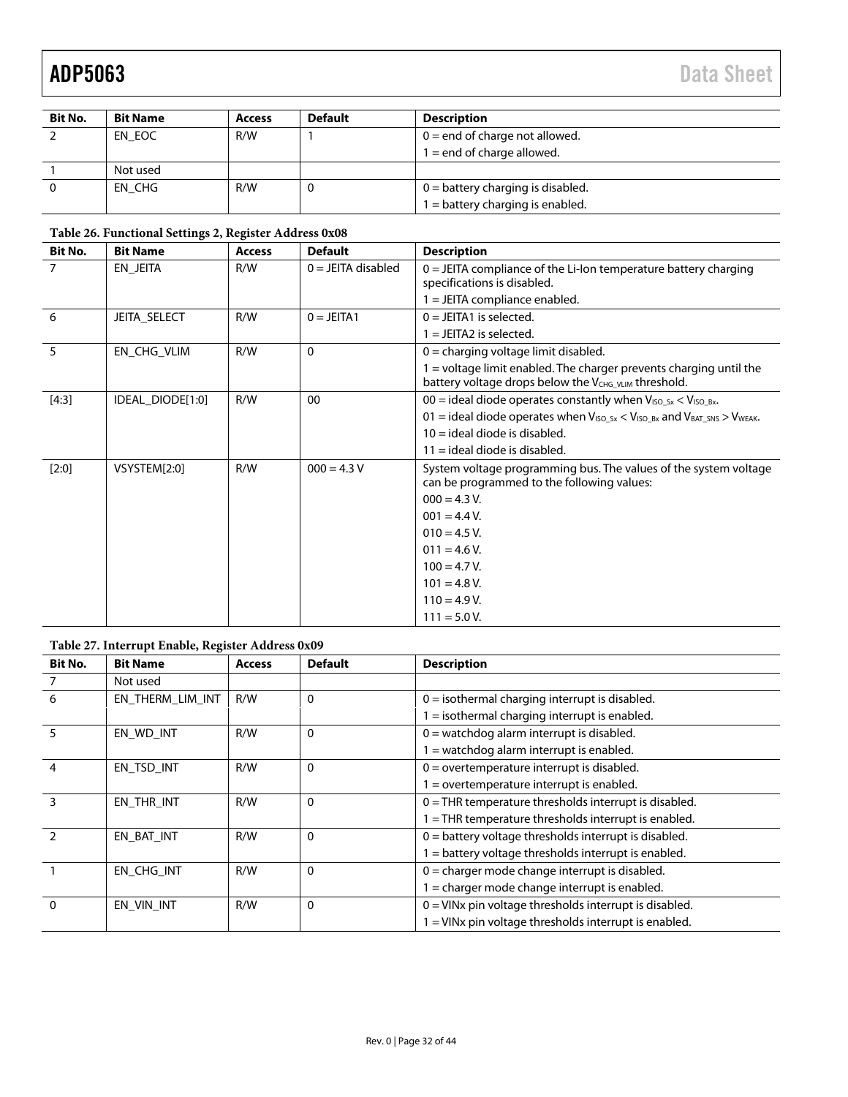| <b>Bit No.</b> | <b>Bit Name</b> | <b>Access</b> | <b>Default</b> | <b>Description</b>                  |
|----------------|-----------------|---------------|----------------|-------------------------------------|
|                | EN EOC          | R/W           |                | $0 =$ end of charge not allowed.    |
|                |                 |               |                | $1 =$ end of charge allowed.        |
|                | Not used        |               |                |                                     |
| $\Omega$       | EN CHG          | R/W           |                | $0 =$ battery charging is disabled. |
|                |                 |               |                | 1 = battery charging is enabled.    |

## <span id="page-31-0"></span>**Table 26. Functional Settings 2, Register Address 0x08**

| <b>Bit No.</b> | <b>Bit Name</b>     | <b>Access</b> | <b>Default</b>       | <b>Description</b>                                                                                                                     |
|----------------|---------------------|---------------|----------------------|----------------------------------------------------------------------------------------------------------------------------------------|
| $\overline{7}$ | EN_JEITA            | R/W           | $0 = JEITA$ disabled | $0 =$ JEITA compliance of the Li-lon temperature battery charging<br>specifications is disabled.                                       |
|                |                     |               |                      | $1 = JEITA$ compliance enabled.                                                                                                        |
| -6             | <b>JEITA_SELECT</b> | R/W           | $0 = JEITA1$         | $0 = JEITA1$ is selected.                                                                                                              |
|                |                     |               |                      | $1 = JEITA2$ is selected.                                                                                                              |
| 5              | EN CHG VLIM         | R/W           | $\mathbf{0}$         | $0 =$ charging voltage limit disabled.                                                                                                 |
|                |                     |               |                      | $=$ voltage limit enabled. The charger prevents charging until the<br>battery voltage drops below the V <sub>CHG_VLIM</sub> threshold. |
| $[4:3]$        | IDEAL_DIODE[1:0]    | R/W           | 00                   | 00 = ideal diode operates constantly when $V_{ISO_2Sx} < V_{ISO_2Bx}$ .                                                                |
|                |                     |               |                      | 01 = ideal diode operates when $V_{ISO_5x} < V_{ISO_5x}$ and $V_{BAT_5NS} > V_{WEAK}$ .                                                |
|                |                     |               |                      | $10 =$ ideal diode is disabled.                                                                                                        |
|                |                     |               |                      | $11 =$ ideal diode is disabled.                                                                                                        |
| $[2:0]$        | VSYSTEM[2:0]        | R/W           | $000 = 4.3 V$        | System voltage programming bus. The values of the system voltage<br>can be programmed to the following values:                         |
|                |                     |               |                      | $000 = 4.3 V.$                                                                                                                         |
|                |                     |               |                      | $001 = 4.4 V$ .                                                                                                                        |
|                |                     |               |                      | $010 = 4.5 V.$                                                                                                                         |
|                |                     |               |                      | $011 = 4.6 V.$                                                                                                                         |
|                |                     |               |                      | $100 = 4.7 V.$                                                                                                                         |
|                |                     |               |                      | $101 = 4.8 V.$                                                                                                                         |
|                |                     |               |                      | $110 = 4.9 V.$                                                                                                                         |
|                |                     |               |                      | $111 = 5.0 V.$                                                                                                                         |

### **Table 27. Interrupt Enable, Register Address 0x09**

| <b>Bit No.</b> | <b>Bit Name</b>  | <b>Access</b> | <b>Default</b> | <b>Description</b>                                                  |
|----------------|------------------|---------------|----------------|---------------------------------------------------------------------|
|                | Not used         |               |                |                                                                     |
| 6              | EN THERM LIM INT | R/W           | $\mathbf 0$    | $0 =$ isothermal charging interrupt is disabled.                    |
|                |                  |               |                | $1 =$ isothermal charging interrupt is enabled.                     |
| 5              | EN WD INT        | R/W           | $\Omega$       | $0 =$ watchdog alarm interrupt is disabled.                         |
|                |                  |               |                | = watchdog alarm interrupt is enabled.                              |
| 4              | EN TSD INT       | R/W           | $\mathbf 0$    | $0 =$ overtemperature interrupt is disabled.                        |
|                |                  |               |                | $=$ overtemperature interrupt is enabled.                           |
| 3              | EN_THR_INT       | R/W           | 0              | $0 =$ THR temperature thresholds interrupt is disabled.             |
|                |                  |               |                | 1 = THR temperature thresholds interrupt is enabled.                |
|                | EN_BAT_INT       | R/W           | $\Omega$       | $0 =$ battery voltage thresholds interrupt is disabled.             |
|                |                  |               |                | I = battery voltage thresholds interrupt is enabled.                |
|                | EN CHG INT       | R/W           | $\mathbf 0$    | $0 =$ charger mode change interrupt is disabled.                    |
|                |                  |               |                | I = charger mode change interrupt is enabled.                       |
| $\Omega$       | EN_VIN_INT       | R/W           | 0              | $0 =$ VINx pin voltage thresholds interrupt is disabled.            |
|                |                  |               |                | $1 =$ VIN <sub>x</sub> pin voltage thresholds interrupt is enabled. |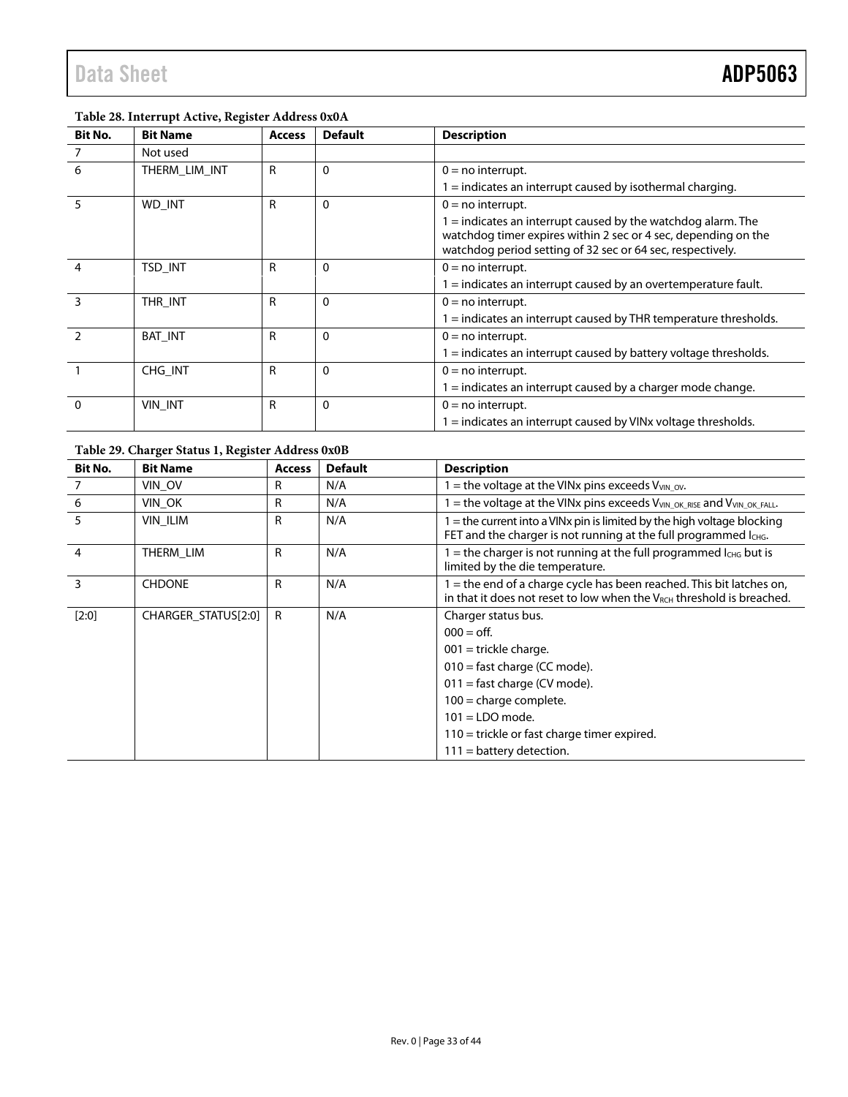### **Table 28. Interrupt Active, Register Address 0x0A**

| <b>Bit No.</b> | <b>Bit Name</b> | <b>Access</b> | <b>Default</b> | <b>Description</b>                                                                                                                                                                             |
|----------------|-----------------|---------------|----------------|------------------------------------------------------------------------------------------------------------------------------------------------------------------------------------------------|
|                | Not used        |               |                |                                                                                                                                                                                                |
| 6              | THERM LIM INT   | R             | 0              | $0 = no$ interrupt.                                                                                                                                                                            |
|                |                 |               |                | $1 =$ indicates an interrupt caused by isothermal charging.                                                                                                                                    |
|                | WD INT          | R             | $\Omega$       | $0 = no$ interrupt.                                                                                                                                                                            |
|                |                 |               |                | $1 =$ indicates an interrupt caused by the watchdog alarm. The<br>watchdog timer expires within 2 sec or 4 sec, depending on the<br>watchdog period setting of 32 sec or 64 sec, respectively. |
| 4              | <b>TSD INT</b>  | R             | 0              | $0 = no$ interrupt.                                                                                                                                                                            |
|                |                 |               |                | $1 =$ indicates an interrupt caused by an overtemperature fault.                                                                                                                               |
| ξ              | THR INT         | R             | 0              | $0 = no$ interrupt.                                                                                                                                                                            |
|                |                 |               |                | $1 =$ indicates an interrupt caused by THR temperature thresholds.                                                                                                                             |
|                | <b>BAT INT</b>  | $\mathsf{R}$  | $\Omega$       | $0 = no$ interrupt.                                                                                                                                                                            |
|                |                 |               |                | $1 =$ indicates an interrupt caused by battery voltage thresholds.                                                                                                                             |
|                | CHG INT         | R             | $\Omega$       | $0 = no$ interrupt.                                                                                                                                                                            |
|                |                 |               |                | 1 = indicates an interrupt caused by a charger mode change.                                                                                                                                    |
| $\Omega$       | <b>VIN INT</b>  | R             | 0              | $0 = no$ interrupt.                                                                                                                                                                            |
|                |                 |               |                | $1 =$ indicates an interrupt caused by VINx voltage thresholds.                                                                                                                                |

### **Table 29. Charger Status 1, Register Address 0x0B**

| Bit No.        | <b>Bit Name</b>     | <b>Access</b> | <b>Default</b> | <b>Description</b>                                                                                                                                 |
|----------------|---------------------|---------------|----------------|----------------------------------------------------------------------------------------------------------------------------------------------------|
|                | VIN OV              | R             | N/A            | $=$ the voltage at the VINx pins exceeds V <sub>VIN</sub> ov.                                                                                      |
| 6              | VIN_OK              | R             | N/A            | = the voltage at the VINx pins exceeds V <sub>VIN_OK_RISE</sub> and V <sub>VIN_OK_FALL</sub>                                                       |
| 5              | <b>VIN ILIM</b>     | R             | N/A            | 1 = the current into a VINx pin is limited by the high voltage blocking<br>FET and the charger is not running at the full programmed lang.         |
| $\overline{4}$ | THERM_LIM           | R             | N/A            | $=$ the charger is not running at the full programmed $I_{CHG}$ but is<br>limited by the die temperature.                                          |
| 3              | <b>CHDONE</b>       | R             | N/A            | I = the end of a charge cycle has been reached. This bit latches on,<br>in that it does not reset to low when the $V_{RCH}$ threshold is breached. |
| $[2:0]$        | CHARGER_STATUS[2:0] | R             | N/A            | Charger status bus.                                                                                                                                |
|                |                     |               |                | $000 =$ off.                                                                                                                                       |
|                |                     |               |                | $001$ = trickle charge.                                                                                                                            |
|                |                     |               |                | 010 = fast charge (CC mode).                                                                                                                       |
|                |                     |               |                | $011 =$ fast charge (CV mode).                                                                                                                     |
|                |                     |               |                | $100$ = charge complete.                                                                                                                           |
|                |                     |               |                | $101 = LDO mode.$                                                                                                                                  |
|                |                     |               |                | $110$ = trickle or fast charge timer expired.                                                                                                      |
|                |                     |               |                | $111 =$ battery detection.                                                                                                                         |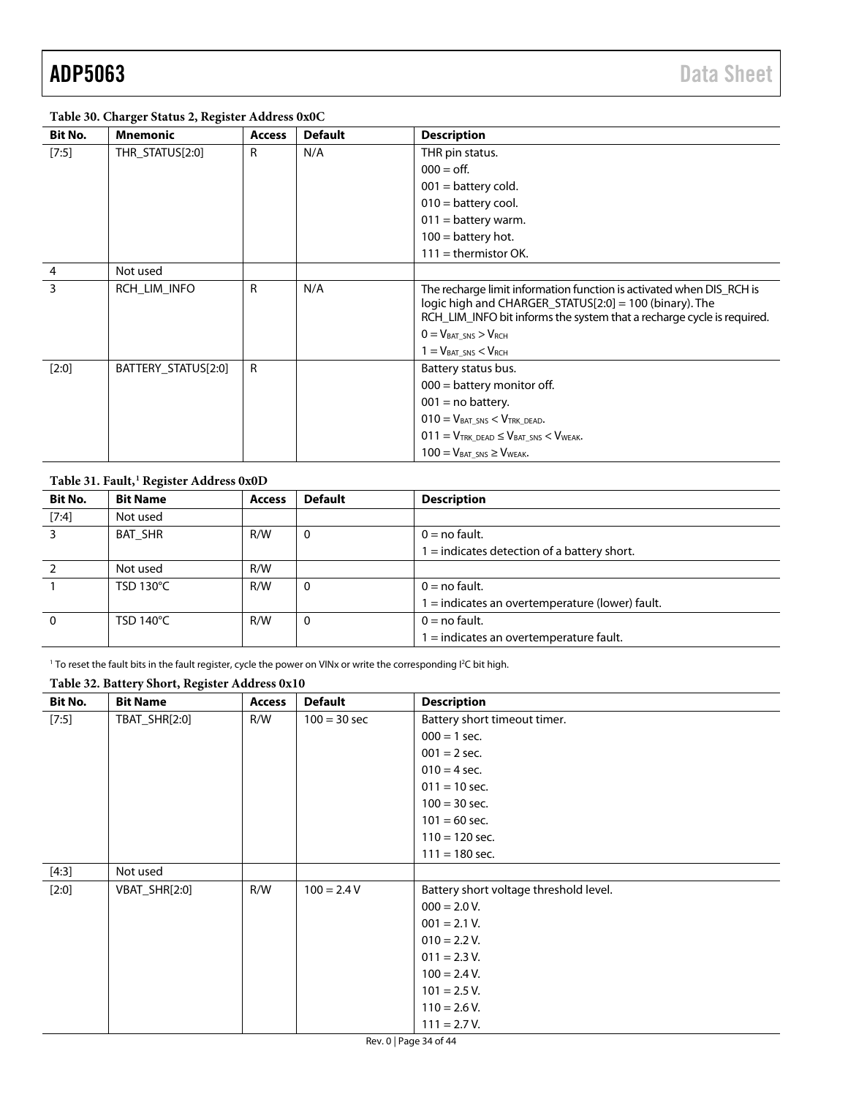### <span id="page-33-0"></span>**Table 30. Charger Status 2, Register Address 0x0C**

| Bit No.        | <b>Mnemonic</b>     | <b>Access</b> | <b>Default</b> | <b>Description</b>                                                                                                                                                                                          |
|----------------|---------------------|---------------|----------------|-------------------------------------------------------------------------------------------------------------------------------------------------------------------------------------------------------------|
| [7:5]          | THR_STATUS[2:0]     | R             | N/A            | THR pin status.                                                                                                                                                                                             |
|                |                     |               |                | $000 =$ off.                                                                                                                                                                                                |
|                |                     |               |                | $001 =$ battery cold.                                                                                                                                                                                       |
|                |                     |               |                | $010 =$ battery cool.                                                                                                                                                                                       |
|                |                     |               |                | $011 =$ battery warm.                                                                                                                                                                                       |
|                |                     |               |                | $100 =$ battery hot.                                                                                                                                                                                        |
|                |                     |               |                | $111 =$ thermistor OK.                                                                                                                                                                                      |
| $\overline{4}$ | Not used            |               |                |                                                                                                                                                                                                             |
| 3              | RCH_LIM_INFO        | R             | N/A            | The recharge limit information function is activated when DIS_RCH is<br>logic high and CHARGER_STATUS $[2:0] = 100$ (binary). The<br>RCH_LIM_INFO bit informs the system that a recharge cycle is required. |
|                |                     |               |                | $0 = VBAT SNS > VRCH$                                                                                                                                                                                       |
|                |                     |               |                | $1 = VBAT SNS < VRCH$                                                                                                                                                                                       |
| $[2:0]$        | BATTERY_STATUS[2:0] | R             |                | Battery status bus.                                                                                                                                                                                         |
|                |                     |               |                | $000 =$ battery monitor off.                                                                                                                                                                                |
|                |                     |               |                | $001$ = no battery.                                                                                                                                                                                         |
|                |                     |               |                | $010 = V_{BAT SNS} < V_{TRK DEAD}.$                                                                                                                                                                         |
|                |                     |               |                | $011 = V_{TRK DEAD} \leq V_{BAT SNS} < V_{WEAK}$                                                                                                                                                            |
|                |                     |               |                | $100 = V_{BAT\_SNS} \geq V_{WEAK}.$                                                                                                                                                                         |

| Table 31. Fault, <sup>1</sup> Register Address 0x0D |
|-----------------------------------------------------|
|-----------------------------------------------------|

| <b>Bit No.</b> | <b>Bit Name</b>     | <b>Access</b> | <b>Default</b> | <b>Description</b>                                |
|----------------|---------------------|---------------|----------------|---------------------------------------------------|
| [7:4]          | Not used            |               |                |                                                   |
| 3              | BAT SHR             | R/W           | 0              | $0 = no$ fault.                                   |
|                |                     |               |                | 1 = indicates detection of a battery short.       |
|                | Not used            | R/W           |                |                                                   |
|                | TSD 130°C           | R/W           |                | $0 = no$ fault.                                   |
|                |                     |               |                | $1 =$ indicates an overtemperature (lower) fault. |
| $\mathbf{0}$   | TSD 140 $\degree$ C | R/W           |                | $0 = no$ fault.                                   |
|                |                     |               |                | 1 = indicates an overtemperature fault.           |

 $^{\rm 1}$  To reset the fault bits in the fault register, cycle the power on VINx or write the corresponding I<sup>2</sup>C bit high.

## **Table 32. Battery Short, Register Address 0x10**

| Bit No. | <b>Bit Name</b> | <b>Access</b> | <b>Default</b> | <b>Description</b>                     |
|---------|-----------------|---------------|----------------|----------------------------------------|
| [7:5]   | TBAT_SHR[2:0]   | R/W           | $100 = 30$ sec | Battery short timeout timer.           |
|         |                 |               |                | $000 = 1$ sec.                         |
|         |                 |               |                | $001 = 2$ sec.                         |
|         |                 |               |                | $010 = 4$ sec.                         |
|         |                 |               |                | $011 = 10$ sec.                        |
|         |                 |               |                | $100 = 30$ sec.                        |
|         |                 |               |                | $101 = 60$ sec.                        |
|         |                 |               |                | $110 = 120$ sec.                       |
|         |                 |               |                | $111 = 180$ sec.                       |
| [4:3]   | Not used        |               |                |                                        |
| [2:0]   | VBAT_SHR[2:0]   | R/W           | $100 = 2.4 V$  | Battery short voltage threshold level. |
|         |                 |               |                | $000 = 2.0 V.$                         |
|         |                 |               |                | $001 = 2.1 V.$                         |
|         |                 |               |                | $010 = 2.2 V.$                         |
|         |                 |               |                | $011 = 2.3 V.$                         |
|         |                 |               |                | $100 = 2.4 V.$                         |
|         |                 |               |                | $101 = 2.5 V.$                         |
|         |                 |               |                | $110 = 2.6 V.$                         |
|         |                 |               |                | $111 = 2.7 V.$                         |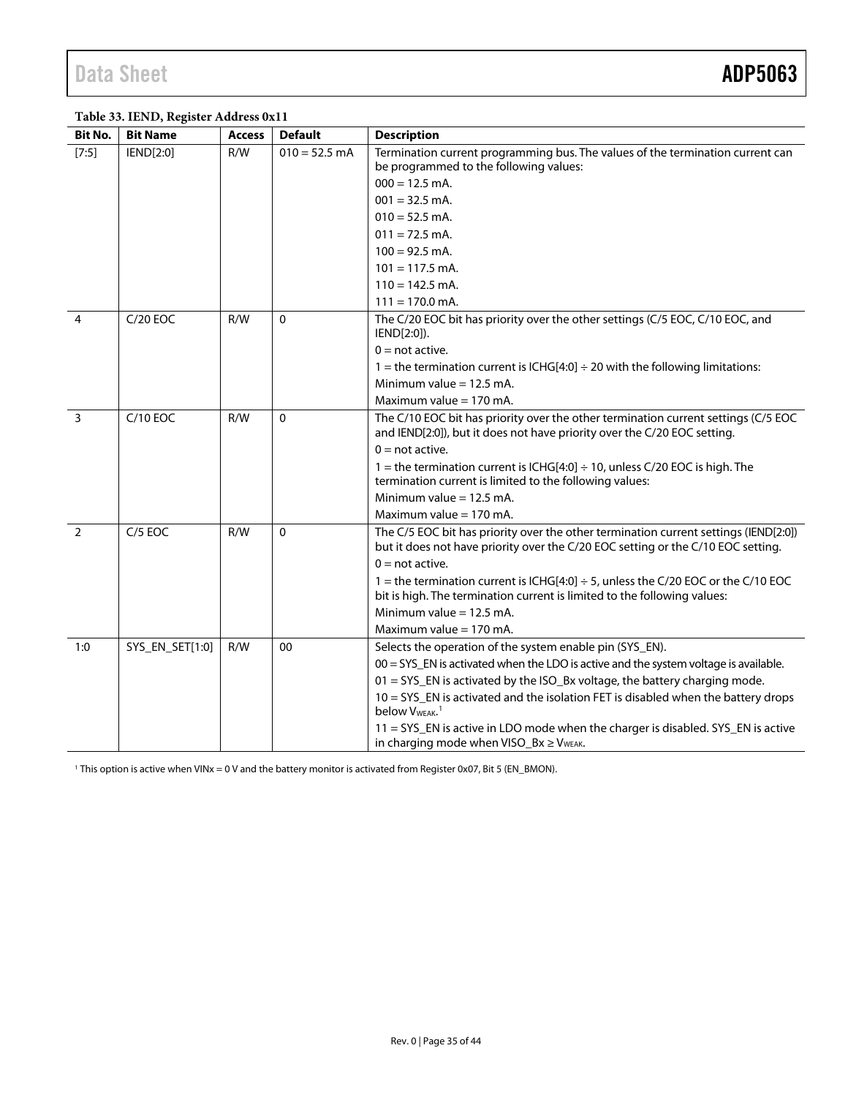## <span id="page-34-1"></span><span id="page-34-0"></span>**Table 33. IEND, Register Address 0x11**

| <b>Bit No.</b> | <b>Bit Name</b> | <b>Access</b> | <b>Default</b>  | <b>Description</b>                                                                                                                                                                             |
|----------------|-----------------|---------------|-----------------|------------------------------------------------------------------------------------------------------------------------------------------------------------------------------------------------|
| $[7:5]$        | IEND[2:0]       | R/W           | $010 = 52.5$ mA | Termination current programming bus. The values of the termination current can<br>be programmed to the following values:                                                                       |
|                |                 |               |                 | $000 = 12.5$ mA.                                                                                                                                                                               |
|                |                 |               |                 | $001 = 32.5$ mA.                                                                                                                                                                               |
|                |                 |               |                 | $010 = 52.5$ mA.                                                                                                                                                                               |
|                |                 |               |                 | $011 = 72.5$ mA.                                                                                                                                                                               |
|                |                 |               |                 | $100 = 92.5$ mA.                                                                                                                                                                               |
|                |                 |               |                 | $101 = 117.5$ mA.                                                                                                                                                                              |
|                |                 |               |                 | $110 = 142.5$ mA.                                                                                                                                                                              |
|                |                 |               |                 | $111 = 170.0$ mA.                                                                                                                                                                              |
| $\overline{4}$ | $C/20$ EOC      | R/W           | $\mathbf{0}$    | The C/20 EOC bit has priority over the other settings (C/5 EOC, C/10 EOC, and<br>IEND[2:0]).                                                                                                   |
|                |                 |               |                 | $0 = not active.$                                                                                                                                                                              |
|                |                 |               |                 | 1 = the termination current is ICHG[4:0] $\div$ 20 with the following limitations:                                                                                                             |
|                |                 |               |                 | Minimum value $= 12.5$ mA.                                                                                                                                                                     |
|                |                 |               |                 | Maximum value = 170 mA.                                                                                                                                                                        |
| $\overline{3}$ | $C/10$ EOC      | R/W           | $\mathbf{0}$    | The C/10 EOC bit has priority over the other termination current settings (C/5 EOC<br>and IEND[2:0]), but it does not have priority over the C/20 EOC setting.                                 |
|                |                 |               |                 | $0 = not active$ .                                                                                                                                                                             |
|                |                 |               |                 | 1 = the termination current is ICHG[4:0] $\div$ 10, unless C/20 EOC is high. The<br>termination current is limited to the following values:                                                    |
|                |                 |               |                 | Minimum value $= 12.5$ mA.                                                                                                                                                                     |
|                |                 |               |                 | Maximum value $= 170$ mA.                                                                                                                                                                      |
| $\overline{2}$ | $C/5$ EOC       | R/W           | $\mathbf{0}$    | The C/5 EOC bit has priority over the other termination current settings (IEND[2:0])<br>but it does not have priority over the C/20 EOC setting or the C/10 EOC setting.<br>$0 = not active$ . |
|                |                 |               |                 | 1 = the termination current is ICHG[4:0] $\div$ 5, unless the C/20 EOC or the C/10 EOC                                                                                                         |
|                |                 |               |                 | bit is high. The termination current is limited to the following values:                                                                                                                       |
|                |                 |               |                 | Minimum value = $12.5$ mA.                                                                                                                                                                     |
|                |                 |               |                 | Maximum value = 170 mA.                                                                                                                                                                        |
| 1:0            | SYS_EN_SET[1:0] | R/W           | 00              | Selects the operation of the system enable pin (SYS_EN).                                                                                                                                       |
|                |                 |               |                 | 00 = SYS_EN is activated when the LDO is active and the system voltage is available.                                                                                                           |
|                |                 |               |                 | 01 = SYS_EN is activated by the ISO_Bx voltage, the battery charging mode.                                                                                                                     |
|                |                 |               |                 | 10 = SYS_EN is activated and the isolation FET is disabled when the battery drops<br>below V <sub>WEAK</sub> . <sup>1</sup>                                                                    |
|                |                 |               |                 | 11 = SYS_EN is active in LDO mode when the charger is disabled. SYS_EN is active<br>in charging mode when $VISO_Bx \geq V_{WEAK}$ .                                                            |

<sup>1</sup> This option is active when VINx = 0 V and the battery monitor is activated from Register 0x07, Bit 5 (EN\_BMON).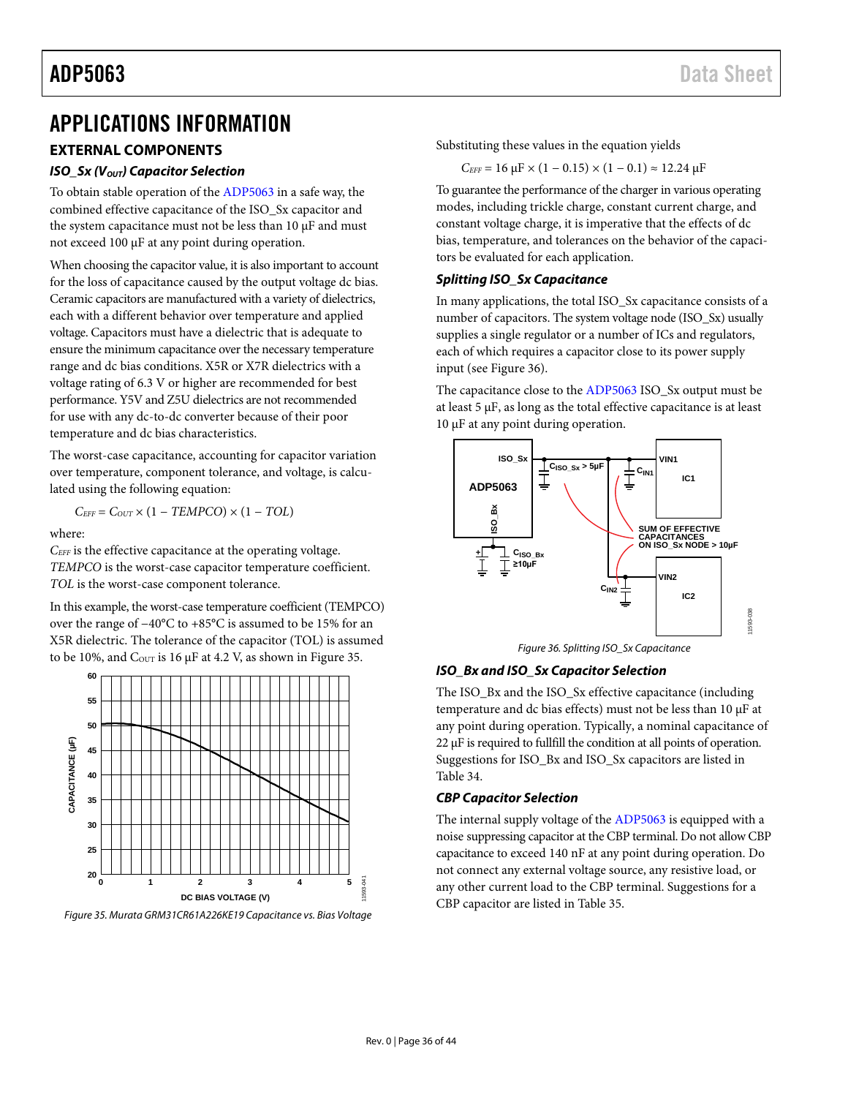# <span id="page-35-0"></span>APPLICATIONS INFORMATION

# <span id="page-35-1"></span>**EXTERNAL COMPONENTS**

### *ISO Sx (V<sub>OUT</sub>) Capacitor Selection*

To obtain stable operation of the [ADP5063](http://www.analog.com/ADP5063?doc=ADP5063.pdf) in a safe way, the combined effective capacitance of the ISO\_Sx capacitor and the system capacitance must not be less than 10 µF and must not exceed 100 µF at any point during operation.

When choosing the capacitor value, it is also important to account for the loss of capacitance caused by the output voltage dc bias. Ceramic capacitors are manufactured with a variety of dielectrics, each with a different behavior over temperature and applied voltage. Capacitors must have a dielectric that is adequate to ensure the minimum capacitance over the necessary temperature range and dc bias conditions. X5R or X7R dielectrics with a voltage rating of 6.3 V or higher are recommended for best performance. Y5V and Z5U dielectrics are not recommended for use with any dc-to-dc converter because of their poor temperature and dc bias characteristics.

The worst-case capacitance, accounting for capacitor variation over temperature, component tolerance, and voltage, is calculated using the following equation:

$$
C_{EFF} = C_{OUT} \times (1 - TEMPCO) \times (1 - TOL)
$$

where:

*CEFF* is the effective capacitance at the operating voltage. *TEMPCO* is the worst-case capacitor temperature coefficient. *TOL* is the worst-case component tolerance.

In this example, the worst-case temperature coefficient (TEMPCO) over the range of −40°C to +85°C is assumed to be 15% for an X5R dielectric. The tolerance of the capacitor (TOL) is assumed to be 10%, and  $C_{\text{OUT}}$  is 16  $\mu$ F at 4.2 V, as shown in [Figure 35.](#page-35-2)



<span id="page-35-2"></span>*Figure 35. Murata GRM31CR61A226KE19 Capacitance vs. Bias Voltage*

Substituting these values in the equation yields

$$
C_{\text{EFF}} = 16 \ \mu \text{F} \times (1 - 0.15) \times (1 - 0.1) \approx 12.24 \ \mu \text{F}
$$

To guarantee the performance of the charger in various operating modes, including trickle charge, constant current charge, and constant voltage charge, it is imperative that the effects of dc bias, temperature, and tolerances on the behavior of the capacitors be evaluated for each application.

### *Splitting ISO\_Sx Capacitance*

In many applications, the total ISO\_Sx capacitance consists of a number of capacitors. The system voltage node (ISO\_Sx) usually supplies a single regulator or a number of ICs and regulators, each of which requires a capacitor close to its power supply input (see [Figure 36\)](#page-35-3).

The capacitance close to the [ADP5063](http://www.analog.com/ADP5063?doc=ADP5063.pdf) ISO\_Sx output must be at least  $5 \mu$ F, as long as the total effective capacitance is at least 10 µF at any point during operation.



*Figure 36. Splitting ISO\_Sx Capacitance*

# <span id="page-35-3"></span>*ISO\_Bx and ISO\_Sx Capacitor Selection*

The ISO\_Bx and the ISO\_Sx effective capacitance (including temperature and dc bias effects) must not be less than 10 µF at any point during operation. Typically, a nominal capacitance of 22 µF is required to fullfill the condition at all points of operation. Suggestions for ISO\_Bx and ISO\_Sx capacitors are listed in [Table 34.](#page-36-0)

### *CBP Capacitor Selection*

The internal supply voltage of the [ADP5063](http://www.analog.com/ADP5062) is equipped with a noise suppressing capacitor at the CBP terminal. Do not allow CBP capacitance to exceed 140 nF at any point during operation. Do not connect any external voltage source, any resistive load, or any other current load to the CBP terminal. Suggestions for a CBP capacitor are listed i[n Table 35.](#page-36-1)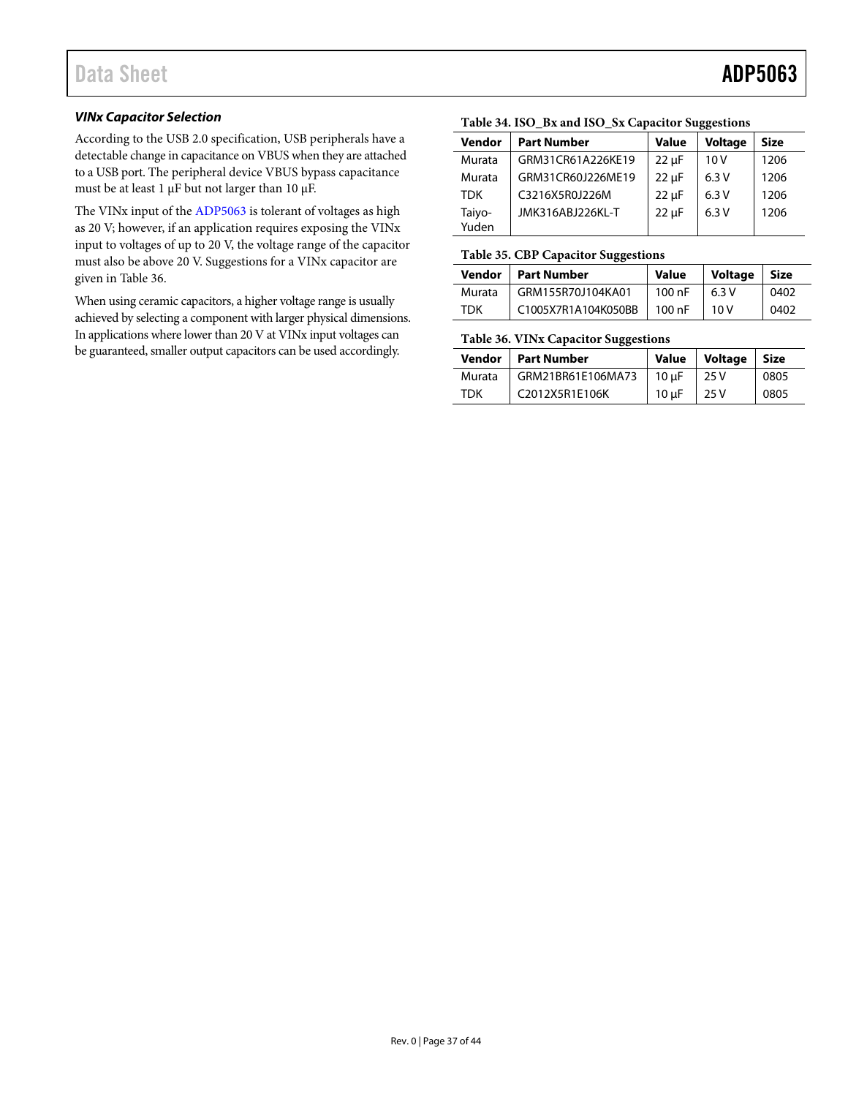## *VINx Capacitor Selection*

According to the USB 2.0 specification, USB peripherals have a detectable change in capacitance on VBUS when they are attached to a USB port. The peripheral device VBUS bypass capacitance must be at least 1 µF but not larger than 10 µF.

The VINx input of the [ADP5063](http://www.analog.com/ADP5063?doc=ADP5063.pdf) is tolerant of voltages as high as 20 V; however, if an application requires exposing the VINx input to voltages of up to 20 V, the voltage range of the capacitor must also be above 20 V. Suggestions for a VINx capacitor are given i[n Table 36.](#page-36-2)

When using ceramic capacitors, a higher voltage range is usually achieved by selecting a component with larger physical dimensions. In applications where lower than 20 V at VINx input voltages can be guaranteed, smaller output capacitors can be used accordingly.

# <span id="page-36-0"></span>**Table 34. ISO\_Bx and ISO\_Sx Capacitor Suggestions**

| Vendor          | <b>Part Number</b> | <b>Value</b> | <b>Voltage</b> | <b>Size</b> |
|-----------------|--------------------|--------------|----------------|-------------|
| Murata          | GRM31CR61A226KE19  | $22 \mu F$   | 10V            | 1206        |
| Murata          | GRM31CR60J226ME19  | $22 \mu F$   | 6.3V           | 1206        |
| <b>TDK</b>      | C3216X5R0J226M     | $22 \mu F$   | 6.3V           | 1206        |
| Taiyo-<br>Yuden | JMK316ABJ226KL-T   | $22 \mu F$   | 6.3V           | 1206        |

### <span id="page-36-1"></span>**Table 35. CBP Capacitor Suggestions**

| Vendor | <b>Part Number</b>  | Value  | <b>Voltage</b> | <b>Size</b> |
|--------|---------------------|--------|----------------|-------------|
| Murata | GRM155R70J104KA01   | 100 nF | 6.3V           | 0402        |
| TDK    | C1005X7R1A104K050BB | 100 nF | 10 V           | 0402        |

### <span id="page-36-2"></span>**Table 36. VINx Capacitor Suggestions**

| Vendor | Part Number       | <b>Value</b>     | Voltage | <b>Size</b> |
|--------|-------------------|------------------|---------|-------------|
| Murata | GRM21BR61E106MA73 | $10 \text{ uF}$  | 25 V    | 0805        |
| TDK    | C2012X5R1E106K    | 10 <sub>uF</sub> | 25 V    | 0805        |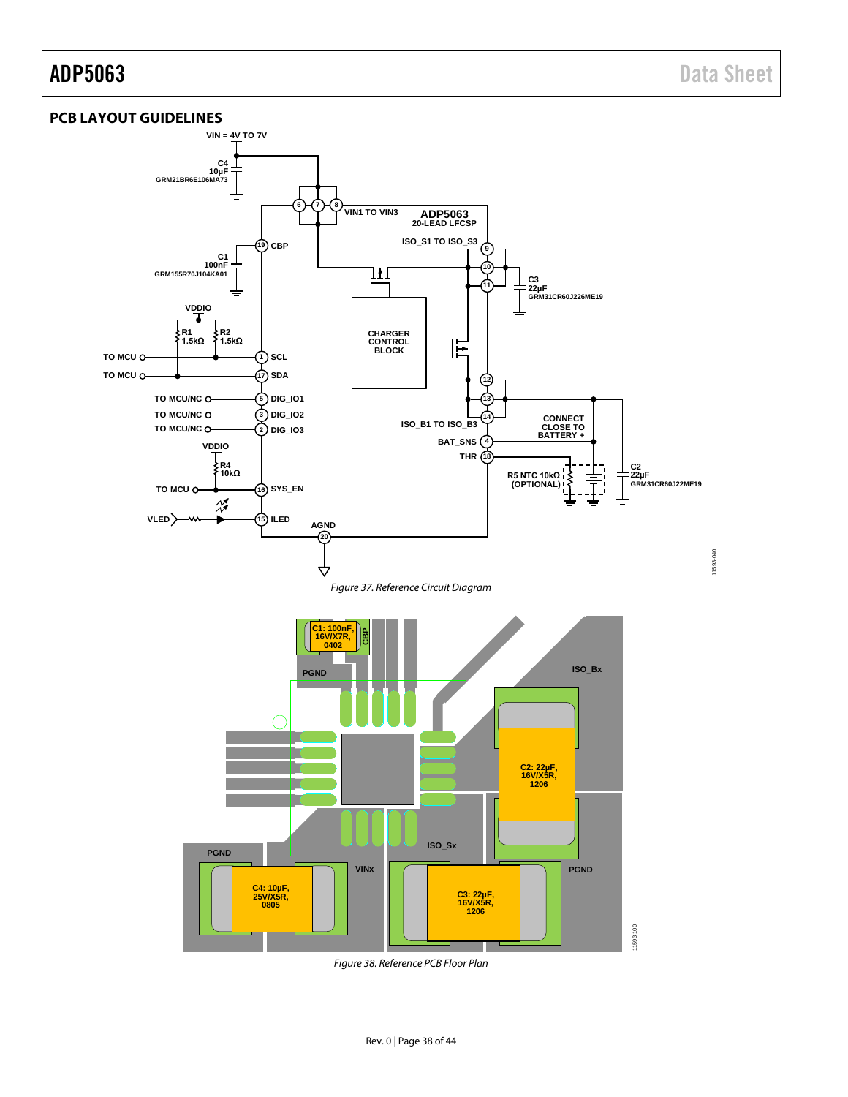## <span id="page-37-0"></span>**PCB LAYOUT GUIDELINES**



*Figure 38. Reference PCB Floor Plan*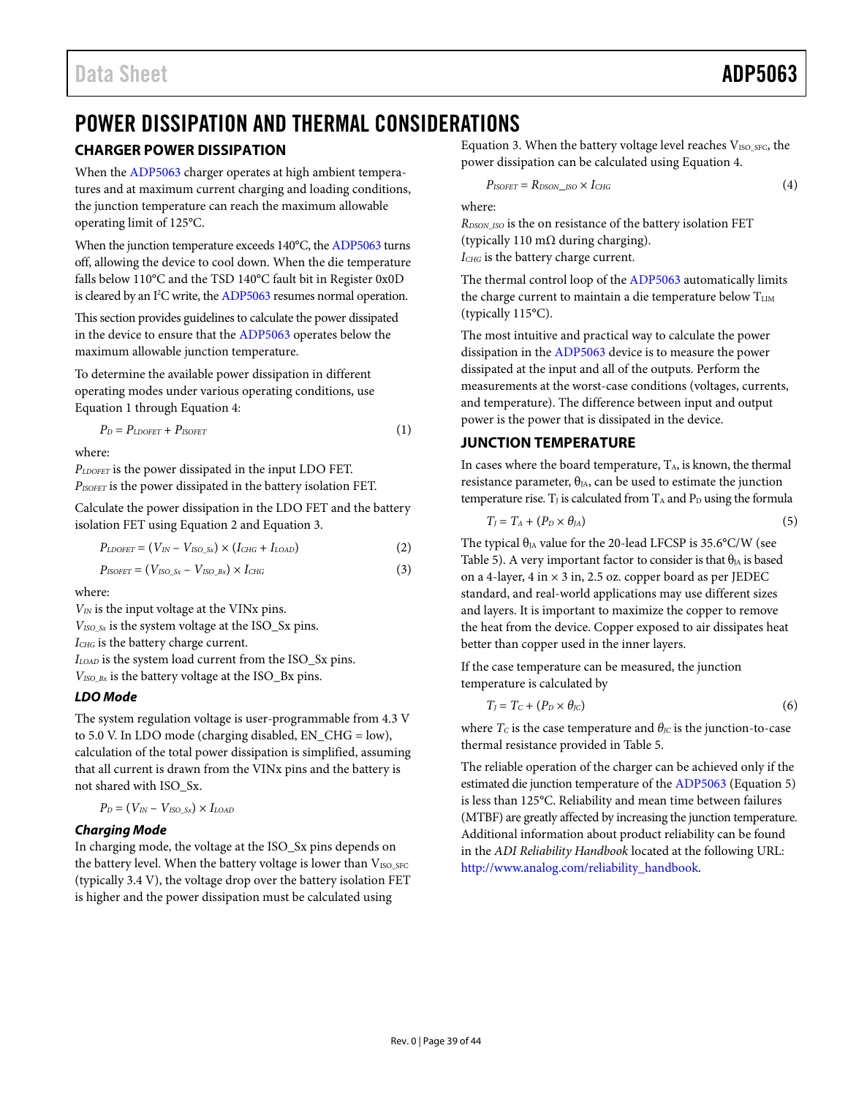# <span id="page-38-0"></span>POWER DISSIPATION AND THERMAL CONSIDERATIONS

# <span id="page-38-1"></span>**CHARGER POWER DISSIPATION**

When th[e ADP5063](http://www.analog.com/ADP5063?doc=ADP5063.pdf) charger operates at high ambient temperatures and at maximum current charging and loading conditions, the junction temperature can reach the maximum allowable operating limit of 125°C.

When the junction temperature exceeds 140°C, th[e ADP5063](http://www.analog.com/ADP5063?doc=ADP5063.pdf) turns off, allowing the device to cool down. When the die temperature falls below 110°C and the TSD 140°C fault bit in Register 0x0D is cleared by an I<sup>2</sup>C write, th[e ADP5063](http://www.analog.com/ADP5063?doc=ADP5063.pdf) resumes normal operation.

This section provides guidelines to calculate the power dissipated in the device to ensure that th[e ADP5063](http://www.analog.com/ADP5063?doc=ADP5063.pdf) operates below the maximum allowable junction temperature.

To determine the available power dissipation in different operating modes under various operating conditions, use Equation 1 through Equation 4:

$$
P_D = P_{LDOFET} + P_{ISOFET} \tag{1}
$$

where:

*PLDOFET* is the power dissipated in the input LDO FET. *PISOFET* is the power dissipated in the battery isolation FET.

Calculate the power dissipation in the LDO FET and the battery isolation FET using Equation 2 and Equation 3.

$$
P_{LDOFET} = (V_{IN} - V_{ISO\_Sx}) \times (I_{CHG} + I_{LOAD})
$$
\n(2)

$$
P_{ISOFET} = (V_{ISO\_Sx} - V_{ISO\_Bx}) \times I_{CHG}
$$
\n(3)

where:

*VIN* is the input voltage at the VINx pins.

*VISO\_Sx* is the system voltage at the ISO\_Sx pins.

*ICHG* is the battery charge current.

*ILOAD* is the system load current from the ISO\_Sx pins.

*VISO\_Bx* is the battery voltage at the ISO\_Bx pins.

# *LDO Mode*

The system regulation voltage is user-programmable from 4.3 V to 5.0 V. In LDO mode (charging disabled, EN\_CHG = low), calculation of the total power dissipation is simplified, assuming that all current is drawn from the VINx pins and the battery is not shared with ISO\_Sx.

$$
P_D = (V_{IN} - V_{ISO\_Sx}) \times I_{LOAD}
$$

# *Charging Mode*

In charging mode, the voltage at the ISO\_Sx pins depends on the battery level. When the battery voltage is lower than  $V_{ISO, SFC}$ (typically 3.4 V), the voltage drop over the battery isolation FET is higher and the power dissipation must be calculated using

Equation 3. When the battery voltage level reaches V<sub>ISO\_SFC</sub>, the power dissipation can be calculated using Equation 4.

$$
P_{ISOFET} = R_{DSON \_ ISO} \times I_{CHG}
$$
 (4)

where:

*RDSON\_ISO* is the on resistance of the battery isolation FET (typically 110 m $\Omega$  during charging).

*ICHG* is the battery charge current.

The thermal control loop of th[e ADP5063](http://www.analog.com/ADP5062) automatically limits the charge current to maintain a die temperature below TLIM (typically 115°C).

The most intuitive and practical way to calculate the power dissipation in th[e ADP5063](http://www.analog.com/ADP5062) device is to measure the power dissipated at the input and all of the outputs. Perform the measurements at the worst-case conditions (voltages, currents, and temperature). The difference between input and output power is the power that is dissipated in the device.

# <span id="page-38-2"></span>**JUNCTION TEMPERATURE**

In cases where the board temperature,  $T_A$ , is known, the thermal resistance parameter,  $\theta_{IA}$ , can be used to estimate the junction temperature rise.  $T_J$  is calculated from  $T_A$  and  $P_D$  using the formula

$$
T_J = T_A + (P_D \times \theta_{JA})
$$
\n<sup>(5)</sup>

The typical  $\theta_{IA}$  value for the 20-lead LFCSP is 35.6°C/W (see [Table 5\)](#page-7-3). A very important factor to consider is that  $\theta_{JA}$  is based on a 4-layer, 4 in  $\times$  3 in, 2.5 oz. copper board as per JEDEC standard, and real-world applications may use different sizes and layers. It is important to maximize the copper to remove the heat from the device. Copper exposed to air dissipates heat better than copper used in the inner layers.

If the case temperature can be measured, the junction temperature is calculated by

$$
T_J = T_C + (P_D \times \theta_{JC})
$$
 (6)

where  $T_c$  is the case temperature and  $\theta_{\text{JC}}$  is the junction-to-case thermal resistance provided i[n Table 5.](#page-7-3)

The reliable operation of the charger can be achieved only if the estimated die junction temperature of th[e ADP5063](http://www.analog.com/ADP5062) (Equation 5) is less than 125°C. Reliability and mean time between failures (MTBF) are greatly affected by increasing the junction temperature. Additional information about product reliability can be found in the *ADI Reliability Handbook* located at the following URL: [http://www.analog.com/reliability\\_handbook.](http://www.analog.com/reliability_handbook?doc=ADP5063.pdf)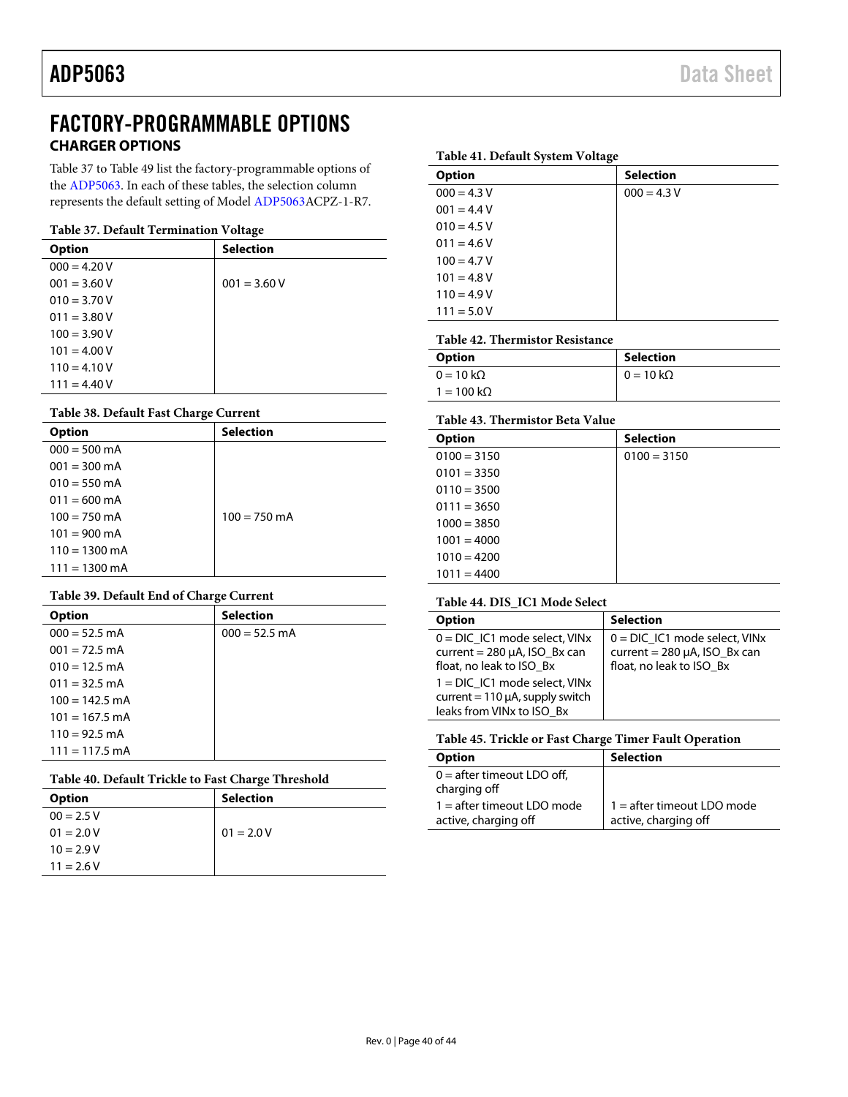# <span id="page-39-0"></span>FACTORY-PROGRAMMABLE OPTIONS **CHARGER OPTIONS**

<span id="page-39-1"></span>[Table 37](#page-39-3) t[o Table 49](#page-41-0) list the factory-programmable options of the [ADP5063.](http://www.analog.com/ADP5063?doc=ADP5063.pdf) In each of these tables, the selection column represents the default setting of Mode[l ADP5063A](http://www.analog.com/ADP5063?doc=ADP5063.pdf)CPZ-1-R7.

### <span id="page-39-3"></span>**Table 37. Default Termination Voltage**

|                | ັ                |
|----------------|------------------|
| <b>Option</b>  | <b>Selection</b> |
| $000 = 4.20 V$ |                  |
| $001 = 3.60 V$ | $001 = 3.60 V$   |
| $010 = 3.70 V$ |                  |
| $011 = 3.80 V$ |                  |
| $100 = 3.90 V$ |                  |
| $101 = 4.00 V$ |                  |
| $110 = 4.10 V$ |                  |
| $111 = 4.40 V$ |                  |

### **Table 38. Default Fast Charge Current**

| <b>Option</b>           | <b>Selection</b> |
|-------------------------|------------------|
| $000 = 500$ mA          |                  |
| $001 = 300 \text{ mA}$  |                  |
| $010 = 550$ mA          |                  |
| $011 = 600$ mA          |                  |
| $100 = 750 \text{ mA}$  | $100 = 750$ mA   |
| $101 = 900$ mA          |                  |
| $110 = 1300$ mA         |                  |
| $111 = 1300 \text{ mA}$ |                  |

### **Table 39. Default End of Charge Current**

| <b>Option</b>    | <b>Selection</b> |
|------------------|------------------|
| $000 = 52.5$ mA  | $000 = 52.5$ mA  |
| $001 = 72.5$ mA  |                  |
| $010 = 12.5$ mA  |                  |
| $011 = 32.5$ mA  |                  |
| $100 = 142.5$ mA |                  |
| $101 = 167.5$ mA |                  |
| $110 = 92.5$ mA  |                  |
| $111 = 117.5$ mA |                  |

### **Table 40. Default Trickle to Fast Charge Threshold**

| ັ                |
|------------------|
| <b>Selection</b> |
|                  |
| $01 = 2.0 V$     |
|                  |
|                  |
|                  |

### **Table 41. Default System Voltage**

| . .           |                  |
|---------------|------------------|
| <b>Option</b> | <b>Selection</b> |
| $000 = 4.3 V$ | $000 = 4.3 V$    |
| $001 = 4.4 V$ |                  |
| $010 = 4.5 V$ |                  |
| $011 = 4.6 V$ |                  |
| $100 = 4.7 V$ |                  |
| $101 = 4.8 V$ |                  |
| $110 = 4.9 V$ |                  |
| $111 = 5.0 V$ |                  |
|               |                  |

### **Table 42. Thermistor Resistance**

| Option                    | <b>Selection</b>         |
|---------------------------|--------------------------|
| $0 = 10 \text{ k}\Omega$  | $0 = 10 \text{ k}\Omega$ |
| $1 = 100 \text{ k}\Omega$ |                          |

### <span id="page-39-2"></span>**Table 43. Thermistor Beta Value**

| <b>Selection</b> |
|------------------|
| $0100 = 3150$    |
|                  |
|                  |
|                  |
|                  |
|                  |
|                  |
|                  |
|                  |

### **Table 44. DIS\_IC1 Mode Select**

| <b>Option</b>                                                                                         | <b>Selection</b>                                                                                  |
|-------------------------------------------------------------------------------------------------------|---------------------------------------------------------------------------------------------------|
| $0 = DIC$ IC1 mode select, VINx<br>current = $280 \mu A$ , ISO Bx can<br>float, no leak to ISO Bx     | $0 = DIC$ IC1 mode select, VINx<br>current = $280 \mu A$ , ISO_Bx can<br>float, no leak to ISO Bx |
| $1 = DIC$ IC1 mode select, VINx<br>current = $110 \mu A$ , supply switch<br>leaks from VINx to ISO Bx |                                                                                                   |

### **Table 45. Trickle or Fast Charge Timer Fault Operation**

| <b>Option</b>                                        | <b>Selection</b>                                     |  |
|------------------------------------------------------|------------------------------------------------------|--|
| $0 =$ after timeout LDO off,<br>charging off         |                                                      |  |
| $1 =$ after timeout LDO mode<br>active, charging off | $1 =$ after timeout LDO mode<br>active, charging off |  |
|                                                      |                                                      |  |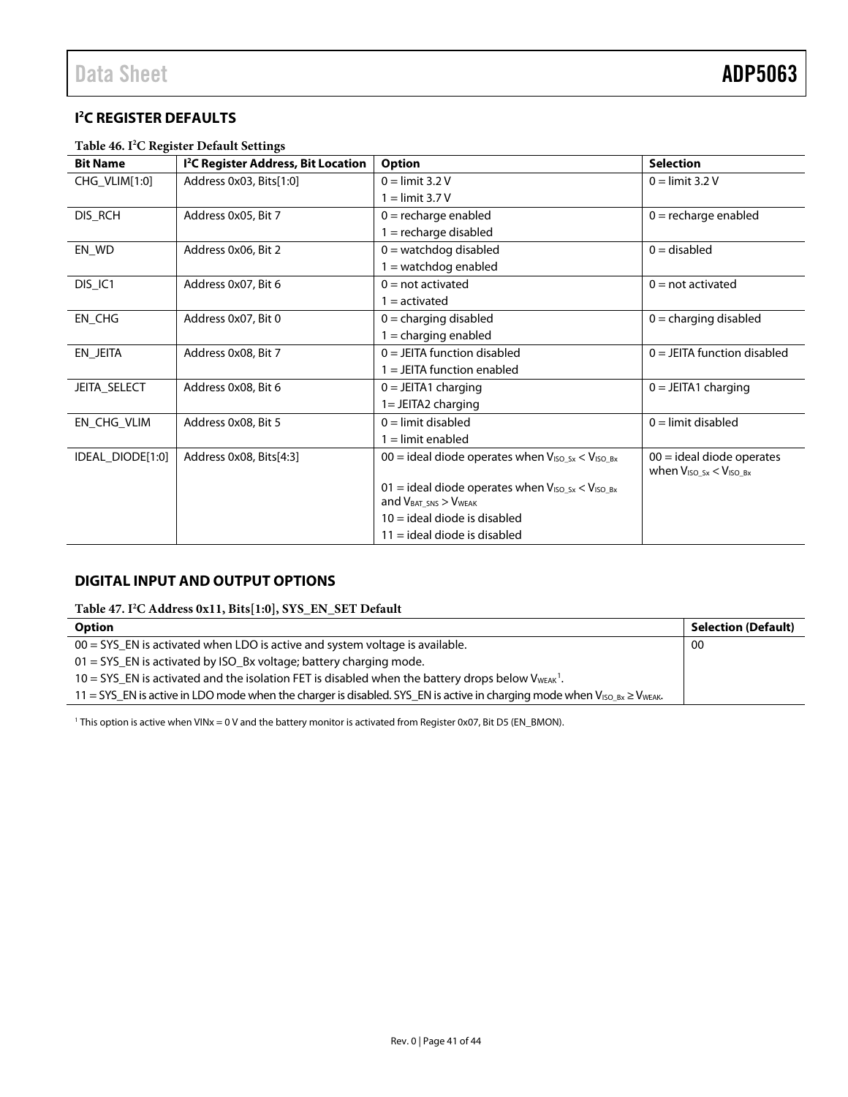# <span id="page-40-2"></span><span id="page-40-0"></span>**I 2 C REGISTER DEFAULTS**

### **Table 46. I2 C Register Default Settings**

| <b>Bit Name</b>  | <sup>12</sup> C Register Address, Bit Location | Option                                                     | <b>Selection</b>                                                |
|------------------|------------------------------------------------|------------------------------------------------------------|-----------------------------------------------------------------|
| CHG_VLIM[1:0]    | Address 0x03, Bits[1:0]                        | $0 =$ limit 3.2 V                                          | $0 =$ limit 3.2 V                                               |
|                  |                                                | $1 =$ limit 3.7 V                                          |                                                                 |
| DIS_RCH          | Address 0x05, Bit 7                            | $0 =$ recharge enabled                                     | $0 =$ recharge enabled                                          |
|                  |                                                | $1 =$ recharge disabled                                    |                                                                 |
| EN_WD            | Address 0x06, Bit 2                            | $0 =$ watchdog disabled                                    | $0 =$ disabled                                                  |
|                  |                                                | $1 =$ watchdog enabled                                     |                                                                 |
| DIS_IC1          | Address 0x07, Bit 6                            | $0 = not$ activated                                        | $0 = not$ activated                                             |
|                  |                                                | $1 =$ activated                                            |                                                                 |
| EN_CHG           | Address 0x07, Bit 0                            | $0 =$ charging disabled                                    | $0 =$ charging disabled                                         |
|                  |                                                | $1 =$ charging enabled                                     |                                                                 |
| EN_JEITA         | Address 0x08, Bit 7                            | $0 =$ JEITA function disabled                              | $0 = JEITA$ function disabled                                   |
|                  |                                                | $1 =$ JEITA function enabled                               |                                                                 |
| JEITA_SELECT     | Address 0x08, Bit 6                            | $0 = JEITA1$ charging                                      | $0 = JEITA1$ charging                                           |
|                  |                                                | $1 = JEITA2$ charging                                      |                                                                 |
| EN_CHG_VLIM      | Address 0x08, Bit 5                            | $0 =$ limit disabled                                       | $0 =$ limit disabled                                            |
|                  |                                                | $1 =$ limit enabled                                        |                                                                 |
| IDEAL_DIODE[1:0] | Address 0x08, Bits[4:3]                        | $00 =$ ideal diode operates when $V_{ISO_Sx} < V_{ISO_Bx}$ | $00 =$ ideal diode operates<br>when $V_{ISO\_Sx} < V_{ISO\_Bx}$ |
|                  |                                                | 01 = ideal diode operates when $V_{ISO_5x} < V_{ISO_5x}$   |                                                                 |
|                  |                                                | and $V_{BAT, SNS}$ > $V_{WEAK}$                            |                                                                 |
|                  |                                                | $10 =$ ideal diode is disabled                             |                                                                 |
|                  |                                                | $11 =$ ideal diode is disabled                             |                                                                 |

# <span id="page-40-1"></span>**DIGITAL INPUT AND OUTPUT OPTIONS**

**Table 47. I2 C Address 0x11, Bits[1:0], SYS\_EN\_SET Default**

| <b>Option</b>                                                                                                                       | <b>Selection (Default)</b> |
|-------------------------------------------------------------------------------------------------------------------------------------|----------------------------|
| $00 = SYS$ EN is activated when LDO is active and system voltage is available.                                                      | -00                        |
| $01 = SYS$ EN is activated by ISO_Bx voltage; battery charging mode.                                                                |                            |
| 10 = SYS_EN is activated and the isolation FET is disabled when the battery drops below $V_{WEAk}$ <sup>1</sup> .                   |                            |
| 11 = SYS_EN is active in LDO mode when the charger is disabled. SYS_EN is active in charging mode when $V_{ISO_Bx} \geq V_{WEAK}$ . |                            |

<sup>1</sup> This option is active when VINx = 0 V and the battery monitor is activated from Register 0x07, Bit D5 (EN\_BMON).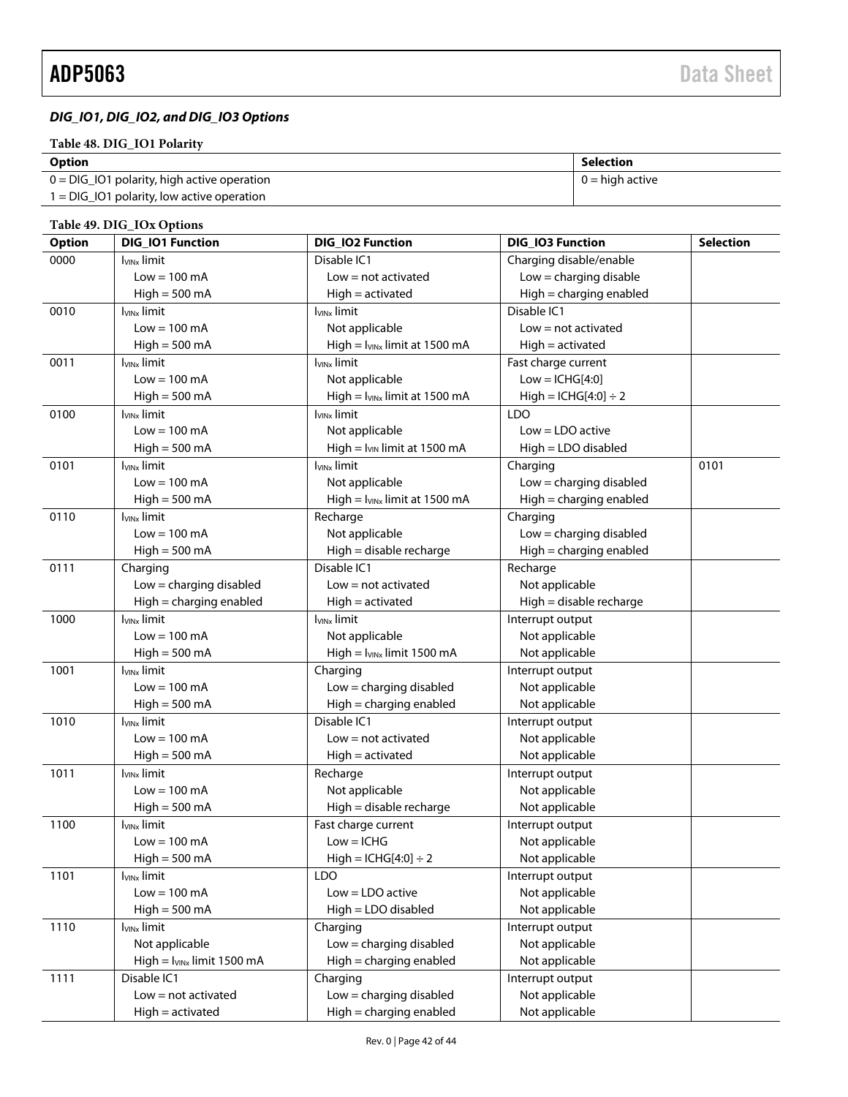# *DIG\_IO1, DIG\_IO2, and DIG\_IO3 Options*

## **Table 48. DIG\_IO1 Polarity**

| <b>Option</b>                                  | Selection         |
|------------------------------------------------|-------------------|
| $0 = DIG\_IO1$ polarity, high active operation | $0 =$ high active |
| $1 = DIG$ IO1 polarity, low active operation   |                   |

### <span id="page-41-0"></span>**Table 49. DIG\_IOx Options**

| <b>Option</b> | <b>DIG_IO1 Function</b>         | DIG_IO2 Function                   | DIG_IO3 Function          | <b>Selection</b> |
|---------------|---------------------------------|------------------------------------|---------------------------|------------------|
| 0000          | <b>I<sub>VINx</sub></b> limit   | Disable IC1                        | Charging disable/enable   |                  |
|               | $Low = 100 mA$                  | $Low = not activated$              | $Low = charging$ disable  |                  |
|               | $High = 500 mA$                 | $High = activated$                 | High = charging enabled   |                  |
| 0010          | <b>I</b> vinx limit             | <b>I</b> vinx limit                | Disable IC1               |                  |
|               | $Low = 100 mA$                  | Not applicable                     | $Low = not activated$     |                  |
|               | $High = 500 mA$                 | High = $I_{VINx}$ limit at 1500 mA | $High = activated$        |                  |
| 0011          | <b>I<sub>VINx</sub></b> limit   | <b>I</b> vinx limit                | Fast charge current       |                  |
|               | $Low = 100 \text{ mA}$          | Not applicable                     | $Low = ICHG[4:0]$         |                  |
|               | $High = 500 mA$                 | $High = I_{VINx}$ limit at 1500 mA | $High = ICHG[4:0] \div 2$ |                  |
| 0100          | $I_{VINx}$ limit                | I <sub>VINx</sub> limit            | <b>LDO</b>                |                  |
|               | $Low = 100 \text{ mA}$          | Not applicable                     | $Low = LDO$ active        |                  |
|               | $High = 500 mA$                 | High = $I_{VIN}$ limit at 1500 mA  | High = LDO disabled       |                  |
| 0101          | <b>I<sub>VINx</sub></b> limit   | I <sub>VINx</sub> limit            | Charging                  | 0101             |
|               | $Low = 100 \text{ mA}$          | Not applicable                     | $Low = charging$ disabled |                  |
|               | $High = 500 mA$                 | $High = I_{VINx}$ limit at 1500 mA | High = charging enabled   |                  |
| 0110          | I <sub>VINx</sub> limit         | Recharge                           | Charging                  |                  |
|               | $Low = 100 \text{ mA}$          | Not applicable                     | Low = charging disabled   |                  |
|               | $High = 500 mA$                 | High = disable recharge            | High = charging enabled   |                  |
| 0111          | Charging                        | Disable IC1                        | Recharge                  |                  |
|               | $Low = charging$ disabled       | $Low = not activated$              | Not applicable            |                  |
|               | High = charging enabled         | $High = activated$                 | High = disable recharge   |                  |
| 1000          | <b>I<sub>VINx</sub></b> limit   | <b>I</b> <sub>VINx</sub> limit     | Interrupt output          |                  |
|               | $Low = 100 mA$                  | Not applicable                     | Not applicable            |                  |
|               | $High = 500 mA$                 | High = $I_{VINx}$ limit 1500 mA    | Not applicable            |                  |
| 1001          | $I_{VINx}$ limit                | Charging                           | Interrupt output          |                  |
|               | $Low = 100 \text{ mA}$          | $Low = charging$ disabled          | Not applicable            |                  |
|               | $High = 500 mA$                 | High = charging enabled            | Not applicable            |                  |
| 1010          | <b>I</b> <sub>VINx</sub> limit  | Disable IC1                        | Interrupt output          |                  |
|               | $Low = 100 mA$                  | $Low = not activated$              | Not applicable            |                  |
|               | $High = 500 mA$                 | $High = activated$                 | Not applicable            |                  |
| 1011          | <b>I<sub>VINx</sub></b> limit   | Recharge                           | Interrupt output          |                  |
|               | $Low = 100 mA$                  | Not applicable                     | Not applicable            |                  |
|               | $High = 500 mA$                 | High = disable recharge            | Not applicable            |                  |
| 1100          | <b>I<sub>VINx</sub></b> limit   | Fast charge current                | Interrupt output          |                  |
|               | $Low = 100 mA$                  | $Low = ICHG$                       | Not applicable            |                  |
|               | $High = 500 mA$                 | $High = ICHG[4:0] \div 2$          | Not applicable            |                  |
| 1101          | <b>I<sub>VINx</sub></b> limit   | LDO                                | Interrupt output          |                  |
|               | $Low = 100 mA$                  | $Low = LDO$ active                 | Not applicable            |                  |
|               | $High = 500 mA$                 | High = LDO disabled                | Not applicable            |                  |
| 1110          | <b>I</b> vinx limit             | Charging                           | Interrupt output          |                  |
|               | Not applicable                  | $Low = charging$ disabled          | Not applicable            |                  |
|               | $High = I_{VINx}$ limit 1500 mA | High = charging enabled            | Not applicable            |                  |
| 1111          | Disable IC1                     | Charging                           | Interrupt output          |                  |
|               | $Low = not activated$           | Low = charging disabled            | Not applicable            |                  |
|               | $High = activated$              | High = charging enabled            | Not applicable            |                  |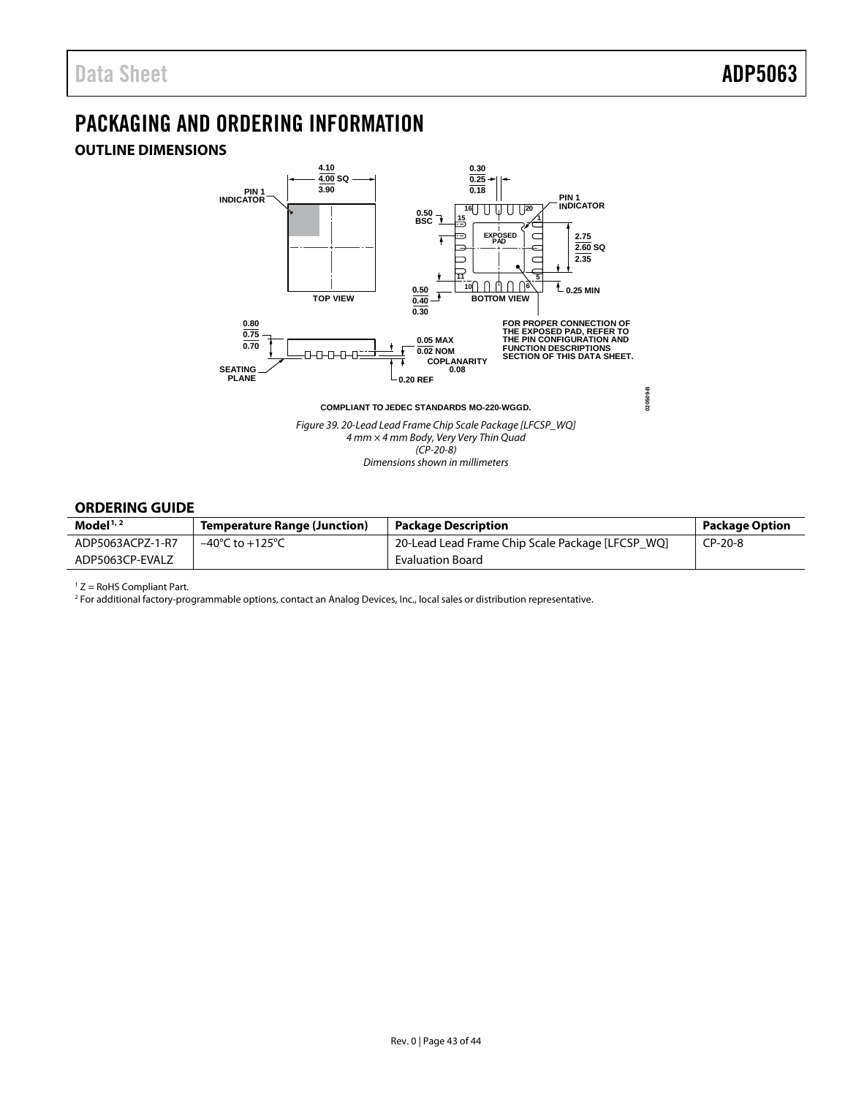# <span id="page-42-3"></span><span id="page-42-0"></span>PACKAGING AND ORDERING INFORMATION

# <span id="page-42-1"></span>**OUTLINE DIMENSIONS**



*Dimensions shown in millimeters*

## <span id="page-42-2"></span>**ORDERING GUIDE**

| Model $1/2$      | <b>Temperature Range (Junction)</b> | <b>Package Description</b>                       | <b>Package Option</b> |
|------------------|-------------------------------------|--------------------------------------------------|-----------------------|
| ADP5063ACPZ-1-R7 | $-40^{\circ}$ C to $+125^{\circ}$ C | 20-Lead Lead Frame Chip Scale Package [LFCSP WQ] | CP-20-8               |
| ADP5063CP-EVALZ  |                                     | <b>Evaluation Board</b>                          |                       |

 $1 Z =$  RoHS Compliant Part.

<sup>2</sup> For additional factory-programmable options, contact an Analog Devices, Inc., local sales or distribution representative.